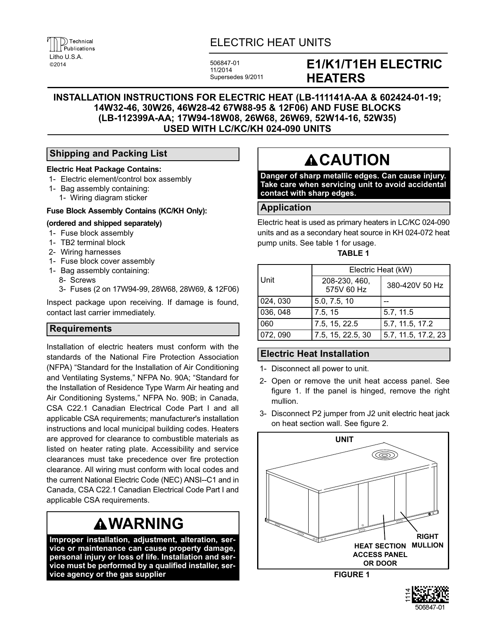# ELECTRIC HEAT UNITS

506847-01 11/2014 Supersedes 9/2011

# **E1/K1/T1EH ELECTRIC HEATERS**

# **INSTALLATION INSTRUCTIONS FOR ELECTRIC HEAT (LB-111141A-AA & 602424-01-19; 14W32-46, 30W26, 46W28-42 67W88-95 & 12F06) AND FUSE BLOCKS (LB-112399A-AA; 17W94-18W08, 26W68, 26W69, 52W14-16, 52W35) USED WITH LC/KC/KH 024-090 UNITS**

# **Shipping and Packing List**

#### **Electric Heat Package Contains:**

- 1- Electric element/control box assembly
- 1- Bag assembly containing:
	- 1- Wiring diagram sticker

#### **Fuse Block Assembly Contains (KC/KH Only):**

#### **(ordered and shipped separately)**

- 1- Fuse block assembly
- 1- TB2 terminal block
- 2- Wiring harnesses
- 1- Fuse block cover assembly
- 1- Bag assembly containing:
	- 8- Screws
	- 3- Fuses (2 on 17W94-99, 28W68, 28W69, & 12F06)

Inspect package upon receiving. If damage is found, contact last carrier immediately.

# **Requirements**

Installation of electric heaters must conform with the standards of the National Fire Protection Association (NFPA) "Standard for the Installation of Air Conditioning and Ventilating Systems," NFPA No. 90A; "Standard for the Installation of Residence Type Warm Air heating and Air Conditioning Systems," NFPA No. 90B; in Canada, CSA C22.1 Canadian Electrical Code Part I and all applicable CSA requirements; manufacturer's installation instructions and local municipal building codes. Heaters are approved for clearance to combustible materials as listed on heater rating plate. Accessibility and service clearances must take precedence over fire protection clearance. All wiring must conform with local codes and the current National Electric Code (NEC) ANSI--C1 and in Canada, CSA C22.1 Canadian Electrical Code Part I and applicable CSA requirements.

# **WARNING**

**Improper installation, adjustment, alteration, service or maintenance can cause property damage, personal injury or loss of life. Installation and service must be performed by a qualified installer, service agency or the gas supplier**

# **ACAUTION**

**Danger of sharp metallic edges. Can cause injury. Take care when servicing unit to avoid accidental contact with sharp edges.**

# **Application**

Electric heat is used as primary heaters in LC/KC 024-090 units and as a secondary heat source in KH 024-072 heat pump units. See table 1 for usage.

#### **TABLE 1**

|          | Electric Heat (kW)          |                     |
|----------|-----------------------------|---------------------|
| Unit     | 208-230, 460,<br>575V 60 Hz | 380-420V 50 Hz      |
| 024, 030 | 5.0, 7.5, 10                |                     |
| 036, 048 | 7.5, 15                     | 5.7, 11.5           |
| 060      | 7.5, 15, 22.5               | 5.7, 11.5, 17.2     |
| 072, 090 | 7.5, 15, 22.5, 30           | 5.7, 11.5, 17.2, 23 |

# **Electric Heat Installation**

- 1- Disconnect all power to unit.
- 2- Open or remove the unit heat access panel. See figure 1. If the panel is hinged, remove the right mullion.
- 3- Disconnect P2 jumper from J2 unit electric heat jack on heat section wall. See figure [2](#page-1-0).



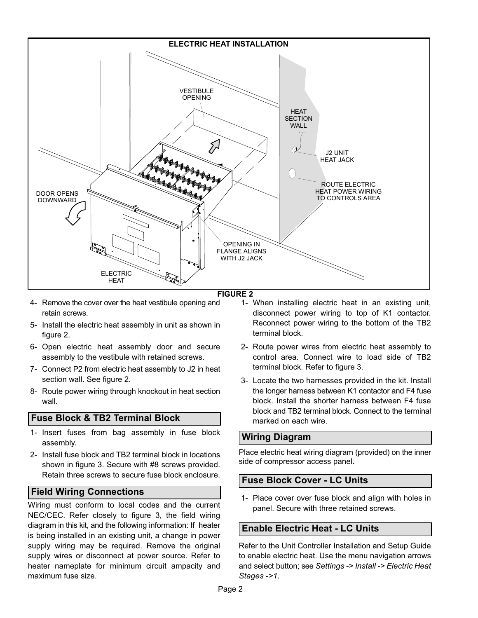<span id="page-1-0"></span>

#### **FIGURE 2**

- 4- Remove the cover over the heat vestibule opening and retain screws.
- 5- Install the electric heat assembly in unit as shown in figure 2.
- 6- Open electric heat assembly door and secure assembly to the vestibule with retained screws.
- 7- Connect P2 from electric heat assembly to J2 in heat section wall. See figure 2.
- 8- Route power wiring through knockout in heat section wall.

#### **Fuse Block & TB2 Terminal Block**

- 1- Insert fuses from bag assembly in fuse block assembly.
- 2- Install fuse block and TB2 terminal block in locations shown in figure [3.](#page-2-0) Secure with #8 screws provided. Retain three screws to secure fuse block enclosure.

#### **Field Wiring Connections**

Wiring must conform to local codes and the current NEC/CEC. Refer closely to figure [3,](#page-2-0) the field wiring diagram in this kit, and the following information: If heater is being installed in an existing unit, a change in power supply wiring may be required. Remove the original supply wires or disconnect at power source. Refer to heater nameplate for minimum circuit ampacity and maximum fuse size.

- 1- When installing electric heat in an existing unit, disconnect power wiring to top of K1 contactor. Reconnect power wiring to the bottom of the TB2 terminal block.
- 2- Route power wires from electric heat assembly to control area. Connect wire to load side of TB2 terminal block. Refer to figure [3.](#page-2-0)
- 3- Locate the two harnesses provided in the kit. Install the longer harness between K1 contactor and F4 fuse block. Install the shorter harness between F4 fuse block and TB2 terminal block. Connect to the terminal marked on each wire.

#### **Wiring Diagram**

Place electric heat wiring diagram (provided) on the inner side of compressor access panel.

#### **Fuse Block Cover - LC Units**

 1- Place cover over fuse block and align with holes in panel. Secure with three retained screws.

# **Enable Electric Heat - LC Units**

Refer to the Unit Controller Installation and Setup Guide to enable electric heat. Use the menu navigation arrows and select button; see *Settings -> Install -> Electric Heat Stages ->1*.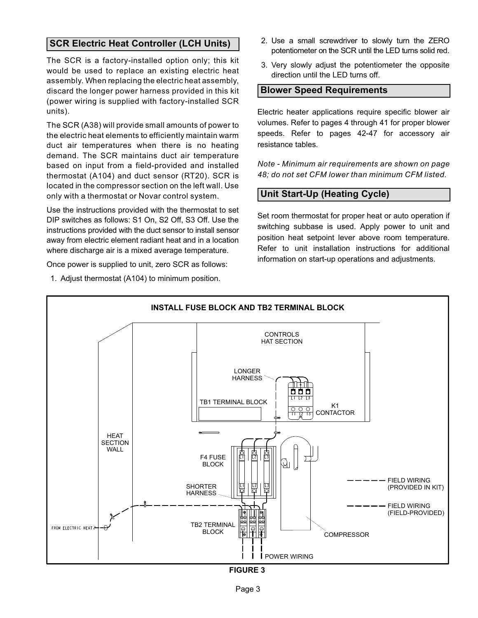# <span id="page-2-0"></span>**SCR Electric Heat Controller (LCH Units)**

The SCR is a factory-installed option only; this kit would be used to replace an existing electric heat assembly. When replacing the electric heat assembly, discard the longer power harness provided in this kit (power wiring is supplied with factory-installed SCR units).

The SCR (A38) will provide small amounts of power to the electric heat elements to efficiently maintain warm duct air temperatures when there is no heating demand. The SCR maintains duct air temperature based on input from a field-provided and installed thermostat (A104) and duct sensor (RT20). SCR is located in the compressor section on the left wall. Use only with a thermostat or Novar control system.

Use the instructions provided with the thermostat to set DIP switches as follows: S1 On, S2 Off, S3 Off. Use the instructions provided with the duct sensor to install sensor away from electric element radiant heat and in a location where discharge air is a mixed average temperature.

Once power is supplied to unit, zero SCR as follows:

1. Adjust thermostat (A104) to minimum position.

- 2. Use a small screwdriver to slowly turn the ZERO potentiometer on the SCR until the LED turns solid red.
- 3. Very slowly adjust the potentiometer the opposite direction until the LED turns off.

#### **Blower Speed Requirements**

Electric heater applications require specific blower air volumes. Refer to pages 4 through 41 for proper blower speeds. Refer to pages 42-47 for accessory air resistance tables.

*Note - Minimum air requirements are shown on page 48; do not set CFM lower than minimum CFM listed.*

# **Unit Start-Up (Heating Cycle)**

Set room thermostat for proper heat or auto operation if switching subbase is used. Apply power to unit and position heat setpoint lever above room temperature. Refer to unit installation instructions for additional information on start-up operations and adjustments.



**FIGURE 3**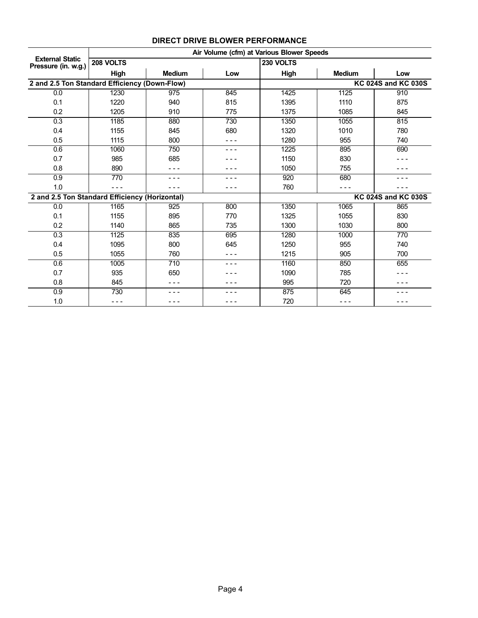|                                                | Air Volume (cfm) at Various Blower Speeds |               |                  |           |               |                            |  |  |  |  |  |  |
|------------------------------------------------|-------------------------------------------|---------------|------------------|-----------|---------------|----------------------------|--|--|--|--|--|--|
| <b>External Static</b><br>Pressure (in. w.g.)  | 208 VOLTS                                 |               |                  | 230 VOLTS |               |                            |  |  |  |  |  |  |
|                                                | High                                      | <b>Medium</b> | Low              | High      | <b>Medium</b> | Low                        |  |  |  |  |  |  |
| 2 and 2.5 Ton Standard Efficiency (Down-Flow)  |                                           |               |                  |           |               | <b>KC 024S and KC 030S</b> |  |  |  |  |  |  |
| 0.0                                            | 1230                                      | 975           | 845              | 1425      | 1125          | 910                        |  |  |  |  |  |  |
| 0.1                                            | 1220                                      | 940           | 815              | 1395      | 1110          | 875                        |  |  |  |  |  |  |
| 0.2                                            | 1205                                      | 910           | 775              | 1375      | 1085          | 845                        |  |  |  |  |  |  |
| 0.3                                            | 1185                                      | 880           | $\overline{730}$ | 1350      | 1055          | 815                        |  |  |  |  |  |  |
| 0.4                                            | 1155                                      | 845           | 680              | 1320      | 1010          | 780                        |  |  |  |  |  |  |
| 0.5                                            | 1115                                      | 800           |                  | 1280      | 955           | 740                        |  |  |  |  |  |  |
| 0.6                                            | 1060                                      | 750           |                  | 1225      | 895           | 690                        |  |  |  |  |  |  |
| 0.7                                            | 985                                       | 685           |                  | 1150      | 830           |                            |  |  |  |  |  |  |
| 0.8                                            | 890                                       | - - -         |                  | 1050      | 755           |                            |  |  |  |  |  |  |
| 0.9                                            | 770                                       |               |                  | 920       | 680           |                            |  |  |  |  |  |  |
| 1.0                                            |                                           |               |                  | 760       |               |                            |  |  |  |  |  |  |
| 2 and 2.5 Ton Standard Efficiency (Horizontal) |                                           |               |                  |           |               | KC 024S and KC 030S        |  |  |  |  |  |  |
| 0.0                                            | 1165                                      | 925           | 800              | 1350      | 1065          | 865                        |  |  |  |  |  |  |
| 0.1                                            | 1155                                      | 895           | 770              | 1325      | 1055          | 830                        |  |  |  |  |  |  |
| 0.2                                            | 1140                                      | 865           | 735              | 1300      | 1030          | 800                        |  |  |  |  |  |  |
| 0.3                                            | 1125                                      | 835           | 695              | 1280      | 1000          | 770                        |  |  |  |  |  |  |
| 0.4                                            | 1095                                      | 800           | 645              | 1250      | 955           | 740                        |  |  |  |  |  |  |
| 0.5                                            | 1055                                      | 760           |                  | 1215      | 905           | 700                        |  |  |  |  |  |  |
| 0.6                                            | 1005                                      | 710           |                  | 1160      | 850           | 655                        |  |  |  |  |  |  |
| 0.7                                            | 935                                       | 650           |                  | 1090      | 785           |                            |  |  |  |  |  |  |
| 0.8                                            | 845                                       | - - -         |                  | 995       | 720           |                            |  |  |  |  |  |  |
| $\overline{0.9}$                               | 730                                       |               |                  | 875       | 645           |                            |  |  |  |  |  |  |
| 1.0                                            | ---                                       | - - -         |                  | 720       | - - -         |                            |  |  |  |  |  |  |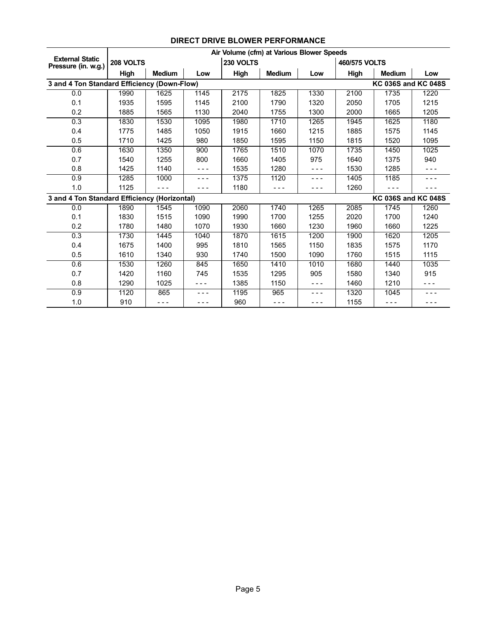|                                               |           |               |       | Air Volume (cfm) at Various Blower Speeds |               |       |               |                            |       |
|-----------------------------------------------|-----------|---------------|-------|-------------------------------------------|---------------|-------|---------------|----------------------------|-------|
| <b>External Static</b><br>Pressure (in. w.g.) | 208 VOLTS |               |       | 230 VOLTS                                 |               |       | 460/575 VOLTS |                            |       |
|                                               | High      | <b>Medium</b> | Low   | High                                      | <b>Medium</b> | Low   | High          | <b>Medium</b>              | Low   |
| 3 and 4 Ton Standard Efficiency (Down-Flow)   |           |               |       |                                           |               |       |               | <b>KC 036S and KC 048S</b> |       |
| 0.0                                           | 1990      | 1625          | 1145  | 2175                                      | 1825          | 1330  | 2100          | 1735                       | 1220  |
| 0.1                                           | 1935      | 1595          | 1145  | 2100                                      | 1790          | 1320  | 2050          | 1705                       | 1215  |
| 0.2                                           | 1885      | 1565          | 1130  | 2040                                      | 1755          | 1300  | 2000          | 1665                       | 1205  |
| 0.3                                           | 1830      | 1530          | 1095  | 1980                                      | 1710          | 1265  | 1945          | 1625                       | 1180  |
| 0.4                                           | 1775      | 1485          | 1050  | 1915                                      | 1660          | 1215  | 1885          | 1575                       | 1145  |
| 0.5                                           | 1710      | 1425          | 980   | 1850                                      | 1595          | 1150  | 1815          | 1520                       | 1095  |
| 0.6                                           | 1630      | 1350          | 900   | 1765                                      | 1510          | 1070  | 1735          | 1450                       | 1025  |
| 0.7                                           | 1540      | 1255          | 800   | 1660                                      | 1405          | 975   | 1640          | 1375                       | 940   |
| 0.8                                           | 1425      | 1140          | - - - | 1535                                      | 1280          | - - - | 1530          | 1285                       | - - - |
| 0.9                                           | 1285      | 1000          | - - - | 1375                                      | 1120          | - - - | 1405          | 1185                       | - - - |
| 1.0                                           | 1125      |               | - - - | 1180                                      |               | - - - | 1260          |                            |       |
| 3 and 4 Ton Standard Efficiency (Horizontal)  |           |               |       |                                           |               |       |               | <b>KC 036S and KC 048S</b> |       |
| 0.0                                           | 1890      | 1545          | 1090  | 2060                                      | 1740          | 1265  | 2085          | 1745                       | 1260  |
| 0.1                                           | 1830      | 1515          | 1090  | 1990                                      | 1700          | 1255  | 2020          | 1700                       | 1240  |
| 0.2                                           | 1780      | 1480          | 1070  | 1930                                      | 1660          | 1230  | 1960          | 1660                       | 1225  |
| 0.3                                           | 1730      | 1445          | 1040  | 1870                                      | 1615          | 1200  | 1900          | 1620                       | 1205  |
| 0.4                                           | 1675      | 1400          | 995   | 1810                                      | 1565          | 1150  | 1835          | 1575                       | 1170  |
| 0.5                                           | 1610      | 1340          | 930   | 1740                                      | 1500          | 1090  | 1760          | 1515                       | 1115  |
| 0.6                                           | 1530      | 1260          | 845   | 1650                                      | 1410          | 1010  | 1680          | 1440                       | 1035  |
| 0.7                                           | 1420      | 1160          | 745   | 1535                                      | 1295          | 905   | 1580          | 1340                       | 915   |
| 0.8                                           | 1290      | 1025          | - - - | 1385                                      | 1150          | - - - | 1460          | 1210                       |       |
| 0.9                                           | 1120      | 865           | - - - | 1195                                      | 965           | ---   | 1320          | 1045                       | - - - |
| 1.0                                           | 910       | - - -         | - - - | 960                                       | - - -         | - - - | 1155          | ---                        | - - - |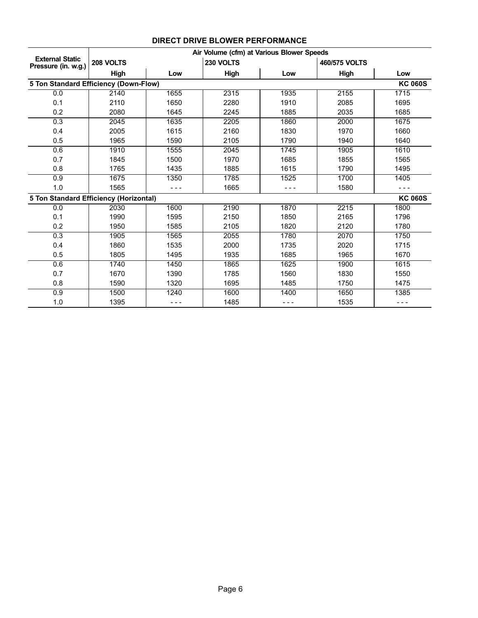|                                               | Air Volume (cfm) at Various Blower Speeds |      |           |       |               |                |  |  |  |  |
|-----------------------------------------------|-------------------------------------------|------|-----------|-------|---------------|----------------|--|--|--|--|
| <b>External Static</b><br>Pressure (in. w.g.) | 208 VOLTS                                 |      | 230 VOLTS |       | 460/575 VOLTS |                |  |  |  |  |
|                                               | High                                      | Low  | High      | Low   | High          | Low            |  |  |  |  |
| 5 Ton Standard Efficiency (Down-Flow)         |                                           |      |           |       |               | <b>KC 060S</b> |  |  |  |  |
| 0.0                                           | 2140                                      | 1655 | 2315      | 1935  | 2155          | 1715           |  |  |  |  |
| 0.1                                           | 2110                                      | 1650 | 2280      | 1910  | 2085          | 1695           |  |  |  |  |
| 0.2                                           | 2080                                      | 1645 | 2245      | 1885  | 2035          | 1685           |  |  |  |  |
| 0.3                                           | 2045                                      | 1635 | 2205      | 1860  | 2000          | 1675           |  |  |  |  |
| 0.4                                           | 2005                                      | 1615 | 2160      | 1830  | 1970          | 1660           |  |  |  |  |
| 0.5                                           | 1965                                      | 1590 | 2105      | 1790  | 1940          | 1640           |  |  |  |  |
| 0.6                                           | 1910                                      | 1555 | 2045      | 1745  | 1905          | 1610           |  |  |  |  |
| 0.7                                           | 1845                                      | 1500 | 1970      | 1685  | 1855          | 1565           |  |  |  |  |
| 0.8                                           | 1765                                      | 1435 | 1885      | 1615  | 1790          | 1495           |  |  |  |  |
| 0.9                                           | 1675                                      | 1350 | 1785      | 1525  | 1700          | 1405           |  |  |  |  |
| 1.0                                           | 1565                                      |      | 1665      |       | 1580          |                |  |  |  |  |
| 5 Ton Standard Efficiency (Horizontal)        |                                           |      |           |       |               | <b>KC 060S</b> |  |  |  |  |
| 0.0                                           | 2030                                      | 1600 | 2190      | 1870  | 2215          | 1800           |  |  |  |  |
| 0.1                                           | 1990                                      | 1595 | 2150      | 1850  | 2165          | 1796           |  |  |  |  |
| 0.2                                           | 1950                                      | 1585 | 2105      | 1820  | 2120          | 1780           |  |  |  |  |
| 0.3                                           | 1905                                      | 1565 | 2055      | 1780  | 2070          | 1750           |  |  |  |  |
| 0.4                                           | 1860                                      | 1535 | 2000      | 1735  | 2020          | 1715           |  |  |  |  |
| 0.5                                           | 1805                                      | 1495 | 1935      | 1685  | 1965          | 1670           |  |  |  |  |
| 0.6                                           | 1740                                      | 1450 | 1865      | 1625  | 1900          | 1615           |  |  |  |  |
| 0.7                                           | 1670                                      | 1390 | 1785      | 1560  | 1830          | 1550           |  |  |  |  |
| 0.8                                           | 1590                                      | 1320 | 1695      | 1485  | 1750          | 1475           |  |  |  |  |
| 0.9                                           | 1500                                      | 1240 | 1600      | 1400  | 1650          | 1385           |  |  |  |  |
| 1.0                                           | 1395                                      |      | 1485      | - - - | 1535          | - - -          |  |  |  |  |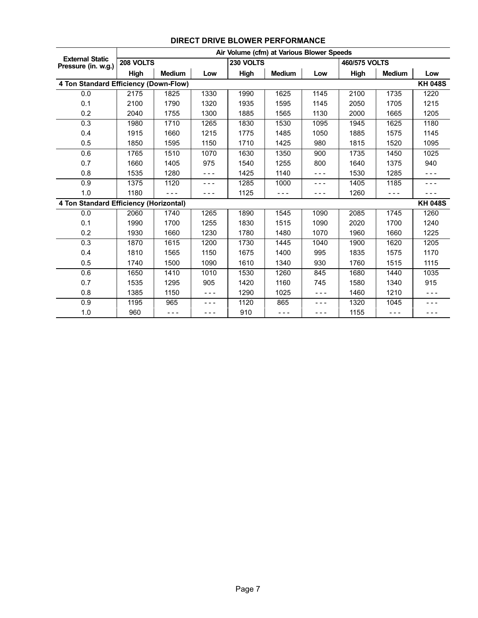|                                               |           |               |       |           | Air Volume (cfm) at Various Blower Speeds |       |               |               |                |
|-----------------------------------------------|-----------|---------------|-------|-----------|-------------------------------------------|-------|---------------|---------------|----------------|
| <b>External Static</b><br>Pressure (in. w.g.) | 208 VOLTS |               |       | 230 VOLTS |                                           |       | 460/575 VOLTS |               |                |
|                                               | High      | <b>Medium</b> | Low   | High      | <b>Medium</b>                             | Low   | High          | <b>Medium</b> | Low            |
| 4 Ton Standard Efficiency (Down-Flow)         |           |               |       |           |                                           |       |               |               | <b>KH 048S</b> |
| 0.0                                           | 2175      | 1825          | 1330  | 1990      | 1625                                      | 1145  | 2100          | 1735          | 1220           |
| 0.1                                           | 2100      | 1790          | 1320  | 1935      | 1595                                      | 1145  | 2050          | 1705          | 1215           |
| 0.2                                           | 2040      | 1755          | 1300  | 1885      | 1565                                      | 1130  | 2000          | 1665          | 1205           |
| 0.3                                           | 1980      | 1710          | 1265  | 1830      | 1530                                      | 1095  | 1945          | 1625          | 1180           |
| 0.4                                           | 1915      | 1660          | 1215  | 1775      | 1485                                      | 1050  | 1885          | 1575          | 1145           |
| 0.5                                           | 1850      | 1595          | 1150  | 1710      | 1425                                      | 980   | 1815          | 1520          | 1095           |
| 0.6                                           | 1765      | 1510          | 1070  | 1630      | 1350                                      | 900   | 1735          | 1450          | 1025           |
| 0.7                                           | 1660      | 1405          | 975   | 1540      | 1255                                      | 800   | 1640          | 1375          | 940            |
| 0.8                                           | 1535      | 1280          | - - - | 1425      | 1140                                      | - - - | 1530          | 1285          | - - -          |
| 0.9                                           | 1375      | 1120          | - - - | 1285      | 1000                                      | - - - | 1405          | 1185          | - - -          |
| 1.0                                           | 1180      | - - -         | - - - | 1125      | - - -                                     | - - - | 1260          | $- - -$       | - - -          |
| 4 Ton Standard Efficiency (Horizontal)        |           |               |       |           |                                           |       |               |               | <b>KH 048S</b> |
| 0.0                                           | 2060      | 1740          | 1265  | 1890      | 1545                                      | 1090  | 2085          | 1745          | 1260           |
| 0.1                                           | 1990      | 1700          | 1255  | 1830      | 1515                                      | 1090  | 2020          | 1700          | 1240           |
| 0.2                                           | 1930      | 1660          | 1230  | 1780      | 1480                                      | 1070  | 1960          | 1660          | 1225           |
| $\overline{0.3}$                              | 1870      | 1615          | 1200  | 1730      | 1445                                      | 1040  | 1900          | 1620          | 1205           |
| 0.4                                           | 1810      | 1565          | 1150  | 1675      | 1400                                      | 995   | 1835          | 1575          | 1170           |
| 0.5                                           | 1740      | 1500          | 1090  | 1610      | 1340                                      | 930   | 1760          | 1515          | 1115           |
| 0.6                                           | 1650      | 1410          | 1010  | 1530      | 1260                                      | 845   | 1680          | 1440          | 1035           |
| 0.7                                           | 1535      | 1295          | 905   | 1420      | 1160                                      | 745   | 1580          | 1340          | 915            |
| 0.8                                           | 1385      | 1150          | - - - | 1290      | 1025                                      | - - - | 1460          | 1210          | - - -          |
| 0.9                                           | 1195      | 965           | - - - | 1120      | 865                                       |       | 1320          | 1045          | - - -          |
| 1.0                                           | 960       | - - -         | - - - | 910       | - - -                                     | - - - | 1155          | - - -         |                |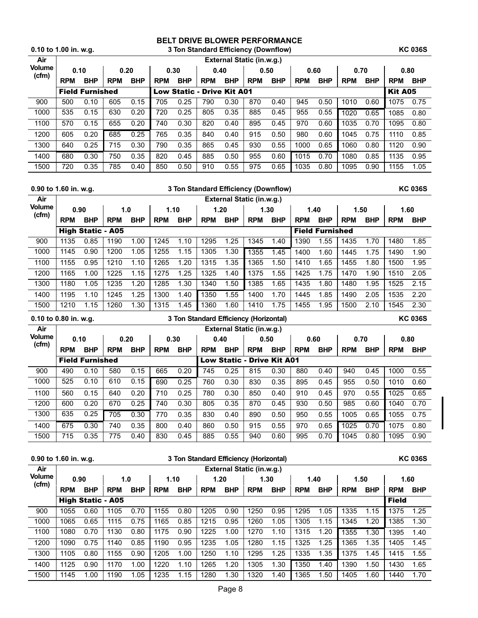| 3 Ton Standard Efficiency (Downflow)<br>0.10 to 1.00 in. w.g. |            |                        |            |            |            |                                   |            |                           |            |            |            |            | <b>KC 036S</b> |            |                |            |
|---------------------------------------------------------------|------------|------------------------|------------|------------|------------|-----------------------------------|------------|---------------------------|------------|------------|------------|------------|----------------|------------|----------------|------------|
| Air                                                           |            |                        |            |            |            |                                   |            | External Static (in.w.g.) |            |            |            |            |                |            |                |            |
| <b>Volume</b><br>(cfm)                                        | 0.10       |                        | 0.20       |            |            | 0.30                              | 0.40       |                           | 0.50       |            | 0.60       |            | 0.70           |            | 0.80           |            |
|                                                               | <b>RPM</b> | <b>BHP</b>             | <b>RPM</b> | <b>BHP</b> | <b>RPM</b> | <b>BHP</b>                        | <b>RPM</b> | <b>BHP</b>                | <b>RPM</b> | <b>BHP</b> | <b>RPM</b> | <b>BHP</b> | <b>RPM</b>     | <b>BHP</b> | <b>RPM</b>     | <b>BHP</b> |
|                                                               |            | <b>Field Furnished</b> |            |            |            | <b>Low Static - Drive Kit A01</b> |            |                           |            |            |            |            |                |            | <b>Kit A05</b> |            |
| 900                                                           | 500        | 0.10                   | 605        | 0.15       | 705        | 0.25                              | 790        | 0.30                      | 870        | 0.40       | 945        | 0.50       | 1010           | 0.60       | 1075           | 0.75       |
| 1000                                                          | 535        | 0.15                   | 630        | 0.20       | 720        | 0.25                              | 805        | 0.35                      | 885        | 0.45       | 955        | 0.55       | 1020           | 0.65       | 1085           | 0.80       |
| 1100                                                          | 570        | 0.15                   | 655        | 0.20       | 740        | 0.30                              | 820        | 0.40                      | 895        | 0.45       | 970        | 0.60       | 1035           | 0.70       | 1095           | 0.80       |
| 1200                                                          | 605        | 0.20                   | 685        | 0.25       | 765        | 0.35                              | 840        | 0.40                      | 915        | 0.50       | 980        | 0.60       | 1045           | 0.75       | 1110           | 0.85       |
| 1300                                                          | 640        | 0.25                   | 715        | 0.30       | 790        | 0.35                              | 865        | 0.45                      | 930        | 0.55       | 1000       | 0.65       | 1060           | 0.80       | 1120           | 0.90       |
| 1400                                                          | 680        | 0.30                   | 750        | 0.35       | 820        | 0.45                              | 885        | 0.50                      | 955        | 0.60       | 1015       | 0.70       | 1080           | 0.85       | 1135           | 0.95       |
| 1500                                                          | 720        | 0.35                   | 785        | 0.40       | 850        | 0.50                              | 910        | 0.55                      | 975        | 0.65       | 1035       | 0.80       | 1095           | 0.90       | 1155           | 1.05       |

|                                                                     | $0.90$ to 1.60 in. w.g.<br>3 Ton Standard Efficiency (Downflow) |            |            |            |            |            |            |            |                           |            |            |                |            |            |            | <b>KC 036S</b> |
|---------------------------------------------------------------------|-----------------------------------------------------------------|------------|------------|------------|------------|------------|------------|------------|---------------------------|------------|------------|----------------|------------|------------|------------|----------------|
| Air                                                                 |                                                                 |            |            |            |            |            |            |            | External Static (in.w.g.) |            |            |                |            |            |            |                |
| <b>Volume</b><br>(cfm)                                              | 0.90                                                            |            |            | 1.0        | 1.10       |            | 1.20       |            | 1.30                      |            | 1.40       |                | 1.50       |            | 1.60       |                |
|                                                                     | <b>RPM</b>                                                      | <b>BHP</b> | <b>RPM</b> | <b>BHP</b> | <b>RPM</b> | <b>BHP</b> | <b>RPM</b> | <b>BHP</b> | <b>RPM</b>                | <b>BHP</b> | <b>RPM</b> | <b>BHP</b>     | <b>RPM</b> | <b>BHP</b> | <b>RPM</b> | <b>BHP</b>     |
|                                                                     | <b>Field Furnished</b><br><b>High Static - A05</b>              |            |            |            |            |            |            |            |                           |            |            |                |            |            |            |                |
| 900                                                                 | 1135                                                            | 0.85       | 1190       | 1.00       | 1245       | 1.10       | 1295       | 1.25       | 1345                      | 1.40       | 1390       | 1.55           | 1435       | 1.70       | 1480       | 1.85           |
| 1000                                                                | 1145                                                            | 0.90       | 1200       | 1.05       | 1255       | 1.15       | 1305       | 1.30       | 1355                      | 1.45       | 1400       | 1.60           | 1445       | 1.75       | 1490       | 1.90           |
| 1100                                                                | 1155                                                            | 0.95       | 1210       | 1.10       | 1265       | 1.20       | 1315       | 1.35       | 1365                      | 1.50       | 1410       | 1.65           | 1455       | 1.80       | 1500       | 1.95           |
| 1200                                                                | 1165                                                            | 1.00       | 1225       | 1.15       | 1275       | 1.25       | 1325       | 1.40       | 1375                      | 1.55       | 1425       | 1.75           | 1470       | 1.90       | 1510       | 2.05           |
| 1300                                                                | 1180                                                            | 1.05       | 1235       | 1.20       | 1285       | 1.30       | 1340       | 1.50       | 1385                      | 1.65       | 1435       | 1.80           | 1480       | 1.95       | 1525       | 2.15           |
| 1400                                                                | 1195                                                            | 1.10       | 1245       | 1.25       | 1300       | 1.40       | 1350       | 1.55       | 1400                      | 1.70       | 1445       | 1.85           | 1490       | 2.05       | 1535       | 2.20           |
| 1500                                                                | 1210                                                            | 1.15       | 1260       | 1.30       | 1315       | 1.45       | 1360       | 1.60       | 1410                      | 1.75       | 1455       | 1.95           | 1500       | 2.10       | 1545       | 2.30           |
| $0.10$ to $0.80$ in. w.g.<br>3 Ton Standard Efficiency (Horizontal) |                                                                 |            |            |            |            |            |            |            |                           |            |            | <b>KC 036S</b> |            |            |            |                |

| Air                    | External Static (in.w.g.) |                        |            |            |            |            |            |                            |            |            |            |            |            |            |            |            |
|------------------------|---------------------------|------------------------|------------|------------|------------|------------|------------|----------------------------|------------|------------|------------|------------|------------|------------|------------|------------|
| <b>Volume</b><br>(cfm) |                           | 0.10                   | 0.20       |            |            | 0.30       | 0.40       |                            | 0.50       |            | 0.60       |            | 0.70       |            | 0.80       |            |
|                        | <b>RPM</b>                | <b>BHP</b>             | <b>RPM</b> | <b>BHP</b> | <b>RPM</b> | <b>BHP</b> | <b>RPM</b> | <b>BHP</b>                 | <b>RPM</b> | <b>BHP</b> | <b>RPM</b> | <b>BHP</b> | <b>RPM</b> | <b>BHP</b> | <b>RPM</b> | <b>BHP</b> |
|                        |                           | <b>Field Furnished</b> |            |            |            |            |            | Low Static - Drive Kit A01 |            |            |            |            |            |            |            |            |
| 900                    | 490                       | 0.10                   | 580        | 0.15       | 665        | 0.20       | 745        | 0.25                       | 815        | 0.30       | 880        | 0.40       | 940        | 0.45       | 1000       | 0.55       |
| 1000                   | 525                       | 0.10                   | 610        | 0.15       | 690        | 0.25       | 760        | 0.30                       | 830        | 0.35       | 895        | 0.45       | 955        | 0.50       | 1010       | 0.60       |
| 1100                   | 560                       | 0.15                   | 640        | 0.20       | 710        | 0.25       | 780        | 0.30                       | 850        | 0.40       | 910        | 0.45       | 970        | 0.55       | 1025       | 0.65       |
| 1200                   | 600                       | 0.20                   | 670        | 0.25       | 740        | 0.30       | 805        | 0.35                       | 870        | 0.45       | 930        | 0.50       | 985        | 0.60       | 1040       | 0.70       |
| 1300                   | 635                       | 0.25                   | 705        | 0.30       | 770        | 0.35       | 830        | 0.40                       | 890        | 0.50       | 950        | 0.55       | 1005       | 0.65       | 1055       | 0.75       |
| 1400                   | 675                       | 0.30                   | 740        | 0.35       | 800        | 0.40       | 860        | 0.50                       | 915        | 0.55       | 970        | 0.65       | 1025       | 0.70       | 1075       | 0.80       |
| 1500                   | 715                       | 0.35                   | 775        | 0.40       | 830        | 0.45       | 885        | 0.55                       | 940        | 0.60       | 995        | 0.70       | 1045       | 0.80       | 1095       | 0.90       |

|                        | 0.90 to 1.60 in. w.g.<br>3 Ton Standard Efficiency (Horizontal) |                          |            |                                     |            |            |            |            |                           |            |            | <b>KC 036S</b> |            |            |              |            |
|------------------------|-----------------------------------------------------------------|--------------------------|------------|-------------------------------------|------------|------------|------------|------------|---------------------------|------------|------------|----------------|------------|------------|--------------|------------|
| Air                    |                                                                 |                          |            |                                     |            |            |            |            | External Static (in.w.g.) |            |            |                |            |            |              |            |
| <b>Volume</b><br>(cfm) | 0.90                                                            |                          |            | 1.20<br>1.30<br>1.10<br>1.40<br>1.0 |            |            |            |            |                           |            | 1.50       |                | 1.60       |            |              |            |
|                        | <b>RPM</b>                                                      | <b>BHP</b>               | <b>RPM</b> | <b>BHP</b>                          | <b>RPM</b> | <b>BHP</b> | <b>RPM</b> | <b>BHP</b> | <b>RPM</b>                | <b>BHP</b> | <b>RPM</b> | <b>BHP</b>     | <b>RPM</b> | <b>BHP</b> | <b>RPM</b>   | <b>BHP</b> |
|                        |                                                                 | <b>High Static - A05</b> |            |                                     |            |            |            |            |                           |            |            |                |            |            | <b>Field</b> |            |
| 900                    | 1055                                                            | 0.60                     | 1105       | 0.70                                | 1155       | 0.80       | 1205       | 0.90       | 1250                      | 0.95       | 1295       | 1.05           | 1335       | 1.15       | 1375         | 1.25       |
| 1000                   | 1065                                                            | 0.65                     | 1115       | 0.75                                | 1165       | 0.85       | 1215       | 0.95       | 1260                      | 1.05       | 1305       | 1.15           | 1345       | 1.20       | 1385         | 1.30       |
| 1100                   | 1080                                                            | 0.70                     | 1130       | 0.80                                | 1175       | 0.90       | 1225       | 1.00       | 1270                      | 1.10       | 1315       | 1.20           | 1355       | 1.30       | 1395         | 1.40       |
| 1200                   | 1090                                                            | 0.75                     | 1140       | 0.85                                | 1190       | 0.95       | 1235       | 1.05       | 1280                      | 1.15       | 1325       | 1.25           | 1365       | 1.35       | 1405         | 1.45       |
| 1300                   | 1105                                                            | 0.80                     | 1155       | 0.90                                | 1205       | 1.00       | 1250       | 1.10       | 1295                      | 1.25       | 1335       | 1.35           | 1375       | 1.45       | 1415         | 1.55       |
| 1400                   | 1125                                                            | 0.90                     | 1170       | 1.00                                | 1220       | 1.10       | 1265       | 1.20       | 1305                      | 1.30       | 1350       | 1.40           | 1390       | 1.50       | 1430         | 1.65       |
| 1500                   | 1145                                                            | 1.00                     | 1190       | 1.05                                | 1235       | 1.15       | 1280       | 1.30       | 1320                      | 1.40       | 1365       | 1.50           | 1405       | 1.60       | 1440         | 1.70       |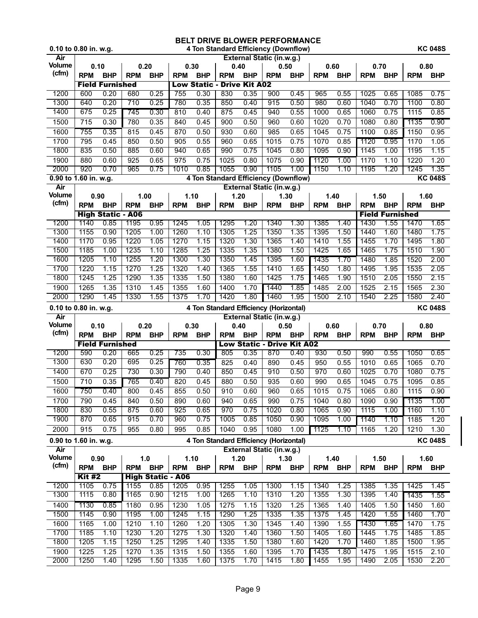|                       | 0.10 to 0.80 in. w.g.<br>4 Ton Standard Efficiency (Downflow) |                          |              |                          |              |                                        |                  |              |                                        | <b>KC 048S</b> |              |              |              |                        |              |                |
|-----------------------|---------------------------------------------------------------|--------------------------|--------------|--------------------------|--------------|----------------------------------------|------------------|--------------|----------------------------------------|----------------|--------------|--------------|--------------|------------------------|--------------|----------------|
| Air                   |                                                               |                          |              |                          |              |                                        |                  |              | External Static (in.w.g.)              |                |              |              |              |                        |              |                |
| <b>Volume</b>         | 0.10                                                          |                          |              | 0.20                     | 0.30         |                                        | 0.40             |              | 0.50                                   |                | 0.60         |              | 0.70         |                        | 0.80         |                |
| (cfm)                 | <b>RPM</b>                                                    | <b>BHP</b>               | <b>RPM</b>   | <b>BHP</b>               | <b>RPM</b>   | <b>BHP</b>                             | <b>RPM</b>       | <b>BHP</b>   | <b>RPM</b>                             | <b>BHP</b>     | <b>RPM</b>   | <b>BHP</b>   | <b>RPM</b>   | <b>BHP</b>             | <b>RPM</b>   | <b>BHP</b>     |
|                       |                                                               | <b>Field Furnished</b>   |              |                          |              | <b>Low Static - Drive Kit A02</b>      |                  |              |                                        |                |              |              |              |                        |              |                |
| 1200                  | 600                                                           | 0.20                     | 680          | 0.25                     | 755          | 0.30                                   | 830              | 0.35         | 900                                    | 0.45           | 965          | 0.55         | 1025         | 0.65                   | 1085         | 0.75           |
| 1300                  | 640                                                           | 0.20                     | 710          | 0.25                     | 780          | 0.35                                   | 850              | 0.40         | 915                                    | 0.50           | 980          | 0.60         | 1040         | 0.70                   | 1100         | 0.80           |
| 1400                  | 675                                                           | 0.25                     | 745          | 0.30                     | 810          | 0.40                                   | 875              | 0.45         | 940                                    | 0.55           | 1000         | 0.65         | 1060         | 0.75                   | 1115         | 0.85           |
| 1500                  | 715                                                           | 0.30                     | 780          | 0.35                     | 840          | 0.45                                   | 900              | 0.50         | 960                                    | 0.60           | 1020         | 0.70         | 1080         | 0.80                   | 1135         | 0.90           |
| 1600                  | 755                                                           | 0.35                     | 815          | 0.45                     | 870          | 0.50                                   | 930              | 0.60         | 985                                    | 0.65           | 1045         | 0.75         | 1100         | 0.85                   | 1150         | 0.95           |
| 1700                  | 795                                                           | 0.45                     | 850          | 0.50                     | 905          | 0.55                                   | 960              | 0.65         | 1015                                   | 0.75           | 1070         | 0.85         | 1120         | 0.95                   | 1170         | 1.05           |
| 1800                  | 835                                                           | 0.50                     | 885          | 0.60                     | 940          | 0.65                                   | 990              | 0.75         | 1045                                   | 0.80           | 1095         | 0.90         | 1145         | 1.00                   | 1195         | 1.15           |
| 1900                  | 880                                                           | 0.60                     | 925          | 0.65                     | 975          | 0.75                                   | 1025             | 0.80         | 1075                                   | 0.90           | 1120         | 1.00         | 1170         | 1.10                   | 1220         | 1.20           |
| 2000                  | 920                                                           | 0.70                     | 965          | 0.75                     | 1010         | 0.85                                   | 1055             | 0.90         | 1105                                   | 1.00           | 1150         | 1.10         | 1195         | 1.20                   | 1245         | 1.35           |
| 0.90 to 1.60 in. w.g. |                                                               |                          |              |                          |              |                                        |                  |              | 4 Ton Standard Efficiency (Downflow)   |                |              |              |              |                        |              | <b>KC 048S</b> |
| Air                   |                                                               |                          |              |                          |              |                                        |                  |              | External Static (in.w.g.)              |                |              |              |              |                        |              |                |
| <b>Volume</b>         | 0.90                                                          |                          |              | 1.00                     | 1.10         |                                        | 1.20             |              | 1.30                                   |                | 1.40         |              | 1.50         |                        | 1.60         |                |
| (cfm)                 | <b>RPM</b>                                                    | <b>BHP</b>               | <b>RPM</b>   | <b>BHP</b>               | <b>RPM</b>   | <b>BHP</b>                             | <b>RPM</b>       | <b>BHP</b>   | <b>RPM</b>                             | <b>BHP</b>     | <b>RPM</b>   | <b>BHP</b>   | <b>RPM</b>   | <b>BHP</b>             | <b>RPM</b>   | <b>BHP</b>     |
|                       |                                                               | <b>High Static - A06</b> |              |                          |              |                                        |                  |              |                                        |                |              |              |              | <b>Field Furnished</b> |              |                |
| 1200                  | 1140                                                          | 0.85                     | 1195         | 0.95                     | 1245         | 1.05                                   | 1295             | 1.20         | 1340                                   | 1.30           | 1385         | 1.40         | 1430         | 1.55                   | 1470         | 1.65           |
| 1300                  | 1155                                                          | 0.90                     | 1205         | 1.00                     | 1260         | 1.10                                   | 1305             | 1.25         | 1350                                   | 1.35           | 1395         | 1.50         | 1440         | 1.60                   | 1480         | 1.75           |
| 1400                  | 1170                                                          | 0.95                     | 1220         | 1.05                     | 1270         | 1.15                                   | 1320             | 1.30         | 1365                                   | 1.40           | 1410         | 1.55         | 1455         | 1.70                   | 1495         | 1.80           |
| 1500                  | 1185                                                          | 1.00                     | 1235         | 1.10                     | 1285         | 1.25                                   | 1335             | 1.35         | 1380                                   | 1.50           | 1425         | 1.65         | 1465         | 1.75                   | 1510         | 1.90           |
| 1600                  | 1205                                                          | 1.10                     | 1255         | 1.20                     | 1300         | 1.30                                   | 1350             | 1.45         | 1395                                   | 1.60           | 1435         | 1.70         | 1480         | 1.85                   | 1520         | 2.00           |
| 1700                  | 1220                                                          | 1.15                     | 1270         | 1.25                     | 1320         | 1.40                                   | 1365             | 1.55         | 1410                                   | 1.65           | 1450         | 1.80         | 1495         | 1.95                   | 1535         | 2.05           |
| 1800                  | 1245                                                          | 1.25                     | 1290         | 1.35                     | 1335         | 1.50                                   | 1380             | 1.60         | 1425                                   | 1.75           | 1465         | 1.90         | 1510         | 2.05                   | 1550         | 2.15           |
| 1900                  | 1265                                                          | 1.35                     | 1310         | 1.45                     | 1355         | 1.60                                   | 1400             | 1.70         | 1440                                   | 1.85           | 1485         | 2.00         | 1525         | 2.15                   | 1565         | 2.30           |
| 2000                  | 1290                                                          | 1.45                     | 1330         | 1.55                     | 1375         | 1.70                                   | 1420             | 1.80         | 1460                                   | 1.95           | 1500         | 2.10         | 1540         | 2.25                   | 1580         | 2.40           |
|                       |                                                               |                          |              |                          |              |                                        |                  |              |                                        |                |              |              |              |                        |              |                |
| 0.10 to 0.80 in. w.g. |                                                               |                          |              |                          |              | 4 Ton Standard Efficiency (Horizontal) |                  |              |                                        |                |              |              |              |                        |              | <b>KC 048S</b> |
| Air                   |                                                               |                          |              |                          |              |                                        |                  |              | <b>External Static (in.w.g.)</b>       |                |              |              |              |                        |              |                |
| Volume                | 0.10                                                          |                          |              | 0.20                     |              | 0.30                                   | 0.40             |              | 0.50                                   |                | 0.60         |              | 0.70         |                        | 0.80         |                |
| (cfm)                 | <b>RPM</b>                                                    | <b>BHP</b>               | <b>RPM</b>   | <b>BHP</b>               | <b>RPM</b>   | <b>BHP</b>                             | <b>RPM</b>       | <b>BHP</b>   | <b>RPM</b>                             | <b>BHP</b>     | <b>RPM</b>   | <b>BHP</b>   | <b>RPM</b>   | <b>BHP</b>             | <b>RPM</b>   | <b>BHP</b>     |
|                       |                                                               | <b>Field Furnished</b>   |              |                          |              |                                        |                  |              | <b>Low Static - Drive Kit A02</b>      |                |              |              |              |                        |              |                |
| 1200                  | 590                                                           | 0.20                     | 665          | 0.25                     | 735          | 0.30                                   | 805              | 0.35         | 870                                    | 0.40           | 930          | 0.50         | 990          | 0.55                   | 1050         | 0.65           |
| 1300                  | 630                                                           | 0.20                     | 695          | 0.25                     | 760          | 0.35                                   | 825              | 0.40         | 890                                    | 0.45           | 950          | 0.55         | 1010         | 0.65                   | 1065         | 0.70           |
| 1400                  | 670                                                           | 0.25                     | 730          | 0.30                     | 790          | 0.40                                   | 850              | 0.45         | 910                                    | 0.50           | 970          | 0.60         | 1025         | 0.70                   | 1080         | 0.75           |
| 1500                  | 710                                                           | 0.35                     | 765          | 0.40                     | 820          | 0.45                                   | 880              | 0.50         | 935                                    | 0.60           | 990          | 0.65         | 1045         | 0.75                   | 1095         | 0.85           |
| 1600                  | 750                                                           | 0.40                     | 800          | 0.45                     | 855          | 0.50                                   | $\overline{910}$ | 0.60         | 960                                    | 0.65           | 1015         | 0.75         | 1065         | 0.80                   | 1115         | 0.90           |
| 1700                  | 790                                                           | 0.45                     | 840          | 0.50                     | 890          | 0.60                                   | 940              | 0.65         | 990                                    | 0.75           | 1040         | 0.80         | 1090         | 0.90                   | 1135         | 1.00           |
| 1800                  | 830                                                           | 0.55                     | 875          | 0.60                     | 925          | 0.65                                   | 970              | 0.75         | 1020                                   | 0.80           | 1065         | 0.90         | 1115         | 1.00                   | 1160         | 1.10           |
| 1900                  | 870                                                           | 0.65                     | 915          | 0.70                     | 960          | 0.75                                   | 1005             | 0.85         | 1050                                   | 0.90           | 1095         | 1.00         | 1140         | 1.10                   | 1185         | 1.20           |
| 2000                  | 915                                                           | 0.75                     | 955          | 0.80                     | 995          | 0.85                                   | 1040             | 0.95         | 1080                                   | 1.00           | 1125         | 1.10         | 1165         | 1.20                   | 1210         | 1.30           |
| 0.90 to 1.60 in. w.g. |                                                               |                          |              |                          |              |                                        |                  |              | 4 Ton Standard Efficiency (Horizontal) |                |              |              |              |                        |              | <b>KC 048S</b> |
| Air                   |                                                               |                          |              |                          |              |                                        |                  |              | External Static (in.w.g.)              |                |              |              |              |                        |              |                |
| <b>Volume</b>         | 0.90                                                          |                          |              | 1.0                      |              | 1.10                                   | 1.20             |              | 1.30                                   |                |              | 1.40         | 1.50         |                        |              | 1.60           |
| (cfm)                 | <b>RPM</b>                                                    | <b>BHP</b>               | <b>RPM</b>   | <b>BHP</b>               | <b>RPM</b>   | <b>BHP</b>                             | <b>RPM</b>       | <b>BHP</b>   | <b>RPM</b>                             | <b>BHP</b>     | <b>RPM</b>   | <b>BHP</b>   | <b>RPM</b>   | <b>BHP</b>             | <b>RPM</b>   | <b>BHP</b>     |
|                       | <b>Kit #2</b>                                                 |                          |              | <b>High Static - A06</b> |              |                                        |                  |              |                                        |                |              |              |              |                        |              |                |
| 1200                  | 1105                                                          | 0.75                     | 1155         | 0.85                     | 1205         | 0.95                                   | 1255             | 1.05         | 1300                                   | 1.15           | 1340         | 1.25         | 1385         | 1.35                   | 1425         | 1.45           |
| 1300                  | 1115                                                          | 0.80                     | 1165         | 0.90                     | 1215         | 1.00                                   | 1265             | 1.10         | 1310                                   | 1.20           | 1355         | 1.30         | 1395         | 1.40                   | 1435         | 1.55           |
| 1400                  | 1130                                                          | 0.85                     | 1180         | 0.95                     | 1230         | 1.05                                   | 1275             | 1.15         | 1320                                   | 1.25           | 1365         | 1.40         | 1405         | 1.50                   | 1450         | 1.60           |
| 1500                  | 1145                                                          | 0.90                     | 1195         | 1.00                     | 1245         | 1.15                                   | 1290             | 1.25         | 1335                                   | 1.35           | 1375         | 1.45         | 1420         | 1.55                   | 1460         | 1.70           |
| 1600                  | 1165                                                          | 1.00                     | 1210         | 1.10                     | 1260         | 1.20                                   | 1305             | 1.30         | 1345                                   | 1.40           | 1390         | 1.55         | 1430         | 1.65                   | 1470         | 1.75           |
| 1700                  | 1185                                                          | 1.10                     | 1230         | 1.20                     | 1275         | 1.30                                   | 1320             | 1.40         | 1360                                   | 1.50           | 1405         | 1.60         | 1445         | 1.75                   | 1485         | 1.85           |
| 1800                  | 1205                                                          | 1.15                     | 1250         | 1.25                     | 1295         | 1.40                                   | 1335             | 1.50         | 1380                                   | 1.60           | 1420         | 1.70         | 1460         | 1.85                   | 1500         | 1.95           |
| 1900<br>2000          | 1225<br>1250                                                  | 1.25<br>1.40             | 1270<br>1295 | 1.35<br>1.50             | 1315<br>1335 | 1.50<br>1.60                           | 1355<br>1375     | 1.60<br>1.70 | 1395<br>1415                           | 1.70<br>1.80   | 1435<br>1455 | 1.80<br>1.95 | 1475<br>1490 | 1.95<br>2.05           | 1515<br>1530 | 2.10<br>2.20   |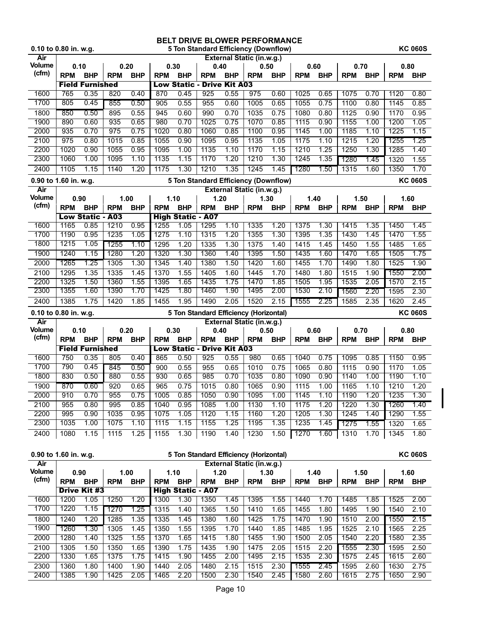| 0.10 to 0.80 in. w.g.  |            |                                 |            |            |            |                                  |                                   |              | BELT DRIVE BLOWER PERFORMANCE<br>5 Ton Standard Efficiency (Downflow) |            |            |            |            |            |            | <b>KC 060S</b> |
|------------------------|------------|---------------------------------|------------|------------|------------|----------------------------------|-----------------------------------|--------------|-----------------------------------------------------------------------|------------|------------|------------|------------|------------|------------|----------------|
| Air                    |            |                                 |            |            |            |                                  |                                   |              | External Static (in.w.g.)                                             |            |            |            |            |            |            |                |
| Volume                 | 0.10       |                                 | 0.20       |            | 0.30       |                                  | 0.40                              |              | 0.50                                                                  |            | 0.60       |            | 0.70       |            | 0.80       |                |
| (cfm)                  | <b>RPM</b> | <b>BHP</b>                      | <b>RPM</b> | <b>BHP</b> | <b>RPM</b> | <b>BHP</b>                       | <b>RPM</b>                        | <b>BHP</b>   | <b>RPM</b>                                                            | <b>BHP</b> | <b>RPM</b> | <b>BHP</b> | <b>RPM</b> | <b>BHP</b> | <b>RPM</b> | <b>BHP</b>     |
|                        |            | <b>Field Furnished</b>          |            |            |            |                                  | <b>Low Static - Drive Kit A03</b> |              |                                                                       |            |            |            |            |            |            |                |
| 1600                   | 765        | 0.35                            | 820        | 0.40       | 870        | 0.45                             | 925                               | 0.55         | 975                                                                   | 0.60       | 1025       | 0.65       | 1075       | 0.70       | 1120       | 0.80           |
| 1700                   | 805        | 0.45                            | 855        | 0.50       | 905        | 0.55                             | 955                               | 0.60         | 1005                                                                  | 0.65       | 1055       | 0.75       | 1100       | 0.80       | 1145       | 0.85           |
| 1800                   | 850        | 0.50                            | 895        | 0.55       | 945        | 0.60                             | 990                               | 0.70         | 1035                                                                  | 0.75       | 1080       | 0.80       | 1125       | 0.90       | 1170       | 0.95           |
| 1900                   | 890        | 0.60                            | 935        | 0.65       | 980        | 0.70                             | 1025                              | 0.75         | 1070                                                                  | 0.85       | 1115       | 0.90       | 1155       | 1.00       | 1200       | 1.05           |
| 2000                   | 935        | 0.70                            | 975        | 0.75       | 1020       | 0.80                             | 1060                              | 0.85         | 1100                                                                  | 0.95       | 1145       | 1.00       | 1185       | 1.10       | 1225       | 1.15           |
| 2100                   | 975        | 0.80                            | 1015       | 0.85       | 1055       | 0.90                             | 1095                              | 0.95         | 1135                                                                  | 1.05       | 1175       | 1.10       | 1215       | 1.20       | 1255       | 1.25           |
| 2200                   | 1020       | 0.90                            | 1055       | 0.95       | 1095       | 1.00                             | 1135                              | 1.10         | 1170                                                                  | 1.15       | 1210       | 1.25       | 1250       | 1.30       | 1285       | 1.40           |
| 2300                   | 1060       | 1.00                            | 1095       | 1.10       | 1135       | 1.15                             | 1170                              | 1.20         | 1210                                                                  | 1.30       | 1245       | 1.35       | 1280       | 1.45       | 1320       | 1.55           |
| 2400                   | 1105       | 1.15                            | 1140       | 1.20       | 1175       | 1.30                             | 1210                              | 1.35         | 1245                                                                  | 1.45       | 1280       | 1.50       | 1315       | 1.60       | 1350       | 1.70           |
| 0.90 to 1.60 in. w.g.  |            |                                 |            |            |            |                                  |                                   |              | 5 Ton Standard Efficiency (Downflow)                                  |            |            |            |            |            |            | <b>KC 060S</b> |
| Air                    |            |                                 |            |            |            |                                  |                                   |              | External Static (in.w.g.)                                             |            |            |            |            |            |            |                |
| Volume<br>(cfm)        | 0.90       |                                 |            | 1.00       | 1.10       |                                  | 1.20                              |              | 1.30                                                                  |            | 1.40       |            | 1.50       |            |            | 1.60           |
|                        | <b>RPM</b> | <b>BHP</b>                      | <b>RPM</b> | <b>BHP</b> | <b>RPM</b> | <b>BHP</b>                       | <b>RPM</b>                        | <b>BHP</b>   | <b>RPM</b>                                                            | <b>BHP</b> | <b>RPM</b> | <b>BHP</b> | <b>RPM</b> | <b>BHP</b> | <b>RPM</b> | <b>BHP</b>     |
|                        | 1165       | <b>Low Static - A03</b><br>0.85 | 1210       | 0.95       | 1255       | <b>High Static - A07</b><br>1.05 | 1295                              |              | 1335                                                                  | 1.20       | 1375       | 1.30       | 1415       | 1.35       | 1450       | 1.45           |
| 1600<br>1700           | 1190       | 0.95                            | 1235       | 1.05       | 1275       | 1.10                             | 1315                              | 1.10<br>1.20 | 1355                                                                  | 1.30       | 1395       | 1.35       | 1430       | 1.45       | 1470       | 1.55           |
| 1800                   | 1215       | 1.05                            | 1255       | 1.10       | 1295       | 1.20                             | 1335                              | 1.30         | 1375                                                                  | 1.40       | 1415       | 1.45       | 1450       | 1.55       | 1485       | 1.65           |
| 1900                   | 1240       | 1.15                            | 1280       | 1.20       | 1320       | 1.30                             | 1360                              | 1.40         | 1395                                                                  | 1.50       | 1435       | 1.60       | 1470       | 1.65       | 1505       | 1.75           |
| 2000                   | 1265       | 1.25                            | 1305       | 1.30       | 1345       | 1.40                             | 1380                              | 1.50         | 1420                                                                  | 1.60       | 1455       | 1.70       | 1490       | 1.80       | 1525       | 1.90           |
| 2100                   | 1295       | 1.35                            | 1335       | 1.45       | 1370       | 1.55                             | 1405                              | 1.60         | 1445                                                                  | 1.70       | 1480       | 1.80       | 1515       | 1.90       | 1550       | 2.00           |
| 2200                   | 1325       | 1.50                            | 1360       | 1.55       | 1395       | 1.65                             | 1435                              | 1.75         | 1470                                                                  | 1.85       | 1505       | 1.95       | 1535       | 2.05       | 1570       | 2.15           |
| 2300                   | 1355       | 1.60                            | 1390       | 1.70       | 1425       | 1.80                             | 1460                              | 1.90         | 1495                                                                  | 2.00       | 1530       | 2.10       | 1560       | 2.20       | 1595       | 2.30           |
| 2400                   | 1385       | 1.75                            | 1420       | 1.85       | 1455       | 1.95                             | 1490                              | 2.05         | 1520                                                                  | 2.15       | 1555       | 2.25       | 1585       | 2.35       | 1620       | 2.45           |
| 0.10 to 0.80 in. w.g.  |            |                                 |            |            |            |                                  |                                   |              | 5 Ton Standard Efficiency (Horizontal)                                |            |            |            |            |            |            | <b>KC 060S</b> |
| Air                    |            |                                 |            |            |            |                                  |                                   |              | External Static (in.w.g.)                                             |            |            |            |            |            |            |                |
| Volume                 | 0.10       |                                 | 0.20       |            | 0.30       |                                  | 0.40                              |              | 0.50                                                                  |            | 0.60       |            | 0.70       |            | 0.80       |                |
| (cfm)                  | <b>RPM</b> | <b>BHP</b>                      | <b>RPM</b> | <b>BHP</b> | <b>RPM</b> | <b>BHP</b>                       | <b>RPM</b>                        | <b>BHP</b>   | <b>RPM</b>                                                            | <b>BHP</b> | <b>RPM</b> | <b>BHP</b> | <b>RPM</b> | <b>BHP</b> | <b>RPM</b> | <b>BHP</b>     |
|                        |            | <b>Field Furnished</b>          |            |            |            |                                  | <b>Low Static - Drive Kit A03</b> |              |                                                                       |            |            |            |            |            |            |                |
| 1600                   | 750        | 0.35                            | 805        | 0.40       | 865        | 0.50                             | 925                               | 0.55         | 980                                                                   | 0.65       | 1040       | 0.75       | 1095       | 0.85       | 1150       | 0.95           |
| 1700                   | 790        | 0.45                            | 845        | 0.50       | 900        | 0.55                             | 955                               | 0.65         | 1010                                                                  | 0.75       | 1065       | 0.80       | 1115       | 0.90       | 1170       | 1.05           |
| 1800                   | 830        | 0.50                            | 880        | 0.55       | 930        | 0.65                             | 985                               | 0.70         | 1035                                                                  | 0.80       | 1090       | 0.90       | 1140       | 1.00       | 1190       | 1.10           |
| 1900                   | 870        | 0.60                            | 920        | 0.65       | 965        |                                  | $0.75$ 1015                       | 0.80         | 1065                                                                  | 0.90       | 1115       | 1.00       | 1165       | 1.10       | 1210       | 1.20           |
| 2000                   | 910        | 0.70                            | 955        | 0.75       | 1005       | 0.85                             | 1050                              | 0.90         | 1095                                                                  | 1.00       | 1145       | 1.10       | 1190       | 1.20       | 1235       | 1.30           |
| 2100                   | 955        | 0.80                            | 995        | 0.85       | 1040       | 0.95                             | 1085                              | 1.00         | 1130                                                                  | 1.10       | 1175       | 1.20       | 1220       | 1.30       | 1260       | 1.40           |
| 2200                   | 995        | 0.90                            | 1035       | 0.95       | 1075       | 1.05                             | 1120                              | 1.15         | 1160                                                                  | 1.20       | 1205       | 1.30       | 1245       | 1.40       | 1290       | 1.55           |
| 2300                   | 1035       | 1.00                            | 1075       | 1.10       | 1115       | 1.15                             | 1155                              | 1.25         | 1195                                                                  | 1.35       | 1235       | 1.45       | 1275       | 1.55       | 1320       | 1.65           |
| 2400                   | 1080       | 1.15                            | 1115       | 1.25       | 1155       | 1.30                             | 1190                              | 1.40         | 1230                                                                  | 1.50       | 1270       | 1.60       | 1310       | 1.70       | 1345       | 1.80           |
|                        |            |                                 |            |            |            |                                  |                                   |              |                                                                       |            |            |            |            |            |            |                |
| 0.90 to 1.60 in. w.g.  |            |                                 |            |            |            |                                  |                                   |              | 5 Ton Standard Efficiency (Horizontal)                                |            |            |            |            |            |            | <b>KC 060S</b> |
| Air                    |            |                                 |            |            |            |                                  |                                   |              | External Static (in.w.g.)                                             |            |            |            |            |            |            |                |
| <b>Volume</b><br>(cfm) | 0.90       |                                 |            | 1.00       | 1.10       |                                  | 1.20                              |              | 1.30                                                                  |            |            | 1.40       |            | 1.50       |            | 1.60           |
|                        | <b>RPM</b> | <b>BHP</b>                      | <b>RPM</b> | <b>BHP</b> | <b>RPM</b> | <b>BHP</b>                       | <b>RPM</b>                        | <b>BHP</b>   | <b>RPM</b>                                                            | <b>BHP</b> | <b>RPM</b> | <b>BHP</b> | <b>RPM</b> | <b>BHP</b> | <b>RPM</b> | <b>BHP</b>     |
| 1600                   | 1200       | <b>Drive Kit #3</b><br>1.05     | 1250       | 1.20       | 1300       | <b>High Static - A07</b><br>1.30 | 1350                              | 1.45         | 1395                                                                  | 1.55       | 1440       | 1.70       | 1485       | 1.85       | 1525       | 2.00           |
| 1700                   | 1220       | 1.15                            | 1270       | 1.25       | 1315       | 1.40                             | 1365                              | 1.50         | 1410                                                                  | 1.65       | 1455       | 1.80       | 1495       | 1.90       | 1540       | 2.10           |
| 1800                   | 1240       | 1.20                            | 1285       | 1.35       | 1335       | 1.45                             | 1380                              | 1.60         | 1425                                                                  | 1.75       | 1470       | 1.90       | 1510       | 2.00       | 1550       | 2.15           |
| 1900                   | 1260       | 1.30                            | 1305       | 1.45       | 1350       | 1.55                             | 1395                              | 1.70         | 1440                                                                  | 1.85       | 1485       | 1.95       | 1525       | 2.10       | 1565       | 2.25           |
| 2000                   | 1280       | 1.40                            | 1325       | 1.55       | 1370       | 1.65                             | 1415                              | 1.80         | 1455                                                                  | 1.90       | 1500       | 2.05       | 1540       | 2.20       | 1580       | 2.35           |
| 2100                   | 1305       | 1.50                            | 1350       | 1.65       | 1390       | 1.75                             | 1435                              | 1.90         | 1475                                                                  | 2.05       | 1515       | 2.20       | 1555       | 2.30       | 1595       | 2.50           |

2200 1330 1.65 1375 1.75 1415 1.90 1455 2.00 1495 2.15 1535 2.30 1575 2.45 1615 2.60 2300 1360 1.80 1400 1.90 1440 2.05 1480 2.15 1515 2.30 1555 2.45 1595 2.60 1630 2.75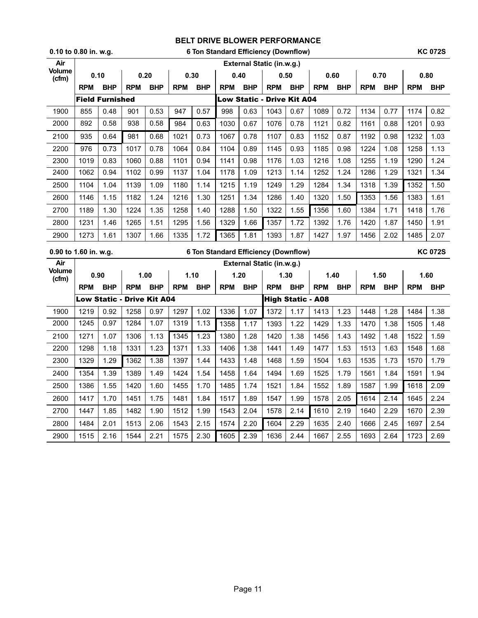| 0.10 to 0.80 in. w.g. | 6 Ton Standard Efficiency (Downflow) | <b>KC 072S</b> |
|-----------------------|--------------------------------------|----------------|
|-----------------------|--------------------------------------|----------------|

| Air                   |                        |            |                                   |            |            |            |            |                           | External Static (in.w.g.)                   |                          |            |            |            |            |            |                |
|-----------------------|------------------------|------------|-----------------------------------|------------|------------|------------|------------|---------------------------|---------------------------------------------|--------------------------|------------|------------|------------|------------|------------|----------------|
| Volume<br>(cfm)       | 0.10                   |            | 0.20                              |            |            | 0.30       | 0.40       |                           | 0.50                                        |                          |            | 0.60       |            | 0.70       |            | 0.80           |
|                       | <b>RPM</b>             | <b>BHP</b> | <b>RPM</b>                        | <b>BHP</b> | <b>RPM</b> | <b>BHP</b> | <b>RPM</b> | <b>BHP</b>                | <b>RPM</b>                                  | <b>BHP</b>               | <b>RPM</b> | <b>BHP</b> | <b>RPM</b> | <b>BHP</b> | <b>RPM</b> | <b>BHP</b>     |
|                       | <b>Field Furnished</b> |            |                                   |            |            |            |            | <b>Low Static -</b>       |                                             | <b>Drive Kit A04</b>     |            |            |            |            |            |                |
| 1900                  | 855                    | 0.48       | 901                               | 0.53       | 947        | 0.57       | 998        | 0.63                      | 1043                                        | 0.67                     | 1089       | 0.72       | 1134       | 0.77       | 1174       | 0.82           |
| 2000                  | 892                    | 0.58       | 938                               | 0.58       | 984        | 0.63       | 1030       | 0.67                      | 1076                                        | 0.78                     | 1121       | 0.82       | 1161       | 0.88       | 1201       | 0.93           |
| 2100                  | 935                    | 0.64       | 981                               | 0.68       | 1021       | 0.73       | 1067       | 0.78                      | 1107                                        | 0.83                     | 1152       | 0.87       | 1192       | 0.98       | 1232       | 1.03           |
| 2200                  | 976                    | 0.73       | 1017                              | 0.78       | 1064       | 0.84       | 1104       | 0.89                      | 1145                                        | 0.93                     | 1185       | 0.98       | 1224       | 1.08       | 1258       | 1.13           |
| 2300                  | 1019                   | 0.83       | 1060                              | 0.88       | 1101       | 0.94       | 1141       | 0.98                      | 1176                                        | 1.03                     | 1216       | 1.08       | 1255       | 1.19       | 1290       | 1.24           |
| 2400                  | 1062                   | 0.94       | 1102                              | 0.99       | 1137       | 1.04       | 1178       | 1.09                      | 1213                                        | 1.14                     | 1252       | 1.24       | 1286       | 1.29       | 1321       | 1.34           |
| 2500                  | 1104                   | 1.04       | 1139                              | 1.09       | 1180       | 1.14       | 1215       | 1.19                      | 1249                                        | 1.29                     | 1284       | 1.34       | 1318       | 1.39       | 1352       | 1.50           |
| 2600                  | 1146                   | 1.15       | 1182                              | 1.24       | 1216       | 1.30       | 1251       | 1.34                      | 1286                                        | 1.40                     | 1320       | 1.50       | 1353       | 1.56       | 1383       | 1.61           |
| 2700                  | 1189                   | 1.30       | 1224                              | 1.35       | 1258       | 1.40       | 1288       | 1.50                      | 1322                                        | 1.55                     | 1356       | 1.60       | 1384       | 1.71       | 1418       | 1.76           |
| 2800                  | 1231                   | 1.46       | 1265                              | 1.51       | 1295       | 1.56       | 1329       | 1.66                      | 1357                                        | 1.72                     | 1392       | 1.76       | 1420       | 1.87       | 1450       | 1.91           |
| 2900                  | 1273                   | 1.61       | 1307                              | 1.66       | 1335       | 1.72       | 1365       | 1.81                      | 1393                                        | 1.87                     | 1427       | 1.97       | 1456       | 2.02       | 1485       | 2.07           |
| 0.90 to 1.60 in. w.g. |                        |            |                                   |            |            |            |            |                           | <b>6 Ton Standard Efficiency (Downflow)</b> |                          |            |            |            |            |            | <b>KC 072S</b> |
| Air                   |                        |            |                                   |            |            |            |            | External Static (in.w.g.) |                                             |                          |            |            |            |            |            |                |
|                       |                        |            |                                   |            |            |            |            |                           |                                             |                          |            |            |            |            |            |                |
| Volume                | 0.90                   |            |                                   | 1.00       |            | 1.10       |            | 1.20                      |                                             | 1.30                     |            | 1.40       | 1.50       |            |            | 1.60           |
| (cfm)                 | <b>RPM</b>             | <b>BHP</b> | <b>RPM</b>                        | <b>BHP</b> | <b>RPM</b> | <b>BHP</b> | <b>RPM</b> | <b>BHP</b>                | <b>RPM</b>                                  | <b>BHP</b>               | <b>RPM</b> | <b>BHP</b> | <b>RPM</b> | <b>BHP</b> | <b>RPM</b> | <b>BHP</b>     |
|                       |                        |            | <b>Low Static - Drive Kit A04</b> |            |            |            |            |                           |                                             | <b>High Static - A08</b> |            |            |            |            |            |                |
| 1900                  | 1219                   | 0.92       | 1258                              | 0.97       | 1297       | 1.02       | 1336       | 1.07                      | 1372                                        | 1.17                     | 1413       | 1.23       | 1448       | 1.28       | 1484       | 1.38           |
| 2000                  | 1245                   | 0.97       | 1284                              | 1.07       | 1319       | 1.13       | 1358       | 1.17                      | 1393                                        | 1.22                     | 1429       | 1.33       | 1470       | 1.38       | 1505       | 1.48           |
| 2100                  | 1271                   | 1.07       | 1306                              | 1.13       | 1345       | 1.23       | 1380       | 1.28                      | 1420                                        | 1.38                     | 1456       | 1.43       | 1492       | 1.48       | 1522       | 1.59           |
| 2200                  | 1298                   | 1.18       | 1331                              | 1.23       | 1371       | 1.33       | 1406       | 1.38                      | 1441                                        | 1.49                     | 1477       | 1.53       | 1513       | 1.63       | 1548       | 1.68           |
| 2300                  | 1329                   | 1.29       | 1362                              | 1.38       | 1397       | 1.44       | 1433       | 1.48                      | 1468                                        | 1.59                     | 1504       | 1.63       | 1535       | 1.73       | 1570       | 1.79           |
| 2400                  | 1354                   | 1.39       | 1389                              | 1.49       | 1424       | 1.54       | 1458       | 1.64                      | 1494                                        | 1.69                     | 1525       | 1.79       | 1561       | 1.84       | 1591       | 1.94           |
| 2500                  | 1386                   | 1.55       | 1420                              | 1.60       | 1455       | 1.70       | 1485       | 1.74                      | 1521                                        | 1.84                     | 1552       | 1.89       | 1587       | 1.99       | 1618       | 2.09           |
| 2600                  | 1417                   | 1.70       | 1451                              | 1.75       | 1481       | 1.84       | 1517       | 1.89                      | 1547                                        | 1.99                     | 1578       | 2.05       | 1614       | 2.14       | 1645       | 2.24           |
| 2700                  | 1447                   | 1.85       | 1482                              | 1.90       | 1512       | 1.99       | 1543       | 2.04                      | 1578                                        | 2.14                     | 1610       | 2.19       | 1640       | 2.29       | 1670       | 2.39           |
| 2800                  | 1484                   | 2.01       | 1513                              | 2.06       | 1543       | 2.15       | 1574       | 2.20                      | 1604                                        | 2.29                     | 1635       | 2.40       | 1666       | 2.45       | 1697       | 2.54           |
| 2900                  | 1515                   | 2.16       | 1544                              | 2.21       | 1575       | 2.30       | 1605       | 2.39                      | 1636                                        | 2.44                     | 1667       | 2.55       | 1693       | 2.64       | 1723       | 2.69           |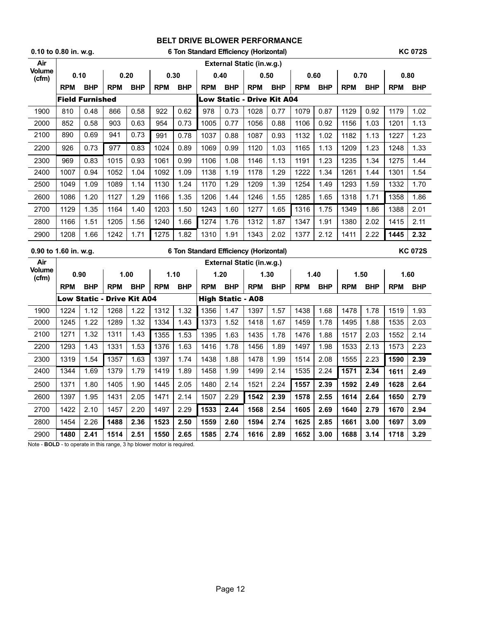|                 | $0.10$ to $0.80$ in. w.g. |                        |                                   |            |            |            |            |                          | 6 Ton Standard Efficiency (Horizontal) |            |            |            |            |            |            | <b>KC 072S</b> |
|-----------------|---------------------------|------------------------|-----------------------------------|------------|------------|------------|------------|--------------------------|----------------------------------------|------------|------------|------------|------------|------------|------------|----------------|
| Air             |                           |                        |                                   |            |            |            |            |                          | <b>External Static (in.w.g.)</b>       |            |            |            |            |            |            |                |
| Volume<br>(cfm) | 0.10                      |                        | 0.20                              |            | 0.30       |            |            | 0.40                     | 0.50                                   |            | 0.60       |            | 0.70       |            | 0.80       |                |
|                 | <b>RPM</b>                | <b>BHP</b>             | <b>RPM</b>                        | <b>BHP</b> | <b>RPM</b> | <b>BHP</b> | <b>RPM</b> | <b>BHP</b>               | <b>RPM</b>                             | <b>BHP</b> | <b>RPM</b> | <b>BHP</b> | <b>RPM</b> | <b>BHP</b> | <b>RPM</b> | <b>BHP</b>     |
|                 |                           | <b>Field Furnished</b> |                                   |            |            |            |            |                          | <b>Low Static - Drive Kit A04</b>      |            |            |            |            |            |            |                |
| 1900            | 810                       | 0.48                   | 866                               | 0.58       | 922        | 0.62       | 978        | 0.73                     | 1028                                   | 0.77       | 1079       | 0.87       | 1129       | 0.92       | 1179       | 1.02           |
| 2000            | 852                       | 0.58                   | 903                               | 0.63       | 954        | 0.73       | 1005       | 0.77                     | 1056                                   | 0.88       | 1106       | 0.92       | 1156       | 1.03       | 1201       | 1.13           |
| 2100            | 890                       | 0.69                   | 941                               | 0.73       | 991        | 0.78       | 1037       | 0.88                     | 1087                                   | 0.93       | 1132       | 1.02       | 1182       | 1.13       | 1227       | 1.23           |
| 2200            | 926                       | 0.73                   | 977                               | 0.83       | 1024       | 0.89       | 1069       | 0.99                     | 1120                                   | 1.03       | 1165       | 1.13       | 1209       | 1.23       | 1248       | 1.33           |
| 2300            | 969                       | 0.83                   | 1015                              | 0.93       | 1061       | 0.99       | 1106       | 1.08                     | 1146                                   | 1.13       | 1191       | 1.23       | 1235       | 1.34       | 1275       | 1.44           |
| 2400            | 1007                      | 0.94                   | 1052                              | 1.04       | 1092       | 1.09       | 1138       | 1.19                     | 1178                                   | 1.29       | 1222       | 1.34       | 1261       | 1.44       | 1301       | 1.54           |
| 2500            | 1049                      | 1.09                   | 1089                              | 1.14       | 1130       | 1.24       | 1170       | 1.29                     | 1209                                   | 1.39       | 1254       | 1.49       | 1293       | 1.59       | 1332       | 1.70           |
| 2600            | 1086                      | 1.20                   | 1127                              | 1.29       | 1166       | 1.35       | 1206       | 1.44                     | 1246                                   | 1.55       | 1285       | 1.65       | 1318       | 1.71       | 1358       | 1.86           |
| 2700            | 1129                      | 1.35                   | 1164                              | 1.40       | 1203       | 1.50       | 1243       | 1.60                     | 1277                                   | 1.65       | 1316       | 1.75       | 1349       | 1.86       | 1388       | 2.01           |
| 2800            | 1166                      | 1.51                   | 1205                              | 1.56       | 1240       | 1.66       | 1274       | 1.76                     | 1312                                   | 1.87       | 1347       | 1.91       | 1380       | 2.02       | 1415       | 2.11           |
| 2900            | 1208                      | 1.66                   | 1242                              | 1.71       | 1275       | 1.82       | 1310       | 1.91                     | 1343                                   | 2.02       | 1377       | 2.12       | 1411       | 2.22       | 1445       | 2.32           |
|                 |                           |                        |                                   |            |            |            |            |                          |                                        |            |            |            |            |            |            |                |
|                 | 0.90 to 1.60 in. w.g.     |                        |                                   |            |            |            |            |                          | 6 Ton Standard Efficiency (Horizontal) |            |            |            |            |            |            | <b>KC 072S</b> |
| Air             |                           |                        |                                   |            |            |            |            |                          | External Static (in.w.g.)              |            |            |            |            |            |            |                |
| <b>Volume</b>   |                           | 0.90                   |                                   | 1.00       | 1.10       |            | 1.20       |                          |                                        | 1.30       |            | 1.40       | 1.50       |            |            | 1.60           |
| (cfm)           | <b>RPM</b>                | <b>BHP</b>             | <b>RPM</b>                        | <b>BHP</b> | <b>RPM</b> | <b>BHP</b> | <b>RPM</b> | <b>BHP</b>               | <b>RPM</b>                             | <b>BHP</b> | <b>RPM</b> | <b>BHP</b> | <b>RPM</b> | <b>BHP</b> | <b>RPM</b> | <b>BHP</b>     |
|                 |                           |                        | <b>Low Static - Drive Kit A04</b> |            |            |            |            | <b>High Static - A08</b> |                                        |            |            |            |            |            |            |                |
| 1900            | 1224                      | 1.12                   | 1268                              | 1.22       | 1312       | 1.32       | 1356       | 1.47                     | 1397                                   | 1.57       | 1438       | 1.68       | 1478       | 1.78       | 1519       | 1.93           |
| 2000            | 1245                      | 1.22                   | 1289                              | 1.32       | 1334       | 1.43       | 1373       | 1.52                     | 1418                                   | 1.67       | 1459       | 1.78       | 1495       | 1.88       | 1535       | 2.03           |
| 2100            | 1271                      | 1.32                   | 1311                              | 1.43       | 1355       | 1.53       | 1395       | 1.63                     | 1435                                   | 1.78       | 1476       | 1.88       | 1517       | 2.03       | 1552       | 2.14           |
| 2200            | 1293                      | 1.43                   | 1331                              | 1.53       | 1376       | 1.63       | 1416       | 1.78                     | 1456                                   | 1.89       | 1497       | 1.98       | 1533       | 2.13       | 1573       | 2.23           |
| 2300            | 1319                      | 1.54                   | 1357                              | 1.63       | 1397       | 1.74       | 1438       | 1.88                     | 1478                                   | 1.99       | 1514       | 2.08       | 1555       | 2.23       | 1590       | 2.39           |
| 2400            | 1344                      | 1.69                   | 1379                              | 1.79       | 1419       | 1.89       | 1458       | 1.99                     | 1499                                   | 2.14       | 1535       | 2.24       | 1571       | 2.34       | 1611       | 2.49           |
| 2500            | 1371                      | 1.80                   | 1405                              | 1.90       | 1445       | 2.05       | 1480       | 2.14                     | 1521                                   | 2.24       | 1557       | 2.39       | 1592       | 2.49       | 1628       | 2.64           |
| 2600            | 1397                      | 1.95                   | 1431                              | 2.05       | 1471       | 2.14       | 1507       | 2.29                     | 1542                                   | 2.39       | 1578       | 2.55       | 1614       | 2.64       | 1650       | 2.79           |
| 2700            | 1422                      | 2.10                   | 1457                              | 2.20       | 1497       | 2.29       | 1533       | 2.44                     | 1568                                   | 2.54       | 1605       | 2.69       | 1640       | 2.79       | 1670       | 2.94           |
| 2800            | 1454                      | 2.26                   | 1488                              | 2.36       | 1523       | 2.50       | 1559       | 2.60                     | 1594                                   | 2.74       | 1625       | 2.85       | 1661       | 3.00       | 1697       | 3.09           |

Note - **BOLD** - to operate in this range, 3 hp blower motor is required.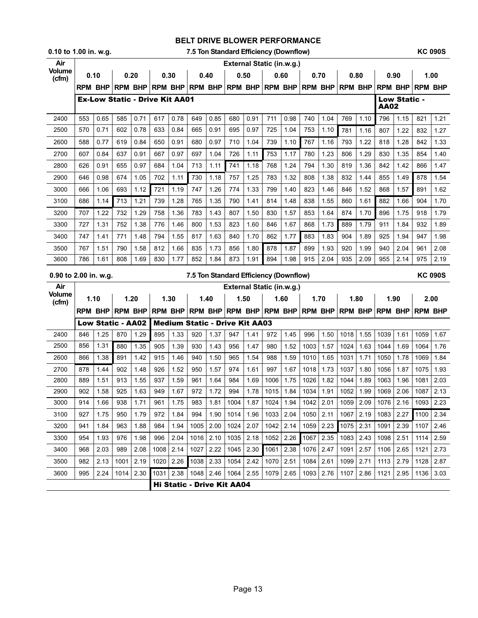#### **0.10 to 1.00 in. w.g. 7.5 Ton Standard Efficiency (Downflow) KC 090S**

| Air                    |      |                          |                |                                       |      |      |                 |           |                                                          |      | External Static (in.w.g.)              |      |                                                                     |      |                |      |                |                     |                |      |
|------------------------|------|--------------------------|----------------|---------------------------------------|------|------|-----------------|-----------|----------------------------------------------------------|------|----------------------------------------|------|---------------------------------------------------------------------|------|----------------|------|----------------|---------------------|----------------|------|
| <b>Volume</b><br>(cfm) | 0.10 |                          | 0.20           |                                       | 0.30 |      |                 | 0.40      | 0.50                                                     |      | 0.60                                   |      | 0.70                                                                |      | 0.80           |      | 0.90           |                     | 1.00           |      |
|                        |      | <b>RPM BHP</b>           | <b>RPM BHP</b> |                                       |      |      | RPM BHP RPM BHP |           |                                                          |      | RPM BHP RPM BHP                        |      | <b>RPM BHP</b>                                                      |      | <b>RPM BHP</b> |      | <b>RPM BHP</b> |                     | <b>RPM BHP</b> |      |
|                        |      |                          |                | <b>Ex-Low Static - Drive Kit AA01</b> |      |      |                 |           |                                                          |      |                                        |      |                                                                     |      |                |      | AA02           | <b>Low Static -</b> |                |      |
| 2400                   | 553  | 0.65                     | 585            | 0.71                                  | 617  | 0.78 | 649             | 0.85      | 680                                                      | 0.91 | 711                                    | 0.98 | 740                                                                 | 1.04 | 769            | 1.10 | 796            | 1.15                | 821            | 1.21 |
| 2500                   | 570  | 0.71                     | 602            | 0.78                                  | 633  | 0.84 | 665             | 0.91      | 695                                                      | 0.97 | 725                                    | 1.04 | 753                                                                 | 1.10 | 781            | 1.16 | 807            | 1.22                | 832            | 1.27 |
| 2600                   | 588  | 0.77                     | 619            | 0.84                                  | 650  | 0.91 | 680             | 0.97      | 710                                                      | 1.04 | 739                                    | 1.10 | 767                                                                 | 1.16 | 793            | 1.22 | 818            | 1.28                | 842            | 1.33 |
| 2700                   | 607  | 0.84                     | 637            | 0.91                                  | 667  | 0.97 | 697             | 1.04      | 726                                                      | 1.11 | 753                                    | 1.17 | 780                                                                 | 1.23 | 806            | 1.29 | 830            | 1.35                | 854            | 1.40 |
| 2800                   | 626  | 0.91                     | 655            | 0.97                                  | 684  | 1.04 | 713             | 1.11      | 741                                                      | 1.18 | 768                                    | 1.24 | 794                                                                 | 1.30 | 819            | 1.36 | 842            | 1.42                | 866            | 1.47 |
| 2900                   | 646  | 0.98                     | 674            | 1.05                                  | 702  | 1.11 | 730             | 1.18      | 757                                                      | 1.25 | 783                                    | 1.32 | 808                                                                 | 1.38 | 832            | 1.44 | 855            | 1.49                | 878            | 1.54 |
| 3000                   | 666  | 1.06                     | 693            | 1.12                                  | 721  | 1.19 | 747             | 1.26      | 774                                                      | 1.33 | 799                                    | 1.40 | 823                                                                 | 1.46 | 846            | 1.52 | 868            | 1.57                | 891            | 1.62 |
| 3100                   | 686  | 1.14                     | 713            | 1.21                                  | 739  | 1.28 | 765             | 1.35      | 790                                                      | 1.41 | 814                                    | 1.48 | 838                                                                 | 1.55 | 860            | 1.61 | 882            | 1.66                | 904            | 1.70 |
| 3200                   | 707  | 1.22                     | 732            | 1.29                                  | 758  | 1.36 | 783             | 1.43      | 807                                                      | 1.50 | 830                                    | 1.57 | 853                                                                 | 1.64 | 874            | 1.70 | 896            | 1.75                | 918            | 1.79 |
| 3300                   | 727  | 1.31                     | 752            | 1.38                                  | 776  | 1.46 | 800             | 1.53      | 823                                                      | 1.60 | 846                                    | 1.67 | 868                                                                 | 1.73 | 889            | 1.79 | 911            | 1.84                | 932            | 1.89 |
| 3400                   | 747  | 1.41                     | 771            | 1.48                                  | 794  | 1.55 | 817             | 1.63      | 840                                                      | 1.70 | 862                                    | 1.77 | 883                                                                 | 1.83 | 904            | 1.89 | 925            | 1.94                | 947            | 1.98 |
| 3500                   | 767  | 1.51                     | 790            | 1.58                                  | 812  | 1.66 | 835             | 1.73      | 856                                                      | 1.80 | 878                                    | 1.87 | 899                                                                 | 1.93 | 920            | 1.99 | 940            | 2.04                | 961            | 2.08 |
| 3600                   | 786  | 1.61                     | 808            | 1.69                                  | 830  | 1.77 | 852             | 1.84      | 873                                                      | 1.91 | 894                                    | 1.98 | 915                                                                 | 2.04 | 935            | 2.09 | 955            | 2.14                | 975            | 2.19 |
| 0.90 to 2.00 in. w.g.  |      |                          |                |                                       |      |      |                 |           |                                                          |      | 7.5 Ton Standard Efficiency (Downflow) |      |                                                                     |      |                |      |                |                     | <b>KC 090S</b> |      |
| Air                    |      |                          |                |                                       |      |      |                 |           |                                                          |      | External Static (in.w.g.)              |      |                                                                     |      |                |      |                |                     |                |      |
| <b>Volume</b><br>(cfm) |      | 1.10                     |                | 1.20                                  | 1.30 |      |                 | 1.40      | 1.50                                                     |      |                                        | 1.60 | 1.70                                                                |      | 1.80           |      | 1.90           |                     | 2.00           |      |
|                        |      | RPM BHP                  | <b>RPM BHP</b> |                                       |      |      |                 |           |                                                          |      |                                        |      | RPM BHP RPM BHP RPM BHP RPM BHP RPM BHP                             |      | <b>RPM BHP</b> |      | IRPM BHP       |                     | <b>RPM BHP</b> |      |
|                        |      | <b>Low Static - AA02</b> |                |                                       |      |      |                 |           | <b>Medium Static - Drive Kit AA03</b>                    |      |                                        |      |                                                                     |      |                |      |                |                     |                |      |
| 2400                   | 846  | 1.25                     | 870            | 1.29                                  | 895  | 1.33 | 920             | 1.37      | 947                                                      | 1.41 | 972                                    | 1.45 | 996                                                                 | 1.50 | 1018           | 1.55 | 1039           | 1.61                | 1059           | 1.67 |
| 2500                   | 856  | 1.31                     | 880            | 1.35                                  | 905  | 1.39 | 930             | 1.43      | 956                                                      | 1.47 | 980                                    | 1.52 | 1003                                                                | 1.57 | 1024           | 1.63 | 1044           | 1.69                | 1064           | 1.76 |
| 2600                   | 866  | 1.38                     | 891            | 1.42                                  | 915  | 1.46 | 940             | 1.50      | 965                                                      | 1.54 | 988                                    | 1.59 | 1010                                                                | 1.65 | 1031           | 1.71 | 1050           | 1.78                | 1069           | 1.84 |
| 2700                   | 878  | 1.44                     | 902            | 1.48                                  | 926  | 1.52 | 950             | 1.57      | 974                                                      | 1.61 | 997                                    | 1.67 | 1018                                                                | 1.73 | 1037           | 1.80 | 1056           | 1.87                | 1075           | 1.93 |
|                        |      |                          |                |                                       |      |      |                 |           |                                                          |      |                                        |      |                                                                     |      |                |      |                |                     | 1081           | 2.03 |
| 2800                   | 889  | 1.51                     | 913            | 1.55                                  | 937  | 1.59 | 961             | 1.64      | 984                                                      | 1.69 | 1006                                   | 1.75 | 1026                                                                | 1.82 | 1044           | 1.89 | 1063           | 1.96                |                |      |
| 2900                   | 902  | 1.58                     | 925            | 1.63                                  | 949  | 1.67 | 972             | 1.72      | 994                                                      | 1.78 | 1015                                   | 1.84 | 1034                                                                | 1.91 | 1052           | 1.99 | 1069           | 2.06                | 1087           | 2.13 |
| 3000                   | 914  | 1.66                     | 938            | 1.71                                  | 961  | 1.75 | 983             | 1.81      | 1004                                                     | 1.87 | 1024                                   | 1.94 | 1042                                                                | 2.01 | 1059           | 2.09 | 1076           | 2.16                | 1093           | 2.23 |
| 3100                   | 927  | 1.75                     | 950            | 1.79                                  | 972  | 1.84 | 994             |           |                                                          |      |                                        |      | 1.90   1014   1.96   1033   2.04   1050   2.11   1067   2.19   1083 |      |                |      |                |                     | 2.27 1100 2.34 |      |
| 3200                   | 941  | 1.84                     | 963            | 1.88                                  | 984  | 1.94 | 1005            | 2.00      | 1024                                                     | 2.07 | 1042                                   | 2.14 | 1059                                                                | 2.23 | 1075           | 2.31 | 1091           | 2.39                | 1107           | 2.46 |
| 3300                   | 954  | 1.93                     | 976            | 1.98                                  | 996  | 2.04 |                 | 1016 2.10 | 1035                                                     | 2.18 | 1052                                   | 2.26 | 1067                                                                | 2.35 | 1083           | 2.43 | 1098           | 2.51                | 1114           | 2.59 |
| 3400                   | 968  | 2.03                     | 989            | 2.08                                  | 1008 | 2.14 | 1027            | 2.22      | 1045                                                     | 2.30 | 1061                                   | 2.38 | 1076 2.47                                                           |      | 1091           | 2.57 | 1106           | 2.65                | 1121           | 2.73 |
| 3500                   | 982  | 2.13                     | 1001           | 2.19                                  | 1020 | 2.26 | 1038            | 2.33      | 1054                                                     | 2.42 | 1070                                   | 2.51 | 1084                                                                | 2.61 | 1099           | 2.71 | 1113           | 2.79                | 1128           | 2.87 |
| 3600                   | 995  | 2.24                     | 1014           | 2.30                                  | 1031 | 2.38 |                 |           | 1048 2.46 1064 2.55<br><b>Hi Static - Drive Kit AA04</b> |      | 1079                                   | 2.65 | 1093 2.76                                                           |      | 1107           | 2.86 | 1121           | 2.95                | 1136           | 3.03 |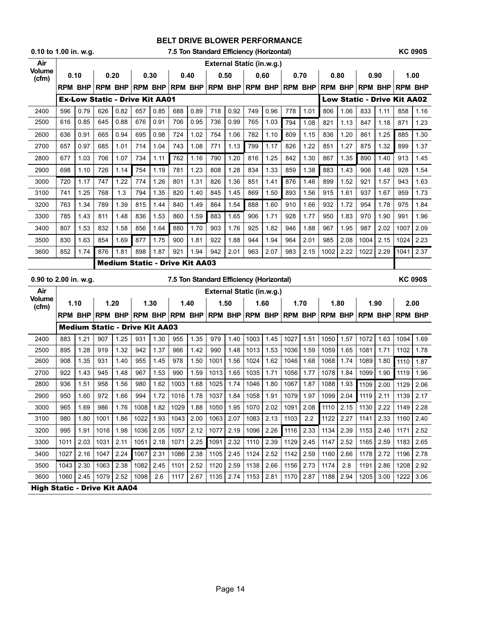| 0.10 to 1.00 in. w.g. |                |                |                                       |      |      |      |                                       |      |                     |      | 7.5 Ton Standard Efficiency (Horizontal) |      |           |      |                |                |                                                                                 |      |                | <b>KC 090S</b> |
|-----------------------|----------------|----------------|---------------------------------------|------|------|------|---------------------------------------|------|---------------------|------|------------------------------------------|------|-----------|------|----------------|----------------|---------------------------------------------------------------------------------|------|----------------|----------------|
| Air                   |                |                |                                       |      |      |      |                                       |      |                     |      | External Static (in.w.g.)                |      |           |      |                |                |                                                                                 |      |                |                |
| Volume<br>(cfm)       | 0.10           |                | 0.20                                  |      |      | 0.30 | 0.40                                  |      |                     | 0.50 |                                          | 0.60 |           | 0.70 |                | 0.80           |                                                                                 | 0.90 |                | 1.00           |
|                       |                | <b>RPM BHP</b> |                                       |      |      |      |                                       |      |                     |      |                                          |      |           |      |                |                | rpm BHP rpm BHP rpm BHP rpm BHP rpm BHP rpm BHP rpm BHP rpm BHP rpm BHP rpm BHP |      |                |                |
|                       |                |                | <b>Ex-Low Static - Drive Kit AA01</b> |      |      |      |                                       |      |                     |      |                                          |      |           |      |                |                | <b>Low Static - Drive Kit AA02</b>                                              |      |                |                |
| 2400                  | 596            | 0.79           | 626                                   | 0.82 | 657  | 0.85 | 688                                   | 0.89 | 718                 | 0.92 | 749                                      | 0.96 | 778       | 1.01 | 806            | 1.06           | 833                                                                             | 1.11 | 858            | 1.16           |
| 2500                  | 616            | 0.85           | 645                                   | 0.88 | 676  | 0.91 | 706                                   | 0.95 | 736                 | 0.99 | 765                                      | 1.03 | 794       | 1.08 | 821            | 1.13           | 847                                                                             | 1.18 | 871            | 1.23           |
| 2600                  | 636            | 0.91           | 665                                   | 0.94 | 695  | 0.98 | 724                                   | 1.02 | 754                 | 1.06 | 782                                      | 1.10 | 809       | 1.15 | 836            | 1.20           | 861                                                                             | 1.25 | 885            | 1.30           |
| 2700                  | 657            | 0.97           | 685                                   | 1.01 | 714  | 1.04 | 743                                   | 1.08 | 771                 | 1.13 | 799                                      | 1.17 | 826       | 1.22 | 851            | 1.27           | 875                                                                             | 1.32 | 899            | 1.37           |
| 2800                  | 677            | 1.03           | 706                                   | 1.07 | 734  | 1.11 | 762                                   | 1.16 | 790                 | 1.20 | 816                                      | 1.25 | 842       | 1.30 | 867            | 1.35           | 890                                                                             | 1.40 | 913            | 1.45           |
| 2900                  | 698            | 1.10           | 726                                   | 1.14 | 754  | 1.19 | 781                                   | 1.23 | 808                 | 1.28 | 834                                      | 1.33 | 859       | 1.38 | 883            | 1.43           | 906                                                                             | 1.48 | 928            | 1.54           |
| 3000                  | 720            | 1.17           | 747                                   | 1.22 | 774  | 1.26 | 801                                   | 1.31 | 826                 | 1.36 | 851                                      | 1.41 | 876       | 1.46 | 899            | 1.52           | 921                                                                             | 1.57 | 943            | 1.63           |
| 3100                  | 741            | 1.25           | 768                                   | 1.3  | 794  | 1.35 | 820                                   | 1.40 | 845                 | 1.45 | 869                                      | 1.50 | 893       | 1.56 | 915            | 1.61           | 937                                                                             | 1.67 | 959            | 1.73           |
| 3200                  | 763            | 1.34           | 789                                   | 1.39 | 815  | 1.44 | 840                                   | 1.49 | 864                 | 1.54 | 888                                      | 1.60 | 910       | 1.66 | 932            | 1.72           | 954                                                                             | 1.78 | 975            | 1.84           |
| 3300                  | 785            | 1.43           | 811                                   | 1.48 | 836  | 1.53 | 860                                   | 1.59 | 883                 | 1.65 | 906                                      | 1.71 | 928       | 1.77 | 950            | 1.83           | 970                                                                             | 1.90 | 991            | 1.96           |
| 3400                  | 807            | 1.53           | 832                                   | 1.58 | 856  | 1.64 | 880                                   | 1.70 | 903                 | 1.76 | 925                                      | 1.82 | 946       | 1.88 | 967            | 1.95           | 987                                                                             | 2.02 | 1007           | 2.09           |
| 3500                  | 830            | 1.63           | 854                                   | 1.69 | 877  | 1.75 | 900                                   | 1.81 | 922                 | 1.88 | 944                                      | 1.94 | 964       | 2.01 | 985            | 2.08           | 1004                                                                            | 2.15 | 1024           | 2.23           |
| 3600                  | 852            | 1.74           | 876                                   | 1.81 | 898  | 1.87 | 921                                   | 1.94 | 942                 | 2.01 | 963                                      | 2.07 | 983       | 2.15 | 1002           | 2.22           | 1022                                                                            | 2.29 | 1041           | 2.37           |
|                       |                |                |                                       |      |      |      | <b>Medium Static - Drive Kit AA03</b> |      |                     |      |                                          |      |           |      |                |                |                                                                                 |      |                |                |
|                       |                |                |                                       |      |      |      |                                       |      |                     |      |                                          |      |           |      |                |                |                                                                                 |      |                |                |
| 0.90 to 2.00 in. w.g. |                |                |                                       |      |      |      |                                       |      |                     |      | 7.5 Ton Standard Efficiency (Horizontal) |      |           |      |                |                |                                                                                 |      |                | <b>KC 090S</b> |
| Air                   |                |                |                                       |      |      |      |                                       |      |                     |      | External Static (in.w.g.)                |      |           |      |                |                |                                                                                 |      |                |                |
| <b>Volume</b>         | 1.10           |                | 1.20                                  |      |      | 1.30 | 1.40                                  |      |                     | 1.50 | 1.60                                     |      |           | 1.70 |                | 1.80           |                                                                                 | 1.90 |                | 2.00           |
| (cfm)                 | <b>RPM BHP</b> |                | <b>RPM BHP</b>                        |      |      |      |                                       |      |                     |      | RPM BHP RPM BHP RPM BHP RPM BHP RPM BHP  |      |           |      | <b>RPM BHP</b> |                | <b>RPM BHP</b>                                                                  |      | <b>RPM BHP</b> |                |
|                       |                |                | <b>Medium Static - Drive Kit AA03</b> |      |      |      |                                       |      |                     |      |                                          |      |           |      |                |                |                                                                                 |      |                |                |
| 2400                  | 883            | 1.21           | 907                                   | 1.25 | 931  | 1.30 | 955                                   | 1.35 | 979                 | 1.40 | 1003                                     | 1.45 | 1027      | 1.51 | 1050           | 1.57           | 1072                                                                            | 1.63 | 1094           | 1.69           |
| 2500                  | 895            | 1.28           | 919                                   | 1.32 | 942  | 1.37 | 966                                   | 1.42 | 990                 | 1.48 | 1013                                     | 1.53 | 1036      | 1.59 | 1059           | 1.65           | 1081                                                                            | 1.71 | 1102           | 1.78           |
| 2600                  | 908            | 1.35           | 931                                   | 1.40 | 955  | 1.45 | 978                                   | 1.50 | 1001                | 1.56 | 1024                                     | 1.62 | 1046      | 1.68 | 1068           | 1.74           | 1089                                                                            | 1.80 | 1110           | 1.87           |
| 2700                  | 922            | 1.43           | 945                                   | 1.48 | 967  | 1.53 | 990                                   | 1.59 | 1013                | 1.65 | 1035                                     | 1.71 | 1056      | 1.77 | 1078           | 1.84           | 1099                                                                            | 1.90 | 1119           | 1.96           |
| 2800                  | 936            | 1.51           | 958                                   | 1.56 | 980  | 1.62 | 1003                                  | 1.68 | 1025                | 1.74 | 1046                                     | 1.80 | 1067      | 1.87 | 1088           | 1.93           | 1109                                                                            | 2.00 | 1129           | 2.06           |
| 2900                  | 950            | 1.60           | 972                                   | 1.66 | 994  | 1.72 |                                       |      | 1016 1.78 1037 1.84 |      | 1058 1.91                                |      | 1079 1.97 |      |                | 1099 2.04 1119 |                                                                                 | 2.11 | 1139           | 2.17           |
| 3000                  | 965            | 1.69           | 986                                   | 1.76 | 1008 | 1.82 | 1029                                  | 1.88 | 1050                | 1.95 | 1070                                     | 2.02 | 1091      | 2.08 | 1110           | 2.15           | 1130                                                                            | 2.22 | 1149           | 2.28           |
| 3100                  | 980            | 1.80           | 1001                                  | 1.86 | 1022 | 1.93 | 1043                                  | 2.00 | 1063                | 2.07 | 1083                                     | 2.13 | 1103      | 2.2  | 1122           | 2.27           | 1141                                                                            | 2.33 | 1160           | 2.40           |
| 3200                  | 995            | 1.91           | 1016                                  | 1.98 | 1036 | 2.05 | 1057                                  | 2.12 | 1077                | 2.19 | 1096                                     | 2.26 | 1116      | 2.33 | 1134           | 2.39           | 1153                                                                            | 2.46 | 1171           | 2.52           |
| 3300                  | 1011           | 2.03           | 1031                                  | 2.11 | 1051 | 2.18 | 1071                                  | 2.25 | 1091                | 2.32 | 1110                                     | 2.39 | 1129      | 2.45 | 1147           | 2.52           | 1165                                                                            | 2.59 | 1183           | 2.65           |
| 3400                  | 1027           | 2.16           | 1047                                  | 2.24 | 1067 | 2.31 | 1086                                  | 2.38 | 1105                | 2.45 | 1124                                     | 2.52 | 1142      | 2.59 | 1160           | 2.66           | 1178                                                                            | 2.72 | 1196           | 2.78           |
| 3500                  | 1043           | 2.30           | 1063                                  | 2.38 | 1082 | 2.45 | 1101                                  | 2.52 | 1120                | 2.59 | 1138                                     | 2.66 | 1156      | 2.73 | 1174           | 2.8            | 1191                                                                            | 2.86 | 1208           | 2.92           |
| 3600                  | 1060           | 2.45           | 1079                                  | 2.52 | 1098 | 2.6  | 1117                                  | 2.67 | 1135                | 2.74 | 1153                                     | 2.81 | 1170      | 2.87 | 1188           | 2.94           | 1205                                                                            | 3.00 | 1222           | 3.06           |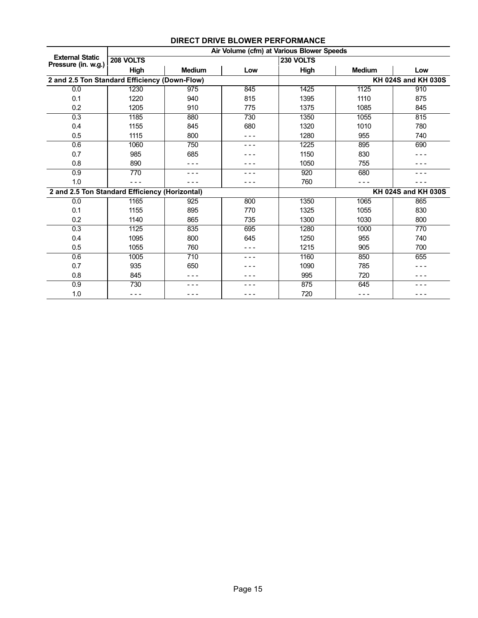|                                                |           |               |       | Air Volume (cfm) at Various Blower Speeds |               |                     |
|------------------------------------------------|-----------|---------------|-------|-------------------------------------------|---------------|---------------------|
| <b>External Static</b><br>Pressure (in. w.g.)  | 208 VOLTS |               |       | 230 VOLTS                                 |               |                     |
|                                                | High      | <b>Medium</b> | Low   | High                                      | <b>Medium</b> | Low                 |
| 2 and 2.5 Ton Standard Efficiency (Down-Flow)  |           |               |       |                                           |               | KH 024S and KH 030S |
| 0.0                                            | 1230      | 975           | 845   | 1425                                      | 1125          | 910                 |
| 0.1                                            | 1220      | 940           | 815   | 1395                                      | 1110          | 875                 |
| 0.2                                            | 1205      | 910           | 775   | 1375                                      | 1085          | 845                 |
| 0.3                                            | 1185      | 880           | 730   | 1350                                      | 1055          | 815                 |
| 0.4                                            | 1155      | 845           | 680   | 1320                                      | 1010          | 780                 |
| 0.5                                            | 1115      | 800           |       | 1280                                      | 955           | 740                 |
| 0.6                                            | 1060      | 750           | - - - | 1225                                      | 895           | 690                 |
| 0.7                                            | 985       | 685           |       | 1150                                      | 830           |                     |
| 0.8                                            | 890       | - - -         |       | 1050                                      | 755           |                     |
| 0.9                                            | 770       | .             |       | 920                                       | 680           |                     |
| 1.0                                            |           |               |       | 760                                       |               |                     |
| 2 and 2.5 Ton Standard Efficiency (Horizontal) |           |               |       |                                           |               | KH 024S and KH 030S |
| 0.0                                            | 1165      | 925           | 800   | 1350                                      | 1065          | 865                 |
| 0.1                                            | 1155      | 895           | 770   | 1325                                      | 1055          | 830                 |
| 0.2                                            | 1140      | 865           | 735   | 1300                                      | 1030          | 800                 |
| 0.3                                            | 1125      | 835           | 695   | 1280                                      | 1000          | 770                 |
| 0.4                                            | 1095      | 800           | 645   | 1250                                      | 955           | 740                 |
| 0.5                                            | 1055      | 760           |       | 1215                                      | 905           | 700                 |
| 0.6                                            | 1005      | 710           |       | 1160                                      | 850           | 655                 |
| 0.7                                            | 935       | 650           |       | 1090                                      | 785           |                     |
| 0.8                                            | 845       |               |       | 995                                       | 720           |                     |
| 0.9                                            | 730       |               |       | 875                                       | 645           |                     |
| 1.0                                            | - - -     |               |       | 720                                       | - - -         |                     |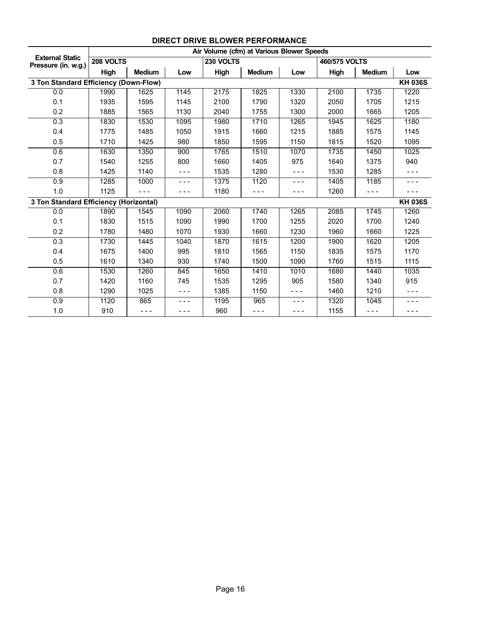|                                               |           |               |         | Air Volume (cfm) at Various Blower Speeds |               |         |               |               |                |
|-----------------------------------------------|-----------|---------------|---------|-------------------------------------------|---------------|---------|---------------|---------------|----------------|
| <b>External Static</b><br>Pressure (in. w.g.) | 208 VOLTS |               |         | 230 VOLTS                                 |               |         | 460/575 VOLTS |               |                |
|                                               | High      | <b>Medium</b> | Low     | High                                      | <b>Medium</b> | Low     | High          | <b>Medium</b> | Low            |
| 3 Ton Standard Efficiency (Down-Flow)         |           |               |         |                                           |               |         |               |               | <b>KH 036S</b> |
| 0.0                                           | 1990      | 1625          | 1145    | 2175                                      | 1825          | 1330    | 2100          | 1735          | 1220           |
| 0.1                                           | 1935      | 1595          | 1145    | 2100                                      | 1790          | 1320    | 2050          | 1705          | 1215           |
| 0.2                                           | 1885      | 1565          | 1130    | 2040                                      | 1755          | 1300    | 2000          | 1665          | 1205           |
| 0.3                                           | 1830      | 1530          | 1095    | 1980                                      | 1710          | 1265    | 1945          | 1625          | 1180           |
| 0.4                                           | 1775      | 1485          | 1050    | 1915                                      | 1660          | 1215    | 1885          | 1575          | 1145           |
| 0.5                                           | 1710      | 1425          | 980     | 1850                                      | 1595          | 1150    | 1815          | 1520          | 1095           |
| 0.6                                           | 1630      | 1350          | 900     | 1765                                      | 1510          | 1070    | 1735          | 1450          | 1025           |
| 0.7                                           | 1540      | 1255          | 800     | 1660                                      | 1405          | 975     | 1640          | 1375          | 940            |
| 0.8                                           | 1425      | 1140          | $- - -$ | 1535                                      | 1280          | ---     | 1530          | 1285          | - - -          |
| 0.9                                           | 1285      | 1000          | - - -   | 1375                                      | 1120          | $- - -$ | 1405          | 1185          | - - -          |
| 1.0                                           | 1125      | - - -         | ---     | 1180                                      | - - -         | ---     | 1260          | - - -         | - - -          |
| 3 Ton Standard Efficiency (Horizontal)        |           |               |         |                                           |               |         |               |               | <b>KH 036S</b> |
| 0.0                                           | 1890      | 1545          | 1090    | 2060                                      | 1740          | 1265    | 2085          | 1745          | 1260           |
| 0.1                                           | 1830      | 1515          | 1090    | 1990                                      | 1700          | 1255    | 2020          | 1700          | 1240           |
| 0.2                                           | 1780      | 1480          | 1070    | 1930                                      | 1660          | 1230    | 1960          | 1660          | 1225           |
| 0.3                                           | 1730      | 1445          | 1040    | 1870                                      | 1615          | 1200    | 1900          | 1620          | 1205           |
| 0.4                                           | 1675      | 1400          | 995     | 1810                                      | 1565          | 1150    | 1835          | 1575          | 1170           |
| 0.5                                           | 1610      | 1340          | 930     | 1740                                      | 1500          | 1090    | 1760          | 1515          | 1115           |
| 0.6                                           | 1530      | 1260          | 845     | 1650                                      | 1410          | 1010    | 1680          | 1440          | 1035           |
| 0.7                                           | 1420      | 1160          | 745     | 1535                                      | 1295          | 905     | 1580          | 1340          | 915            |
| 0.8                                           | 1290      | 1025          | $- - -$ | 1385                                      | 1150          | - - -   | 1460          | 1210          | - - -          |
| 0.9                                           | 1120      | 865           | - - -   | 1195                                      | 965           | - - -   | 1320          | 1045          | - - -          |
| 1.0                                           | 910       | - - -         | - - -   | 960                                       | - - -         | - - -   | 1155          | - - -         | - - -          |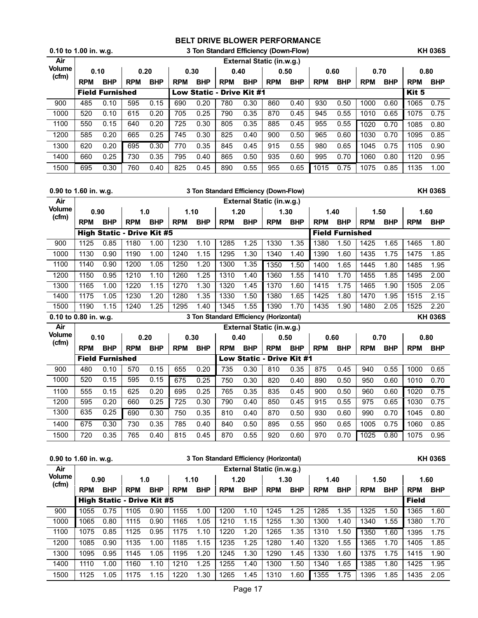| $0.10$ to 1.00 in. w.g. |            |                        |            |            |            | 3 Ton Standard Efficiency (Down-Flow) |            |                           |            |            |            |            |            |            |            | <b>KH 036S</b> |
|-------------------------|------------|------------------------|------------|------------|------------|---------------------------------------|------------|---------------------------|------------|------------|------------|------------|------------|------------|------------|----------------|
| Air                     |            |                        |            |            |            |                                       |            | External Static (in.w.g.) |            |            |            |            |            |            |            |                |
| <b>Volume</b><br>(cfm)  | 0.10       |                        | 0.20       |            | 0.30       |                                       | 0.40       |                           | 0.50       |            | 0.60       |            | 0.70       |            | 0.80       |                |
|                         | <b>RPM</b> | <b>BHP</b>             | <b>RPM</b> | <b>BHP</b> | <b>RPM</b> | <b>BHP</b>                            | <b>RPM</b> | <b>BHP</b>                | <b>RPM</b> | <b>BHP</b> | <b>RPM</b> | <b>BHP</b> | <b>RPM</b> | <b>BHP</b> | <b>RPM</b> | <b>BHP</b>     |
|                         |            | <b>Field Furnished</b> |            |            |            | Low Static - Drive Kit #1             |            |                           |            |            |            |            |            |            | Kit 5      |                |
| 900                     | 485        | 0.10                   | 595        | 0.15       | 690        | 0.20                                  | 780        | 0.30                      | 860        | 0.40       | 930        | 0.50       | 1000       | 0.60       | 1065       | 0.75           |
| 1000                    | 520        | 0.10                   | 615        | 0.20       | 705        | 0.25                                  | 790        | 0.35                      | 870        | 0.45       | 945        | 0.55       | 1010       | 0.65       | 1075       | 0.75           |
| 1100                    | 550        | 0.15                   | 640        | 0.20       | 725        | 0.30                                  | 805        | 0.35                      | 885        | 0.45       | 955        | 0.55       | 1020       | 0.70       | 1085       | 0.80           |
| 1200                    | 585        | 0.20                   | 665        | 0.25       | 745        | 0.30                                  | 825        | 0.40                      | 900        | 0.50       | 965        | 0.60       | 1030       | 0.70       | 1095       | 0.85           |
| 1300                    | 620        | 0.20                   | 695        | 0.30       | 770        | 0.35                                  | 845        | 0.45                      | 915        | 0.55       | 980        | 0.65       | 1045       | 0.75       | 1105       | 0.90           |
| 1400                    | 660        | 0.25                   | 730        | 0.35       | 795        | 0.40                                  | 865        | 0.50                      | 935        | 0.60       | 995        | 0.70       | 1060       | 0.80       | 1120       | 0.95           |
| 1500                    | 695        | 0.30                   | 760        | 0.40       | 825        | 0.45                                  | 890        | 0.55                      | 955        | 0.65       | 1015       | 0.75       | 1075       | 0.85       | 1135       | 1.00           |

|                       | 0.90 to 1.60 in. w.g. |                        |                                   |            |            |            |            |                   | 3 Ton Standard Efficiency (Down-Flow)  |            |            |                        |            |            |            | <b>KH 036S</b> |
|-----------------------|-----------------------|------------------------|-----------------------------------|------------|------------|------------|------------|-------------------|----------------------------------------|------------|------------|------------------------|------------|------------|------------|----------------|
| Air                   |                       |                        |                                   |            |            |            |            |                   | External Static (in.w.g.)              |            |            |                        |            |            |            |                |
| <b>Volume</b>         | 0.90                  |                        | 1.0                               |            | 1.10       |            | 1.20       |                   | 1.30                                   |            |            | 1.40                   | 1.50       |            | 1.60       |                |
| (cfm)                 | <b>RPM</b>            | <b>BHP</b>             | <b>RPM</b>                        | <b>BHP</b> | <b>RPM</b> | <b>BHP</b> | <b>RPM</b> | <b>BHP</b>        | <b>RPM</b>                             | <b>BHP</b> | <b>RPM</b> | <b>BHP</b>             | <b>RPM</b> | <b>BHP</b> | <b>RPM</b> | <b>BHP</b>     |
|                       |                       |                        | <b>High Static - Drive Kit #5</b> |            |            |            |            |                   |                                        |            |            | <b>Field Furnished</b> |            |            |            |                |
| 900                   | 1125                  | 0.85                   | 1180                              | 1.00       | 1230       | 1.10       | 1285       | 1.25              | 1330                                   | 1.35       | 1380       | 1.50                   | 1425       | 1.65       | 1465       | 1.80           |
| 1000                  | 1130                  | 0.90                   | 1190                              | 1.00       | 1240       | 1.15       | 1295       | 1.30              | 1340                                   | 1.40       | 1390       | 1.60                   | 1435       | 1.75       | 1475       | 1.85           |
| 1100                  | 1140                  | 0.90                   | 1200                              | 1.05       | 1250       | 1.20       | 1300       | 1.35              | 1350                                   | 1.50       | 1400       | 1.65                   | 1445       | 1.80       | 1485       | 1.95           |
| 1200                  | 1150                  | 0.95                   | 1210                              | 1.10       | 1260       | 1.25       | 1310       | 1.40              | 1360                                   | 1.55       | 1410       | 1.70                   | 1455       | 1.85       | 1495       | 2.00           |
| 1300                  | 1165                  | 1.00                   | 1220                              | 1.15       | 1270       | 1.30       | 1320       | 1.45              | 1370                                   | 1.60       | 1415       | 1.75                   | 1465       | 1.90       | 1505       | 2.05           |
| 1400                  | 1175                  | 1.05                   | 1230                              | 1.20       | 1280       | 1.35       | 1330       | 1.50              | 1380                                   | 1.65       | 1425       | 1.80                   | 1470       | 1.95       | 1515       | 2.15           |
| 1500                  | 1190                  | 1.15                   | 1240                              | 1.25       | 1295       | 1.40       | 1345       | 1.55              | 1390                                   | 1.70       | 1435       | 1.90                   | 1480       | 2.05       | 1525       | 2.20           |
|                       |                       |                        |                                   |            |            |            |            |                   |                                        |            |            |                        |            |            |            |                |
| 0.10 to 0.80 in. w.g. |                       |                        |                                   |            |            |            |            |                   | 3 Ton Standard Efficiency (Horizontal) |            |            |                        |            |            |            | <b>KH 036S</b> |
| Air                   |                       |                        |                                   |            |            |            |            |                   | External Static (in.w.g.)              |            |            |                        |            |            |            |                |
| <b>Volume</b>         | 0.10                  |                        | 0.20                              |            | 0.30       |            | 0.40       |                   | 0.50                                   |            | 0.60       |                        | 0.70       |            |            | 0.80           |
| (cfm)                 | <b>RPM</b>            | <b>BHP</b>             | <b>RPM</b>                        | <b>BHP</b> | <b>RPM</b> | <b>BHP</b> | <b>RPM</b> | <b>BHP</b>        | <b>RPM</b>                             | <b>BHP</b> | <b>RPM</b> | <b>BHP</b>             | <b>RPM</b> | <b>BHP</b> | <b>RPM</b> | <b>BHP</b>     |
|                       |                       | <b>Field Furnished</b> |                                   |            |            |            |            | <b>Low Static</b> | - Drive Kit #1                         |            |            |                        |            |            |            |                |
| 900                   | 480                   | 0.10                   | 570                               | 0.15       | 655        | 0.20       | 735        | 0.30              | 810                                    | 0.35       | 875        | 0.45                   | 940        | 0.55       | 1000       | 0.65           |
| 1000                  | 520                   | 0.15                   | 595                               | 0.15       | 675        | 0.25       | 750        | 0.30              | 820                                    | 0.40       | 890        | 0.50                   | 950        | 0.60       | 1010       | 0.70           |
| 1100                  | 555                   | 0.15                   | 625                               | 0.20       | 695        | 0.25       | 765        | 0.35              | 835                                    | 0.45       | 900        | 0.50                   | 960        | 0.60       | 1020       | 0.75           |
| 1200                  | 595                   | 0.20                   | 660                               | 0.25       | 725        | 0.30       | 790        | 0.40              | 850                                    | 0.45       | 915        | 0.55                   | 975        | 0.65       | 1030       | 0.75           |
| 1300                  | 635                   | 0.25                   | 690                               | 0.30       | 750        | 0.35       | 810        | 0.40              | 870                                    | 0.50       | 930        | 0.60                   | 990        | 0.70       | 1045       | 0.80           |
| 1400                  | 675                   | 0.30                   | 730                               | 0.35       | 785        | 0.40       | 840        | 0.50              | 895                                    | 0.55       | 950        | 0.65                   | 1005       | 0.75       | 1060       | 0.85           |

| 0.90 to 1.60 in. w.g. |            |            |                                   |            |            |            | 3 Ton Standard Efficiency (Horizontal) |            |                           |            |            |            |            |            |              | <b>KH 036S</b> |
|-----------------------|------------|------------|-----------------------------------|------------|------------|------------|----------------------------------------|------------|---------------------------|------------|------------|------------|------------|------------|--------------|----------------|
| Air                   |            |            |                                   |            |            |            |                                        |            | External Static (in.w.g.) |            |            |            |            |            |              |                |
| <b>Volume</b>         | 0.90       |            |                                   | 1.0        | 1.10       |            | 1.20                                   |            | 1.30                      |            | 1.40       |            | 1.50       |            | 1.60         |                |
| (cfm)                 | <b>RPM</b> | <b>BHP</b> | <b>RPM</b>                        | <b>BHP</b> | <b>RPM</b> | <b>BHP</b> | <b>RPM</b>                             | <b>BHP</b> | <b>RPM</b>                | <b>BHP</b> | <b>RPM</b> | <b>BHP</b> | <b>RPM</b> | <b>BHP</b> | <b>RPM</b>   | <b>BHP</b>     |
|                       |            |            | <b>High Static - Drive Kit #5</b> |            |            |            |                                        |            |                           |            |            |            |            |            | <b>Field</b> |                |
| 900                   | 1055       | 0.75       | 1105                              | 0.90       | 1155       | 1.00       | 1200                                   | 1.10       | 1245                      | 1.25       | 1285       | 1.35       | 1325       | 1.50       | 1365         | 1.60           |
| 1000                  | 1065       | 0.80       | 1115                              | 0.90       | 1165       | 1.05       | 1210                                   | 1.15       | 1255                      | 1.30       | 1300       | 1.40       | 1340       | 1.55       | 1380         | 1.70           |
| 1100                  | 1075       | 0.85       | 1125                              | 0.95       | 1175       | 1.10       | 1220                                   | 1.20       | 1265                      | 1.35       | 1310       | .50        | 1350       | 1.60       | 1395         | 1.75           |
| 1200                  | 1085       | 0.90       | 1135                              | 1.00       | 1185       | 1.15       | 1235                                   | 1.25       | 1280                      | 1.40       | 1320       | 1.55       | 1365       | 1.70       | 1405         | 1.85           |
| 1300                  | 1095       | 0.95       | 1145                              | 1.05       | 1195       | 1.20       | 1245                                   | 1.30       | 1290                      | 1.45       | 1330       | 1.60       | 1375       | 1.75       | 1415         | 1.90           |
| 1400                  | 1110       | 1.00       | 1160                              | 1.10       | 1210       | 1.25       | 1255                                   | 1.40       | 1300                      | 1.50       | 1340       | 1.65       | 1385       | 1.80       | 1425         | 1.95           |
| 1500                  | 1125       | 1.05       | 1175                              | 1.15       | 1220       | 1.30       | 1265                                   | 1.45       | 1310                      | 1.60       | 1355       | 1.75       | 1395       | 1.85       | 1435         | 2.05           |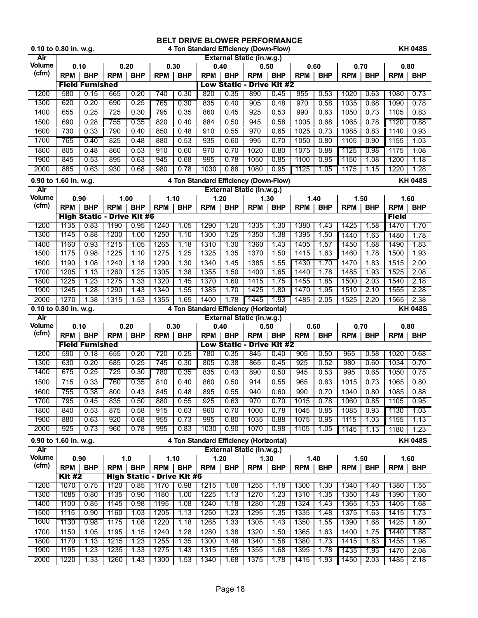| 0.10 to 0.80 in. w.g. |               |                                |              |                                   |              | <b>BELT DRIVE BLOWER PERFORMANCE</b> |              |              | 4 Ton Standard Efficiency (Down-Flow)   |              |              |              |              |              |              | <b>KH 048S</b> |
|-----------------------|---------------|--------------------------------|--------------|-----------------------------------|--------------|--------------------------------------|--------------|--------------|-----------------------------------------|--------------|--------------|--------------|--------------|--------------|--------------|----------------|
| Air                   |               |                                |              |                                   |              |                                      |              |              | External Static (in.w.g.)               |              |              |              |              |              |              |                |
| <b>Volume</b>         | 0.10          |                                |              | 0.20                              |              | 0.30                                 | 0.40         |              | 0.50                                    |              | 0.60         |              | 0.70         |              | 0.80         |                |
| (cfm)                 | <b>RPM</b>    | <b>BHP</b>                     | <b>RPM</b>   | <b>BHP</b>                        | <b>RPM</b>   | <b>BHP</b>                           | <b>RPM</b>   | <b>BHP</b>   | <b>RPM</b>                              | <b>BHP</b>   | <b>RPM</b>   | <b>BHP</b>   | <b>RPM</b>   | <b>BHP</b>   | <b>RPM</b>   | <b>BHP</b>     |
|                       |               | <b>Field Furnished</b>         |              |                                   |              |                                      |              |              | <b>Low Static - Drive Kit #2</b>        |              |              |              |              |              |              |                |
| 1200                  | 580           | 0.15                           | 665          | 0.20                              | 740          | 0.30                                 | 820          | 0.35         | 890                                     | 0.45         | 955          | 0.53         | 1020         | 0.63         | 1080         | 0.73           |
| 1300                  | 620           | 0.20                           | 690          | 0.25                              | 765          | 0.30                                 | 835          | 0.40         | 905                                     | 0.48         | 970          | 0.58         | 1035         | 0.68         | 1090         | 0.78           |
| 1400                  | 655           | 0.25                           | 725          | 0.30                              | 795          | 0.35                                 | 860          | 0.45         | 925                                     | 0.53         | 990          | 0.63         | 1050         | 0.73         | 1105         | 0.83           |
| 1500<br>1600          | 690<br>730    | 0.28<br>0.33                   | 755<br>790   | 0.35<br>0.40                      | 820<br>850   | 0.40<br>0.48                         | 884<br>910   | 0.50<br>0.55 | 945<br>970                              | 0.58<br>0.65 | 1005<br>1025 | 0.68<br>0.73 | 1065<br>1085 | 0.78<br>0.83 | 1120<br>1140 | 0.88<br>0.93   |
| 1700                  | 765           | 0.40                           | 825          | 0.48                              | 880          | 0.53                                 | 935          | 0.60         | 995                                     | 0.70         | 1050         | 0.80         | 1105         | 0.90         | 1155         | 1.03           |
| 1800                  | 805           | 0.48                           | 860          | 0.53                              | 910          | 0.60                                 | 970          | 0.70         | 1020                                    | 0.80         | 1075         | 0.88         | 1125         | 0.98         | 1175         | 1.08           |
| 1900                  | 845           | 0.53                           | 895          | 0.63                              | 945          | 0.68                                 | 995          | 0.78         | 1050                                    | 0.85         | 1100         | 0.95         | 1150         | 1.08         | 1200         | 1.18           |
| 2000                  | 885           | 0.63                           | 930          | 0.68                              | 980          | 0.78                                 | 1030         | 0.88         | 1080                                    | 0.95         | 1125         | 1.05         | 1175         | 1.15         | 1220         | 1.28           |
| 0.90 to 1.60 in. w.g. |               |                                |              |                                   |              |                                      |              |              | 4 Ton Standard Efficiency (Down-Flow)   |              |              |              |              |              |              | <b>KH 048S</b> |
| Air                   |               |                                |              |                                   |              |                                      |              |              | External Static (in.w.g.)               |              |              |              |              |              |              |                |
| Volume                | 0.90          |                                | 1.00         |                                   | 1.10         |                                      | 1.20         |              | 1.30                                    |              | 1.40         |              | 1.50         |              | 1.60         |                |
| (cfm)                 | <b>RPM</b>    | <b>BHP</b>                     | RPM          | <b>BHP</b>                        | <b>RPM</b>   | <b>BHP</b>                           | <b>RPM</b>   | <b>BHP</b>   | <b>RPM</b>                              | <b>BHP</b>   | <b>RPM</b>   | <b>BHP</b>   | <b>RPM</b>   | <b>BHP</b>   | <b>RPM</b>   | <b>BHP</b>     |
|                       |               |                                |              | <b>High Static - Drive Kit #6</b> |              |                                      |              |              |                                         |              |              |              |              |              | <b>Field</b> |                |
| 1200                  | 1135          | 0.83                           | 1190         | 0.95                              | 1240         | 1.05                                 | 1290         | 1.20         | 1335                                    | 1.30         | 1380         | 1.43         | 1425         | 1.58         | 1470         | 1.70           |
| 1300                  | 1145          | 0.88                           | 1200         | 1.00                              | 1250         | 1.10                                 | 1300         | 1.25         | 1350                                    | 1.38         | 1395         | 1.50         | 1440         | 1.63         | 1480         | 1.78           |
| 1400                  | 1160<br>1175  | 0.93<br>0.98                   | 1215<br>1225 | 1.05                              | 1265<br>1275 | 1.18<br>1.25                         | 1310<br>1325 | 1.30<br>1.35 | 1360<br>1370                            | 1.43<br>1.50 | 1405<br>1415 | 1.57<br>1.63 | 1450<br>1460 | 1.68<br>1.78 | 1490         | 1.83           |
| 1500<br>1600          | 1190          | 1.08                           | 1240         | 1.10<br>1.18                      | 1290         | 1.30                                 | 1340         | 1.45         | 1385                                    | 1.55         | 1430         | 1.70         | 1470         | 1.83         | 1500<br>1515 | 1.93<br>2.00   |
| 1700                  | 1205          | 1.13                           | 1260         | 1.25                              | 1305         | 1.38                                 | 1355         | 1.50         | 1400                                    | 1.65         | 1440         | 1.78         | 1485         | 1.93         | 1525         | 2.08           |
| 1800                  | 1225          | 1.23                           | 1275         | 1.33                              | 1320         | 1.45                                 | 1370         | 1.60         | 1415                                    | 1.75         | 1455         | 1.85         | 1500         | 2.03         | 1540         | 2.18           |
| 1900                  | 1245          | 1.28                           | 1290         | 1.43                              | 1340         | 1.55                                 | 1385         | 1.70         | 1425                                    | 1.80         | 1470         | 1.95         | 1510         | 2.10         | 1555         | 2.28           |
| 2000                  | 1270          | 1.38                           | 1315         | 1.53                              | 1355         | 1.65                                 | 1400         | 1.78         | 1445                                    | 1.93         | 1485         | 2.05         | 1525         | 2.20         | 1565         | 2.38           |
| 0.10 to 0.80 in. w.g. |               |                                |              |                                   |              |                                      |              |              | 4 Ton Standard Efficiency (Horizontal)  |              |              |              |              |              |              | <b>KH 048S</b> |
| Air                   |               |                                |              |                                   |              |                                      |              |              | <b>External Static (in.w.g.)</b>        |              |              |              |              |              |              |                |
| Volume                | 0.10          |                                |              | 0.20                              | 0.30         |                                      | 0.40         |              | 0.50                                    |              | 0.60         |              | 0.70         |              | 0.80         |                |
| (cfm)                 | <b>RPM</b>    | <b>BHP</b>                     | <b>RPM</b>   | <b>BHP</b>                        | <b>RPM</b>   | <b>BHP</b>                           | <b>RPM</b>   | <b>BHP</b>   | <b>RPM</b>                              | <b>BHP</b>   | <b>RPM</b>   | <b>BHP</b>   | <b>RPM</b>   | <b>BHP</b>   | <b>RPM</b>   | <b>BHP</b>     |
| 1200                  | 590           | <b>Field Furnished</b><br>0.18 | 655          | 0.20                              | 720          | 0.25                                 | 780          | 0.35         | <b>Low Static - Drive Kit #2</b><br>845 | 0.40         | 905          | 0.50         | 965          | 0.58         | 1020         | 0.68           |
| 1300                  | 630           | 0.20                           | 685          | 0.25                              | 745          | 0.30                                 | 805          | 0.38         |                                         |              | 925          |              | 980          | 0.60         | 1034         | 0.70           |
| 1400                  | 675           | 0.25                           | 725          |                                   |              |                                      |              |              |                                         |              |              |              |              |              |              |                |
| 1500                  | 715           |                                |              |                                   |              |                                      |              |              | 865                                     | 0.45         |              | 0.52         |              |              |              |                |
| 1600                  |               |                                |              | 0.30                              | 780          | 0.35                                 | 835          | 0.43         | 890                                     | 0.50         | 945          | 0.53         | 995          | 0.65         | 1050         | 0.75           |
|                       |               | 0.33                           | 760          | 0.35                              | 810          | 0.40                                 | 860          | 0.50         | 914                                     | 0.55         | 965          | 0.63         | 1015         | 0.73         | 1065         | 0.80           |
| 1700                  | 755<br>795    | 0.38<br>0.45                   | 800<br>835   | 0.43<br>0.50                      | 845<br>880   | 0.48<br>0.55                         | 895<br>925   | 0.55<br>0.63 | 940<br>970                              | 0.60<br>0.70 | 990<br>1015  | 0.70<br>0.78 | 1040<br>1060 | 0.80<br>0.85 | 1085<br>1105 | 0.88<br>0.95   |
| 1800                  | 840           | 0.53                           | 875          | 0.58                              | 915          | 0.63                                 | 960          | 0.70         | 1000                                    | 0.78         | 1045         | 0.85         | 1085         | 0.93         | 1130         | 1.03           |
| 1900                  | 880           | 0.63                           | 920          | 0.68                              | 955          | 0.73                                 | 995          | 0.80         | 1035                                    | 0.88         | 1075         | 0.95         | 1115         | 1.03         | 1155         | 1.13           |
| 2000                  | 925           | 0.73                           | 960          | 0.78                              | 995          | 0.83                                 | 1030         | 0.90         | 1070                                    | 0.98         | 1105         | 1.05         | 1145         | 1.13         | 1180         | 1.23           |
| 0.90 to 1.60 in. w.g. |               |                                |              |                                   |              |                                      |              |              | 4 Ton Standard Efficiency (Horizontal)  |              |              |              |              |              |              | <b>KH 048S</b> |
| Air                   |               |                                |              |                                   |              |                                      |              |              | External Static (in.w.g.)               |              |              |              |              |              |              |                |
| Volume                | 0.90          |                                |              | 1.0                               |              | 1.10                                 | 1.20         |              | 1.30                                    |              | 1.40         |              | 1.50         |              |              | 1.60           |
| (cfm)                 | <b>RPM</b>    | <b>BHP</b>                     | <b>RPM</b>   | <b>BHP</b>                        | <b>RPM</b>   | <b>BHP</b>                           | <b>RPM</b>   | <b>BHP</b>   | <b>RPM</b>                              | <b>BHP</b>   | <b>RPM</b>   | <b>BHP</b>   | <b>RPM</b>   | <b>BHP</b>   | <b>RPM</b>   | <b>BHP</b>     |
|                       | <b>Kit #2</b> |                                |              |                                   |              | <b>High Static - Drive Kit #6</b>    |              |              |                                         |              |              |              |              |              |              |                |
| 1200                  | 1070          | 0.75                           | 1120         | 0.85                              | 1170         | 0.98                                 | 1215         | 1.08         | 1255                                    | 1.18         | 1300         | 1.30         | 1340         | 1.40         | 1380         | 1.55           |
| 1300<br>1400          | 1085<br>1100  | 0.80<br>0.85                   | 1135<br>1145 | 0.90<br>0.98                      | 1180<br>1195 | 1.00<br>1.08                         | 1225<br>1240 | 1.13<br>1.18 | 1270<br>1280                            | 1.23<br>1.28 | 1310<br>1324 | 1.35<br>1.43 | 1350<br>1365 | 1.48<br>1.53 | 1390<br>1405 | 1.60<br>1.68   |
| 1500                  | 1115          | 0.90                           | 1160         | 1.03                              | 1205         | 1.13                                 | 1250         | 1.23         | 1295                                    | 1.35         | 1335         | 1.48         | 1375         | 1.63         | 1415         | 1.73           |
| 1600                  | 1130          | 0.98                           | 1175         | 1.08                              | 1220         | 1.18                                 | 1265         | 1.33         | 1305                                    | 1.43         | 1350         | 1.55         | 1390         | 1.68         | 1425         | 1.80           |
| 1700                  | 1150          | 1.05                           | 1195         | 1.15                              | 1240         | 1.28                                 | 1280         | 1.38         | 1320                                    | 1.50         | 1365         | 1.63         | 1400         | 1.75         | 1440         | 1.88           |
| 1800                  | 1170          | 1.13                           | 1215         | 1.23                              | 1255         | 1.35                                 | 1300         | 1.48         | 1340                                    | 1.58         | 1380         | 1.73         | 1415         | 1.83         | 1455         | 1.98           |
| 1900<br>2000          | 1195<br>1220  | 1.23<br>1.33                   | 1235<br>1260 | 1.33<br>1.43                      | 1275<br>1300 | 1.43<br>1.53                         | 1315<br>1340 | 1.55<br>1.68 | 1355<br>1375                            | 1.68<br>1.78 | 1395<br>1415 | 1.78<br>1.93 | 1435<br>1450 | 1.93<br>2.03 | 1470<br>1485 | 2.08<br>2.18   |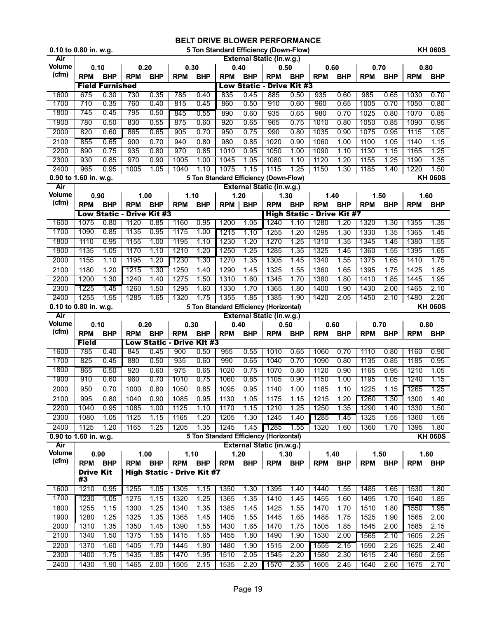|                              | 0.10 to 0.80 in. w.g.  |                        |              |                                  |                                   |              |              |              |                                               | 5 Ton Standard Efficiency (Down-Flow) |                                   |              |              |              |              | <b>KH 060S</b>         |
|------------------------------|------------------------|------------------------|--------------|----------------------------------|-----------------------------------|--------------|--------------|--------------|-----------------------------------------------|---------------------------------------|-----------------------------------|--------------|--------------|--------------|--------------|------------------------|
| Air                          |                        |                        |              |                                  |                                   |              |              |              | External Static (in.w.g.)                     |                                       |                                   |              |              |              |              |                        |
| Volume<br>(cfm)              | 0.10                   |                        |              | 0.20                             | 0.30                              |              |              | 0.40         | 0.50                                          |                                       | 0.60                              |              | 0.70         |              | 0.80         |                        |
|                              | <b>RPM</b>             | <b>BHP</b>             | <b>RPM</b>   | <b>BHP</b>                       | <b>RPM</b>                        | <b>BHP</b>   | <b>RPM</b>   | <b>BHP</b>   | <b>RPM</b>                                    | <b>BHP</b>                            | <b>RPM</b>                        | <b>BHP</b>   | <b>RPM</b>   | <b>BHP</b>   | <b>RPM</b>   | <b>BHP</b>             |
|                              |                        | <b>Field Furnished</b> |              |                                  |                                   |              |              |              | <b>Low Static - Drive Kit #3</b>              |                                       |                                   |              |              |              |              |                        |
| 1600                         | 675                    | 0.30                   | 730          | 0.35                             | 785                               | 0.40         | 835          | 0.45         | 885                                           | 0.50                                  | 935                               | 0.60         | 985          | 0.65         | 1030         | 0.70                   |
| 1700                         | 710                    | 0.35                   | 760          | 0.40                             | 815                               | 0.45         | 860          | 0.50         | 910                                           | 0.60                                  | 960                               | 0.65         | 1005         | 0.70         | 1050         | 0.80                   |
| 1800                         | 745                    | 0.45                   | 795          | 0.50                             | 845                               | 0.55         | 890          | 0.60         | 935                                           | 0.65                                  | 980                               | 0.70         | 1025         | 0.80         | 1070         | 0.85                   |
| 1900                         | 780                    | 0.50                   | 830          | 0.55                             | 875                               | 0.60         | 920          | 0.65         | 965                                           | 0.75                                  | 1010                              | 0.80         | 1050         | 0.85         | 1090         | 0.95                   |
| 2000                         | 820                    | 0.60                   | 865          | 0.65                             | 905                               | 0.70         | 950          | 0.75         | 990                                           | 0.80                                  | 1035                              | 0.90         | 1075         | 0.95         | 1115         | 1.05                   |
| 2100                         | 855                    | 0.65                   | 900          | 0.70                             | 940                               | 0.80         | 980          | 0.85         | 1020                                          | 0.90                                  | 1060                              | 1.00         | 1100         | 1.05         | 1140         | 1.15                   |
| 2200                         | 890                    | 0.75                   | 935          | 0.80                             | 970                               | 0.85         | 1010         | 0.95         | 1050                                          | 1.00                                  | 1090                              | 1.10         | 1130         | 1.15         | 1165         | 1.25                   |
| 2300                         | 930                    | 0.85                   | 970          | 0.90                             | 1005                              | 1.00         | 1045         | 1.05         | 1080                                          | 1.10                                  | 1120                              | 1.20         | 1155         | 1.25         | 1190         | 1.35                   |
| 2400                         | 965                    | 0.95                   | 1005         | 1.05                             | 1040                              | 1.10         | 1075         | 1.15         | 1115<br>5 Ton Standard Efficiency (Down-Flow) | 1.25                                  | 1150                              | 1.30         | 1185         | 1.40         | 1220         | 1.50<br><b>KH 060S</b> |
| 0.90 to 1.60 in. w.g.<br>Air |                        |                        |              |                                  |                                   |              |              |              | <b>External Static (in.w.g.)</b>              |                                       |                                   |              |              |              |              |                        |
| <b>Volume</b>                | 0.90                   |                        |              | 1.00                             | 1.10                              |              |              | 1.20         | 1.30                                          |                                       | 1.40                              |              | 1.50         |              | 1.60         |                        |
| (cfm)                        | <b>RPM</b>             | <b>BHP</b>             | <b>RPM</b>   | <b>BHP</b>                       | <b>RPM</b>                        | <b>BHP</b>   | <b>RPM</b>   | <b>BHP</b>   | <b>RPM</b>                                    | <b>BHP</b>                            | <b>RPM</b>                        | <b>BHP</b>   | <b>RPM</b>   | <b>BHP</b>   | <b>RPM</b>   | <b>BHP</b>             |
|                              |                        |                        |              | <b>Low Static - Drive Kit #3</b> |                                   |              |              |              |                                               |                                       | <b>High Static - Drive Kit #7</b> |              |              |              |              |                        |
| 1600                         | 1075                   | 0.80                   | 1120         | 0.85                             | 1160                              | 0.95         | 1200         | 1.05         | 1240                                          | 1.10                                  | 1280                              | 1.20         | 1320         | 1.30         | 1355         | 1.35                   |
| 1700                         | 1090                   | 0.85                   | 1135         | 0.95                             | 1175                              | 1.00         | 1215         | 1.10         | 1255                                          | 1.20                                  | 1295                              | 1.30         | 1330         | 1.35         | 1365         | 1.45                   |
| 1800                         | 1110                   | 0.95                   | 1155         | 1.00                             | 1195                              | 1.10         | 1230         | 1.20         | 1270                                          | 1.25                                  | 1310                              | 1.35         | 1345         | 1.45         | 1380         | 1.55                   |
| 1900                         | 1135                   | 1.05                   | 1170         | 1.10                             | 1210                              | 1.20         | 1250         | 1.25         | 1285                                          | 1.35                                  | 1325                              | 1.45         | 1360         | 1.55         | 1395         | 1.65                   |
| 2000                         | 1155                   | 1.10                   | 1195         | 1.20                             | 1230                              | 1.30         | 1270         | 1.35         | 1305                                          | 1.45                                  | 1340                              | 1.55         | 1375         | 1.65         | 1410         | 1.75                   |
| 2100                         | 1180                   | 1.20                   | 1215         | 1.30                             | 1250                              | 1.40         | 1290         | 1.45         | 1325                                          | 1.55                                  | 1360                              | 1.65         | 1395         | 1.75         | 1425         | 1.85                   |
| 2200                         | 1200                   | 1.30                   | 1240         | 1.40                             | 1275                              | 1.50         | 1310         | 1.60         | 1345                                          | 1.70                                  | 1380                              | 1.80         | 1410         | 1.85         | 1445         | 1.95                   |
| 2300                         | 1225                   | 1.45                   | 1260         | 1.50                             | 1295                              | 1.60         | 1330         | 1.70         | 1365                                          | 1.80                                  | 1400                              | 1.90         | 1430         | 2.00         | 1465         | 2.10                   |
| 2400                         | 1255                   | 1.55                   | 1285         | 1.65                             | 1320                              | 1.75         | 1355         | 1.85         | 1385                                          | 1.90                                  | 1420                              | 2.05         | 1450         | 2.10         | 1480         | 2.20                   |
| 0.10 to 0.80 in. w.g.        |                        |                        |              |                                  |                                   |              |              |              | 5 Ton Standard Efficiency (Horizontal)        |                                       |                                   |              |              |              |              | <b>KH 060S</b>         |
|                              |                        |                        |              |                                  |                                   |              |              |              |                                               |                                       |                                   |              |              |              |              |                        |
| Air                          |                        |                        |              |                                  |                                   |              |              |              | <b>External Static (in.w.g.)</b>              |                                       |                                   |              |              |              |              |                        |
| <b>Volume</b>                | 0.10                   |                        |              | 0.20                             | 0.30                              |              | 0.40         |              | 0.50                                          |                                       | 0.60                              |              | 0.70         |              | 0.80         |                        |
| (cfm)                        | <b>RPM</b>             | <b>BHP</b>             | <b>RPM</b>   | <b>BHP</b>                       | <b>RPM</b>                        | <b>BHP</b>   | <b>RPM</b>   | <b>BHP</b>   | <b>RPM</b>                                    | <b>BHP</b>                            | <b>RPM</b>                        | <b>BHP</b>   | <b>RPM</b>   | <b>BHP</b>   | <b>RPM</b>   | <b>BHP</b>             |
|                              | <b>Field</b>           |                        |              |                                  | <b>Low Static - Drive Kit #3</b>  |              |              |              |                                               |                                       |                                   |              |              |              |              |                        |
| 1600                         | 785                    | 0.40                   | 845          | 0.45                             | 900                               | 0.50         | 955          | 0.55         | 1010                                          | 0.65                                  | 1060                              | 0.70         | 1110         | 0.80         | 1160         | 0.90                   |
| 1700                         | 825                    | 0.45                   | 880          | 0.50                             | 935                               | 0.60         | 990          | 0.65         | 1040                                          | 0.70                                  | 1090                              | 0.80         | 1135         | 0.85         | 1185         | 0.95                   |
| 1800                         | 865                    | 0.50                   | 920          | 0.60                             | 975                               | 0.65         | 1020         | 0.75         | 1070                                          | 0.80                                  | 1120                              | 0.90         | 1165         | 0.95         | 1210         | 1.05                   |
| 1900                         | 910                    | 0.60                   | 960          | 0.70                             | 1010                              | 0.75         | 1060         | 0.85         | 1105                                          | 0.90                                  | 1150                              | 1.00         | 1195         | 1.05         | 1240         | 1.15                   |
| 2000                         | 950                    | 0.70                   | 1000         | 0.80                             | 1050                              | 0.85         | 1095         | 0.95         | 1140                                          | 1.00                                  | 1185                              | 1.10         | 1225         | 1.15         | 1265         | 1.25                   |
| 2100                         | 995                    | 0.80                   | 1040         | 0.90                             | 1085                              | 0.95         | 1130         | 1.05         | 1175                                          | 1.15                                  | 1215                              | 1.20         | 1260         | 1.30         | 1300         | 1.40                   |
| 2200                         | 1040                   | 0.95                   | 1085         | 1.00                             | 1125                              | 1.10         | 1170         | 1.15         | 1210                                          | 1.25                                  | 1250                              | 1.35         | 1290         | 1.40         | 1330         | 1.50                   |
| 2300                         | 1080                   | 1.05                   | 1125         | 1.15                             | 1165                              | 1.20         | 1205         | 1.30         | 1245                                          | 1.40                                  | 1285                              | 1.45         | 1325         | 1.55         | 1360         | 1.65                   |
| 2400                         | 1125                   | 1.20                   | 1165         | 1.25                             | 1205                              | 1.35         | 1245         | 1.45         | 1285                                          | 1.55                                  | 1320                              | 1.60         | 1360         | 1.70         | 1395         | 1.80                   |
| 0.90 to 1.60 in. w.g.        |                        |                        |              |                                  |                                   |              |              |              | 5 Ton Standard Efficiency (Horizontal)        |                                       |                                   |              |              |              |              | <b>KH 060S</b>         |
| Air                          |                        |                        |              |                                  |                                   |              |              |              | External Static (in.w.g.)                     |                                       |                                   |              |              |              |              |                        |
| Volume<br>(cfm)              | 0.90                   |                        |              | 1.00                             | 1.10                              |              | 1.20         |              | 1.30                                          |                                       |                                   | 1.40         |              | 1.50         |              | 1.60                   |
|                              | RPM BHP                |                        |              | RPM BHP                          | RPM BHP                           |              | <b>RPM</b>   | <b>BHP</b>   | <b>RPM</b>                                    | <b>BHP</b>                            | <b>RPM</b>                        | <b>BHP</b>   | <b>RPM</b>   | <b>BHP</b>   | <b>RPM</b>   | <b>BHP</b>             |
|                              | <b>Drive Kit</b><br>#3 |                        |              |                                  | <b>High Static - Drive Kit #7</b> |              |              |              |                                               |                                       |                                   |              |              |              |              |                        |
| 1600                         | 1210                   | 0.95                   | 1255         | 1.05                             | 1305                              | 1.15         | 1350         | 1.30         | 1395                                          | 1.40                                  | 1440                              | 1.55         | 1485         | 1.65         | 1530         | 1.80                   |
| 1700                         | 1230                   | 1.05                   | 1275         | 1.15                             | 1320                              | 1.25         | 1365         | 1.35         | 1410                                          | 1.45                                  | 1455                              | 1.60         | 1495         | 1.70         | 1540         | 1.85                   |
| 1800                         | 1255                   | 1.15                   | 1300         | 1.25                             | 1340                              | 1.35         | 1385         | 1.45         | 1425                                          | 1.55                                  | 1470                              | 1.70         | 1510         | 1.80         | 1550         | 1.95                   |
| 1900                         | 1280                   | 1.25                   | 1325         | 1.35                             | 1365                              | 1.45         | 1405         | 1.55         | 1445                                          | 1.65                                  | 1485                              | 1.75         | 1525         | 1.90         | 1565         | 2.00                   |
| 2000                         | 1310                   | 1.35                   | 1350         | 1.45                             | 1390                              | 1.55         | 1430         | 1.65         | 1470                                          | 1.75                                  | 1505                              | 1.85         | 1545         | 2.00         | 1585         | 2.15                   |
| 2100                         | 1340                   | 1.50                   | 1375         | 1.55                             | 1415                              | 1.65         | 1455         | 1.80         | 1490                                          | 1.90                                  | 1530                              | 2.00         | 1565         | 2.10         | 1605         | 2.25                   |
| 2200                         | 1370                   | 1.60                   | 1405         | 1.70                             | 1445                              | 1.80         | 1480         | 1.90         | 1515                                          | 2.00                                  | 1555                              | 2.15         | 1590         | 2.25         | 1625         | 2.40                   |
| 2300<br>2400                 | 1400<br>1430           | 1.75<br>1.90           | 1435<br>1465 | 1.85<br>2.00                     | 1470<br>1505                      | 1.95<br>2.15 | 1510<br>1535 | 2.05<br>2.20 | 1545<br>1570                                  | 2.20<br>2.35                          | 1580<br>1605                      | 2.30<br>2.45 | 1615<br>1640 | 2.40<br>2.60 | 1650<br>1675 | 2.55<br>2.70           |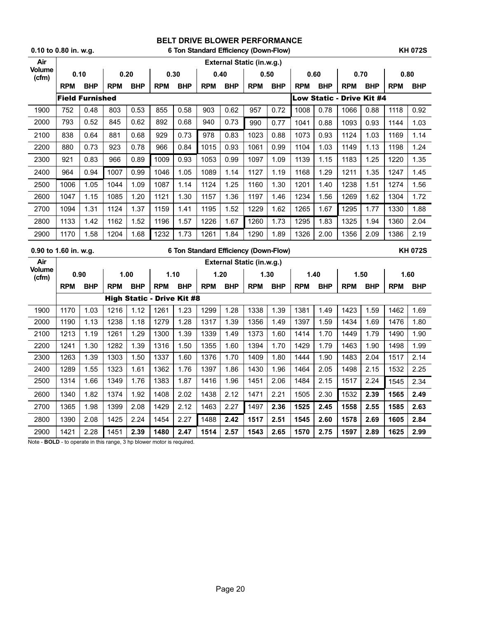|                       | 0.10 to 0.80 in. w.g. |                        |              |            |                                   |              |            | 6 Ton Standard Efficiency (Down-Flow) |                                       |            |            |            |                                  |            |            | <b>KH 072S</b> |
|-----------------------|-----------------------|------------------------|--------------|------------|-----------------------------------|--------------|------------|---------------------------------------|---------------------------------------|------------|------------|------------|----------------------------------|------------|------------|----------------|
| Air                   |                       |                        |              |            |                                   |              |            |                                       | External Static (in.w.g.)             |            |            |            |                                  |            |            |                |
| Volume<br>(cfm)       | 0.10                  |                        | 0.20         |            |                                   | 0.30         |            | 0.40                                  |                                       | 0.50       |            | 0.60       |                                  | 0.70       | 0.80       |                |
|                       | <b>RPM</b>            | <b>BHP</b>             | RPM BHP      |            | <b>RPM</b>                        | <b>BHP</b>   | <b>RPM</b> | <b>BHP</b>                            | <b>RPM</b>                            | <b>BHP</b> | RPM BHP    |            | <b>RPM</b>                       | <b>BHP</b> | <b>RPM</b> | <b>BHP</b>     |
|                       |                       | <b>Field Furnished</b> |              |            |                                   |              |            |                                       |                                       |            |            |            | <b>Low Static - Drive Kit #4</b> |            |            |                |
| 1900                  | 752                   | 0.48                   | 803          | 0.53       | 855                               | 0.58         | 903        | 0.62                                  | 957                                   | 0.72       | 1008       | 0.78       | 1066                             | 0.88       | 1118       | 0.92           |
| 2000                  | 793                   | 0.52                   | 845          | 0.62       | 892                               | 0.68         | 940        | 0.73                                  | 990                                   | 0.77       | 1041       | 0.88       | 1093                             | 0.93       | 1144       | 1.03           |
| 2100                  | 838                   | 0.64                   | 881          | 0.68       | 929                               | 0.73         | 978        | 0.83                                  | 1023                                  | 0.88       | 1073       | 0.93       | 1124                             | 1.03       | 1169       | 1.14           |
| 2200                  | 880                   | 0.73                   | 923          | 0.78       | 966                               | 0.84         | 1015       | 0.93                                  | 1061                                  | 0.99       | 1104       | 1.03       | 1149                             | 1.13       | 1198       | 1.24           |
| 2300                  | 921                   | 0.83                   | 966          | 0.89       | 1009                              | 0.93         | 1053       | 0.99                                  | 1097                                  | 1.09       | 1139       | 1.15       | 1183                             | 1.25       | 1220       | 1.35           |
| 2400                  | 964                   | 0.94                   | 1007         | 0.99       | 1046                              | 1.05         | 1089       | 1.14                                  | 1127                                  | 1.19       | 1168       | 1.29       | 1211                             | 1.35       | 1247       | 1.45           |
| 2500                  | 1006                  | 1.05                   | 1044         | 1.09       | 1087                              | 1.14         | 1124       | 1.25                                  | 1160                                  | 1.30       | 1201       | 1.40       | 1238                             | 1.51       | 1274       | 1.56           |
| 2600                  | 1047                  | 1.15                   | 1085         | 1.20       | 1121                              | 1.30         | 1157       | 1.36                                  | 1197                                  | 1.46       | 1234       | 1.56       | 1269                             | 1.62       | 1304       | 1.72           |
| 2700                  | 1094                  | 1.31                   | 1124         | 1.37       | 1159                              | 1.41         | 1195       | 1.52                                  | 1229                                  | 1.62       | 1265       | 1.67       | 1295                             | 1.77       | 1330       | 1.88           |
| 2800                  | 1133                  | 1.42                   | 1162         | 1.52       | 1196                              | 1.57         | 1226       | 1.67                                  | 1260                                  | 1.73       | 1295       | 1.83       | 1325                             | 1.94       | 1360       | 2.04           |
| 2900                  | 1170                  | 1.58                   | 1204         | 1.68       | 1232                              | 1.73         | 1261       | 1.84                                  | 1290                                  | 1.89       | 1326       | 2.00       | 1356                             | 2.09       | 1386       | 2.19           |
| 0.90 to 1.60 in. w.g. |                       |                        |              |            |                                   |              |            |                                       |                                       |            |            |            |                                  |            |            |                |
|                       |                       |                        |              |            |                                   |              |            |                                       | 6 Ton Standard Efficiency (Down-Flow) |            |            |            |                                  |            |            | <b>KH 072S</b> |
| Air                   |                       |                        |              |            |                                   |              |            |                                       | External Static (in.w.g.)             |            |            |            |                                  |            |            |                |
| <b>Volume</b>         | 0.90                  |                        |              | 1.00       | 1.10                              |              |            | 1.20                                  |                                       | 1.30       |            | 1.40       |                                  | 1.50       |            | 1.60           |
| (cfm)                 | <b>RPM</b>            | <b>BHP</b>             | <b>RPM</b>   | <b>BHP</b> | <b>RPM</b>                        | <b>BHP</b>   | <b>RPM</b> | <b>BHP</b>                            | <b>RPM</b>                            | <b>BHP</b> | <b>RPM</b> | <b>BHP</b> | <b>RPM</b>                       | <b>BHP</b> | <b>RPM</b> | <b>BHP</b>     |
|                       |                       |                        |              |            | <b>High Static - Drive Kit #8</b> |              |            |                                       |                                       |            |            |            |                                  |            |            |                |
| 1900                  | 1170                  | 1.03                   | 1216         | 1.12       | 1261                              | 1.23         | 1299       | 1.28                                  | 1338                                  | 1.39       | 1381       | 1.49       | 1423                             | 1.59       | 1462       | 1.69           |
| 2000                  | 1190                  | 1.13                   | 1238         | 1.18       | 1279                              | 1.28         | 1317       | 1.39                                  | 1356                                  | 1.49       | 1397       | 1.59       | 1434                             | 1.69       | 1476       | 1.80           |
| 2100                  | 1213                  | 1.19                   | 1261         | 1.29       | 1300                              | 1.39         | 1339       | 1.49                                  | 1373                                  | 1.60       | 1414       | 1.70       | 1449                             | 1.79       | 1490       | 1.90           |
| 2200                  | 1241                  | 1.30                   | 1282         | 1.39       | 1316                              | 1.50         | 1355       | 1.60                                  | 1394                                  | 1.70       | 1429       | 1.79       | 1463                             | 1.90       | 1498       | 1.99           |
| 2300                  | 1263                  | 1.39                   | 1303         | 1.50       | 1337                              | 1.60         | 1376       | 1.70                                  | 1409                                  | 1.80       | 1444       | 1.90       | 1483                             | 2.04       | 1517       | 2.14           |
| 2400                  | 1289                  | 1.55                   | 1323         | 1.61       | 1362                              | 1.76         | 1397       | 1.86                                  | 1430                                  | 1.96       | 1464       | 2.05       | 1498                             | 2.15       | 1532       | 2.25           |
| 2500                  | 1314                  | 1.66                   | 1349         | 1.76       | 1383                              | 1.87         | 1416       | 1.96                                  | 1451                                  | 2.06       | 1484       | 2.15       | 1517                             | 2.24       | 1545       | 2.34           |
| 2600                  | 1340                  | 1.82                   | 1374         | 1.92       | 1408                              | 2.02         | 1438       | 2.12                                  | 1471                                  | 2.21       | 1505       | 2.30       | 1532                             | 2.39       | 1565       | 2.49           |
| 2700                  | 1365                  | 1.98                   | 1399         | 2.08       | 1429                              | 2.12         | 1463       | 2.27                                  | 1497                                  | 2.36       | 1525       | 2.45       | 1558                             | 2.55       | 1585       | 2.63           |
| 2800                  | 1390                  | 2.08                   | 1425<br>1451 | 2.24       | 1454                              | 2.27<br>2.47 | 1488       | 2.42                                  | 1517                                  | 2.51       | 1545       | 2.60       | 1578                             | 2.69       | 1605       | 2.84           |

Note - **BOLD** - to operate in this range, 3 hp blower motor is required.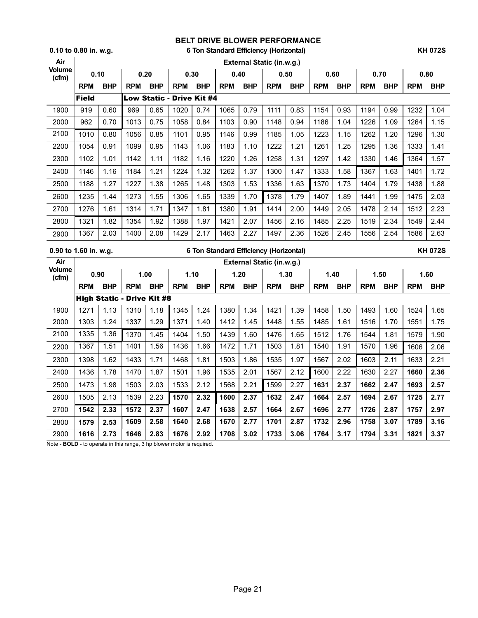|                       | $0.10$ to $0.80$ in. w.g. |            |                                   |            |                           |            |            |            | 6 Ton Standard Efficiency (Horizontal) |            |            |            |            |            |            | <b>KH 072S</b> |
|-----------------------|---------------------------|------------|-----------------------------------|------------|---------------------------|------------|------------|------------|----------------------------------------|------------|------------|------------|------------|------------|------------|----------------|
| Air                   |                           |            |                                   |            |                           |            |            |            | External Static (in.w.g.)              |            |            |            |            |            |            |                |
| Volume<br>(cfm)       | 0.10                      |            |                                   | 0.20       | 0.30                      |            | 0.40       |            |                                        | 0.50       |            | 0.60       | 0.70       |            |            | 0.80           |
|                       | <b>RPM</b>                | <b>BHP</b> | <b>RPM</b>                        | <b>BHP</b> | <b>RPM</b>                | <b>BHP</b> | <b>RPM</b> | <b>BHP</b> | <b>RPM</b>                             | <b>BHP</b> | <b>RPM</b> | <b>BHP</b> | <b>RPM</b> | <b>BHP</b> | <b>RPM</b> | <b>BHP</b>     |
|                       | <b>Field</b>              |            |                                   |            | Low Static - Drive Kit #4 |            |            |            |                                        |            |            |            |            |            |            |                |
| 1900                  | 919                       | 0.60       | 969                               | 0.65       | 1020                      | 0.74       | 1065       | 0.79       | 1111                                   | 0.83       | 1154       | 0.93       | 1194       | 0.99       | 1232       | 1.04           |
| 2000                  | 962                       | 0.70       | 1013                              | 0.75       | 1058                      | 0.84       | 1103       | 0.90       | 1148                                   | 0.94       | 1186       | 1.04       | 1226       | 1.09       | 1264       | 1.15           |
| 2100                  | 1010                      | 0.80       | 1056                              | 0.85       | 1101                      | 0.95       | 1146       | 0.99       | 1185                                   | 1.05       | 1223       | 1.15       | 1262       | 1.20       | 1296       | 1.30           |
| 2200                  | 1054                      | 0.91       | 1099                              | 0.95       | 1143                      | 1.06       | 1183       | 1.10       | 1222                                   | 1.21       | 1261       | 1.25       | 1295       | 1.36       | 1333       | 1.41           |
| 2300                  | 1102                      | 1.01       | 1142                              | 1.11       | 1182                      | 1.16       | 1220       | 1.26       | 1258                                   | 1.31       | 1297       | 1.42       | 1330       | 1.46       | 1364       | 1.57           |
| 2400                  | 1146                      | 1.16       | 1184                              | 1.21       | 1224                      | 1.32       | 1262       | 1.37       | 1300                                   | 1.47       | 1333       | 1.58       | 1367       | 1.63       | 1401       | 1.72           |
| 2500                  | 1188                      | 1.27       | 1227                              | 1.38       | 1265                      | 1.48       | 1303       | 1.53       | 1336                                   | 1.63       | 1370       | 1.73       | 1404       | 1.79       | 1438       | 1.88           |
| 2600                  | 1235                      | 1.44       | 1273                              | 1.55       | 1306                      | 1.65       | 1339       | 1.70       | 1378                                   | 1.79       | 1407       | 1.89       | 1441       | 1.99       | 1475       | 2.03           |
| 2700                  | 1276                      | 1.61       | 1314                              | 1.71       | 1347                      | 1.81       | 1380       | 1.91       | 1414                                   | 2.00       | 1449       | 2.05       | 1478       | 2.14       | 1512       | 2.23           |
| 2800                  | 1321                      | 1.82       | 1354                              | 1.92       | 1388                      | 1.97       | 1421       | 2.07       | 1456                                   | 2.16       | 1485       | 2.25       | 1519       | 2.34       | 1549       | 2.44           |
| 2900                  | 1367                      | 2.03       | 1400                              | 2.08       | 1429                      | 2.17       | 1463       | 2.27       | 1497                                   | 2.36       | 1526       | 2.45       | 1556       | 2.54       | 1586       | 2.63           |
|                       |                           |            |                                   |            |                           |            |            |            |                                        |            |            |            |            |            |            |                |
| 0.90 to 1.60 in. w.g. |                           |            |                                   |            |                           |            |            |            | 6 Ton Standard Efficiency (Horizontal) |            |            |            |            |            |            | <b>KH 072S</b> |
| Air                   |                           |            |                                   |            |                           |            |            |            | External Static (in.w.g.)              |            |            |            |            |            |            |                |
| <b>Volume</b>         | 0.90                      |            |                                   | 1.00       |                           | 1.10       |            | 1.20       |                                        | 1.30       |            | 1.40       | 1.50       |            |            | 1.60           |
| (cfm)                 | <b>RPM</b>                | <b>BHP</b> | <b>RPM</b>                        | <b>BHP</b> | <b>RPM</b>                | <b>BHP</b> | <b>RPM</b> | <b>BHP</b> | <b>RPM</b>                             | <b>BHP</b> | RPM        | <b>BHP</b> | <b>RPM</b> | <b>BHP</b> | <b>RPM</b> | <b>BHP</b>     |
|                       |                           |            | <b>High Static - Drive Kit #8</b> |            |                           |            |            |            |                                        |            |            |            |            |            |            |                |
| 1900                  | 1271                      | 1.13       | 1310                              | 1.18       | 1345                      | 1.24       | 1380       | 1.34       | 1421                                   | 1.39       | 1458       | 1.50       | 1493       | 1.60       | 1524       | 1.65           |
| 2000                  | 1303                      | 1.24       | 1337                              | 1.29       | 1371                      | 1.40       | 1412       | 1.45       | 1448                                   | 1.55       | 1485       | 1.61       | 1516       | 1.70       | 1551       | 1.75           |
| 2100                  | 1335                      | 1.36       | 1370                              | 1.45       | 1404                      | 1.50       | 1439       | 1.60       | 1476                                   | 1.65       | 1512       | 1.76       | 1544       | 1.81       | 1579       | 1.90           |
| 2200                  | 1367                      | 1.51       | 1401                              | 1.56       | 1436                      | 1.66       | 1472       | 1.71       | 1503                                   | 1.81       | 1540       | 1.91       | 1570       | 1.96       | 1606       | 2.06           |
| 2300                  | 1398                      | 1.62       | 1433                              | 1.71       | 1468                      | 1.81       | 1503       | 1.86       | 1535                                   | 1.97       | 1567       | 2.02       | 1603       | 2.11       | 1633       | 2.21           |
| 2400                  | 1436                      | 1.78       | 1470                              | 1.87       | 1501                      | 1.96       | 1535       | 2.01       | 1567                                   | 2.12       | 1600       | 2.22       | 1630       | 2.27       | 1660       | 2.36           |
| 2500                  | 1473                      | 1.98       | 1503                              | 2.03       | 1533                      | 2.12       | 1568       | 2.21       | 1599                                   | 2.27       | 1631       | 2.37       | 1662       | 2.47       | 1693       | 2.57           |
| 2600                  | 1505                      | 2.13       | 1539                              | 2.23       | 1570                      | 2.32       | 1600       | 2.37       | 1632                                   | 2.47       | 1664       | 2.57       | 1694       | 2.67       | 1725       | 2.77           |
| 2700                  | 1542                      | 2.33       | 1572                              | 2.37       | 1607                      | 2.47       | 1638       | 2.57       | 1664                                   | 2.67       | 1696       | 2.77       | 1726       | 2.87       | 1757       | 2.97           |
| 2800                  | 1579                      | 2.53       | 1609                              | 2.58       | 1640                      | 2.68       | 1670       | 2.77       | 1701                                   | 2.87       | 1732       | 2.96       | 1758       | 3.07       | 1789       | 3.16           |

Note - **BOLD** - to operate in this range, 3 hp blower motor is required.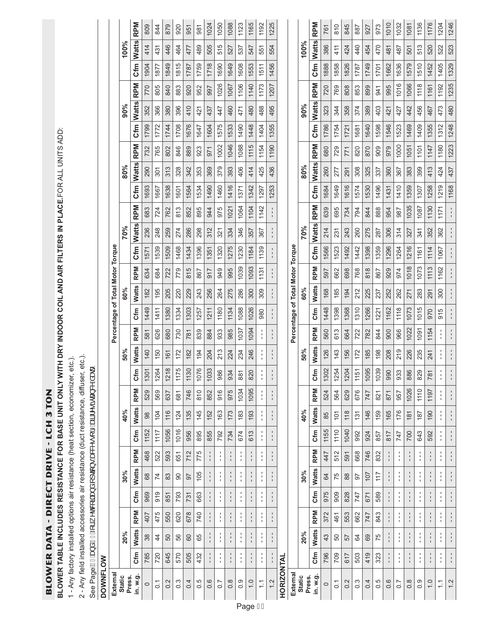**BLOWER DATA - DIRECT DRIVE - LCH 3 TON** BLOWER DATA - DIRECT DRIVE - LCH 3 TON BLOWER TABLE INCLUDES RESISTANCE FOR BASE UNIT ONLY WITH DRY INDOOR COIL AND AIR FILTERS IN PLACE.FOR ALL UNITS ADD: **BLOWER TABLE INCLUDES RESISTANCE FOR BASE UNIT ONLY WITH DRY INDOOR COIL AND AIR FILTERS IN PLACE.**FOR ALL UNITS ADD:

1 - Any factory installed options air resistance (heat section, economizer, etc.). 1 - Any factory installed options air resistance (heat section, economizer, etc.).

2 - Any field installed accessories air resistance (duct resistance, diffuser, etc.). 2 - Any field installed accessories air resistance (duct resistance, diffuser, etc.).

See PageAHoba åAHAj ¦A ∧doq ãoba åAj qã } • Ba&&^• [¦^ AaãA^• ã œa &^ &aææe See PageDQGIRUZHWFRLODQGRSWLRQVDFFHVVRU\DLUUHVLVWDQFHGDWD.

| <b>DOWNFLOW</b> |                                                                     |                        |                            |                                  |                                                  |               |                                |                |                        |               |                                                                     |                              |                                  |            |              |              |            |      |              |                   |     |                            |      |              |            |  |
|-----------------|---------------------------------------------------------------------|------------------------|----------------------------|----------------------------------|--------------------------------------------------|---------------|--------------------------------|----------------|------------------------|---------------|---------------------------------------------------------------------|------------------------------|----------------------------------|------------|--------------|--------------|------------|------|--------------|-------------------|-----|----------------------------|------|--------------|------------|--|
|                 |                                                                     |                        |                            |                                  |                                                  |               |                                |                |                        |               |                                                                     |                              | Percentage of Total Motor Torque |            |              |              |            |      |              |                   |     |                            |      |              |            |  |
|                 | 20%                                                                 |                        |                            | 30%                              |                                                  |               | 40%                            |                |                        | 50%           |                                                                     |                              | 60%                              |            |              | 70%          |            |      | 80%          |                   |     | 90%                        |      | 100%         |            |  |
|                 | <b>Watts</b>                                                        | <b>RPM</b>             | Cfm                        | <b>Watts</b>                     | <b>RPM</b>                                       | Cfm           | <b>Watts</b>                   | <b>RPM</b>     | ع<br>5                 | <b>Watts</b>  | <b>RPM</b>                                                          | Cfm                          | <b>Watts</b>                     | <b>RPM</b> | Cfm          | <b>Watts</b> | <b>RPM</b> | Cfm  | <b>Watts</b> | Cfm<br><b>RPM</b> |     | <b>RPM</b><br><b>Watts</b> | Cfm  | <b>Watts</b> | <b>RPM</b> |  |
|                 | 38                                                                  | 407                    | 969                        | 68                               | 468                                              | 1152          | 98                             | 529            | 1301                   | 140           | 581                                                                 | 1449                         | 182                              | 634        | 1571         | 236          | 683        | 1693 | 290          | 1799<br>732       |     | 770<br>352                 | 1904 | 414          | 809        |  |
|                 | 4                                                                   | 475                    | 919                        | 74                               | 522                                              | 1117          | 104                            | 569            | 1264                   | 150           | 626                                                                 | 1411                         | 195                              | 684        | 1539         | 248          | 724        | 1667 | 301          | 1772<br>765       |     | 805<br>366                 | 1877 | 431          | 844        |  |
|                 | 50                                                                  | 550                    | 851                        | 83                               | 593                                              | 1056          | 116                            | 637            | 1218                   | 161           | 680                                                                 | 1380                         | 205                              | 722        | 1509         | 259          | 762        | 1638 | 313          | 1744<br>802       |     | 840<br>380                 | 1849 | 446          | 879        |  |
|                 | 56                                                                  | 620                    | 793                        | 8                                | 651                                              | 1016          | 124                            | 681            | 1175                   | 172           | 730                                                                 | 1334                         | 220                              | 779        | 1468         | 274          | 813        | 1601 | 328          | 1708<br>846       |     | 883<br>396                 | 1815 | 464          | 920        |  |
|                 | <b>GO</b>                                                           | 678                    | 731                        | 50                               | 712                                              | 956           | 135                            | 746            | 1130                   | 182           | 781                                                                 | 1303                         | 229                              | 815        | 1434         | 286          | 852        | 1564 | 342          | 1676<br>889       |     | 920<br>410                 | 1787 | 477          | 951        |  |
|                 | 65                                                                  | 740                    | 663                        | 105                              | 775                                              | 895           | 145                            | 810            | 1076                   | 194           | 839                                                                 | 1257                         | 243                              | 867        | 1396         | 298          | 895        | 1534 | 353          | 1647<br>923       | 421 | 952                        | 1759 | 489          | 981        |  |
|                 | $\blacksquare$                                                      | I.                     | $\frac{1}{1}$              |                                  | $\mathbf I$                                      | 855           | 152                            | 852            | 1033                   | 204           | 884                                                                 | 1211                         | 256                              | 517        | 1351         | 312          | 944        | 1490 | 369          | 1604<br>971       | 437 | 997                        | 1718 | 505          | 1024       |  |
| ł               | $\frac{1}{1}$                                                       | J.<br>$\mathbf{I}$     | $\frac{1}{1}$              | $\blacksquare$<br>$\mathbf{r}$   | f,                                               | 792           | 163                            | 916            | 986                    | 213           | 933                                                                 | 1180                         | 264                              | 949        | 1320         | 321          | 975        | 1460 | 379          | 1575<br>1002      |     | 1026<br>447                | 1690 | 515          | 1050       |  |
|                 | $\frac{1}{1}$                                                       | $\mathbf I$            | $\mathsf I$<br>$\mathbf I$ | $\frac{1}{1}$                    | $\mathbf I$                                      | 734           | 173                            | 975            | 934                    | 224           | 985                                                                 | 1134                         | 275                              | 995        | 1275         | 334          | 1021       | 1416 | 393          | 1533<br>1046      |     | 1067<br>460                | 1649 | 527          | 1088       |  |
| f,              | t,                                                                  | ٠<br>$\mathbf{I}$<br>Ţ | Ť.                         | ٠<br>t,                          | ٠<br>$\mathbf{I}$<br>$\mathbf I$                 | 674           | 183                            | 1034           | 881                    | 234           | 1037                                                                | 1088                         | 286                              | 1039       | 1230         | 346          | 1064       | 1371 | 406          | 1490<br>1088      | 471 | 1106                       | 1608 | 537          | 1123       |  |
|                 | $\begin{array}{c} \rule{0.2cm}{0.15mm} \end{array}$<br>$\mathbf{I}$ | $\blacksquare$         | $\mathsf I$                | $\blacksquare$                   | $\mathsf I$                                      | 613           | 193                            | 1095           | 820                    | 246           | 1094                                                                | 1026                         | 300                              | 1093       | 1184         | 357          | 1104       | 1342 | 414          | 1448<br>1115      |     | 1140<br>480                | 1553 | 547          | 1165       |  |
|                 | ٠<br>$\mathbf{r}$                                                   | ı.                     | ٠<br>f.                    | f.                               | т.                                               | ٠             |                                | ٠              | Î                      |               | ٠                                                                   | 980                          | 309                              | 1131       | 1139         | 367          | 1142       | 1297 | 425          | 1404<br>1154      |     | 1173<br>488                | 1511 | မ်ာ          | 1192       |  |
| ł               | f,                                                                  | $\mathbf{I}$           | $\frac{1}{1}$              | $\blacksquare$<br>$\blacksquare$ | $\mathbf{I}$<br>$\blacksquare$<br>$\blacksquare$ | $\frac{1}{1}$ | $\mathbf{I}$<br>$\blacksquare$ | $\blacksquare$ | $\frac{1}{4}$          | $\frac{1}{1}$ | $\mathbf{I}$<br>$\begin{array}{c} \rule{0.2cm}{0.15mm} \end{array}$ | $\mathbf{I}$<br>$\mathbf{I}$ | $\mathbf{I}$                     |            | $\mathbf{I}$ |              |            | 1253 | 436          | 1355<br>1190      |     | 1207<br>495                | 1456 | 554          | 1225       |  |
|                 |                                                                     |                        |                            |                                  |                                                  |               |                                |                |                        |               |                                                                     |                              |                                  |            |              |              |            |      |              |                   |     |                            |      |              |            |  |
|                 |                                                                     |                        |                            |                                  |                                                  |               |                                |                |                        |               | Percentage                                                          |                              | of Total Motor Torque            |            |              |              |            |      |              |                   |     |                            |      |              |            |  |
|                 | 20%                                                                 |                        |                            | 30%                              |                                                  |               | 40%                            |                |                        | 50%           |                                                                     |                              | 60%                              |            |              | 70%          |            |      | 80%          |                   |     | 90%                        |      | 100%         |            |  |
| <b>Sfm</b>      | <b>Watts</b>                                                        | <b>RPM</b>             | Cfm                        | <b>Watts</b>                     | <b>RPM</b>                                       | Cfm           | <b>Watts</b>                   | <b>RPM</b>     | cfm                    | <b>Watts</b>  | <b>RPM</b>                                                          | Cfm                          | <b>Watts</b>                     | <b>RPM</b> | Cfm          | <b>Watts</b> | <b>RPM</b> | Cfm  | <b>Watts</b> | Cfm<br><b>RPM</b> |     | <b>RPM</b><br><b>Watts</b> | Cfm  | <b>Watts</b> | <b>RPM</b> |  |
| 796             | 43                                                                  | 372                    | 975                        | $\mathfrak{A}$                   | 447                                              | 1155          | 85                             | 524            | 1302                   | 126           | 560                                                                 | 1448                         | 168                              | 597        | 1566         | 214          | 639        | 1684 | 260          | 1786<br>680       |     | 720<br>323                 | 1888 | 386          | 761        |  |
| 709             | 50                                                                  | 461                    | 909                        | 75                               | 512                                              | 1110          | $\frac{1}{2}$                  | 564            | 1254                   | 143           | 613                                                                 | 1398                         | 185                              | 662        | 1523         | 231          | 695        | 1649 | 277          | 1754<br>729       |     | 769<br>344                 | 1858 | 411          | 810        |  |
| 617             | 57                                                                  | 553                    | 828                        | $88$                             | 591                                              | 1040          | 118                            | 629            | 1204                   | 156           | 664                                                                 | 1368                         | 194                              | 698        | 1492         | 243          | 734        | 1616 | 291          | 1721<br>771       |     | 808<br>358                 | 1826 | 424          | 845        |  |
| 503             | \$4                                                                 | 662                    | 747                        | 5                                | 668                                              | 992           | 131                            | 676            | 1151                   | 172           | 722                                                                 | 1310                         | 212                              | 768        | 1442         | 260          | 794        | 1574 | 308          | 1681<br>820       |     | 853<br>374                 | 1787 | 440          | 887        |  |
| 419             | 69                                                                  | 747                    | 671                        | 107                              | 746                                              | 924           | 146                            | 747            | $\overline{ }$<br>1095 | 185           | 782                                                                 | 1266                         | 225                              | 818        | 1398         | 275          | 844        | 1530 | 325          | 1640<br>870       |     | 899<br>389                 | 1749 | 454          | 927        |  |
| 323             | 75                                                                  | 843                    | 589                        | 117                              | 832                                              | 857           | 159                            | 821            | 1039                   | 198           | 844                                                                 | 1221                         | 237                              | 867        | 1359         | 287          | 888        | 1496 | 337          | 1598<br>909       |     | 941<br>403                 | 1701 | 470          | 973        |  |
|                 | $\mathsf I$<br>$\mathbf{r}$                                         | I.                     | ÷                          | $\mathsf I$<br>$\mathbf{I}$      | ÷,                                               | 817           | 165                            | 871            | 990                    | 208           | 900                                                                 | 1162                         | 252                              | 929        | 1296         | 306          | 954        | 1431 | 360          | 1546<br>979       | 421 | 995                        | 1662 | 481          | 1010       |  |
|                 | $\mathbf I$<br>$\mathbf{r}$                                         | $\mathbf I$            | ÷                          | $\blacksquare$<br>$\mathbf{I}$   | ٠<br>$\blacksquare$                              | 747           | 176                            | 957            | 933                    | 219           | 966                                                                 | 1118                         | 262                              | 974        | 1264         | 314          | 987        | 1410 | 367          | 1523<br>1000      | 427 | 1016                       | 1636 | 487          | 1032       |  |
|                 | r.                                                                  | I.                     | ı.                         |                                  | I.                                               | 700           | 181                            | 1026           | 886                    | 226           | 1022                                                                | 1073                         | 271                              | 1018       | 1216         | 327          | 1035       | 1359 | 1051<br>383  | 1469              |     | 1066<br>442                | 1579 | 501          | 1081       |  |
| $\frac{1}{4}$   | $\mathbf I$                                                         | $\mathbf I$            |                            | $\mathbf I$                      | $\mathbf{I}$<br>$\mathbf I$                      | 643           | 187                            | 1110           | 829                    | 235           | 1091                                                                | 1015                         | 283                              | 1073       | 1161         | 341          | 1087       | 1307 | 1101<br>399  | 1409              |     | 1118<br>456                | 1510 | 513          | 1136       |  |

1.0 - - - - - - - - - - - - - - - - - - 592 190 1197 781 241 1154 970 291 1113 1114 352 1130 1258 413 1147 1355 467 1161 1452 520 1176 1.1 - - - - - - - - - - - - - - - - - - - - - - - - - - - - - - - - - - - - 915 300 1162 1067 362 1171 1219 424 1180 1312 473 1192 1405 522 1204 1.2 - - - - - - - - - - - - - - - - - - - - - - - - - - - - - - - - - - - - - - - - - - - - - - - - - - - - - - 1168 437 1223 1248 480 1235 1329 523 1246

1154  $\frac{1}{4}$  $\frac{1}{2}$ 

241  $\frac{1}{4}$  $\frac{1}{2}$ 

781  $\frac{1}{4}$  $\frac{1}{2}$ 

1197

190

592  $\frac{1}{4}$  $\frac{1}{2}$ 

> $\frac{1}{4}$  $\frac{1}{4}$

 $\frac{1}{4}$  $\frac{1}{4}$  $\frac{1}{2}$ 

 $\frac{1}{4}$  $\frac{1}{4}$  $\frac{1}{2}$ 

 $\frac{1}{4}$  $\frac{1}{4}$  $\frac{1}{2}$ 

 $\frac{1}{4}$  $\frac{1}{4}$  $\frac{1}{2}$ 

 $\frac{1}{4}$ 

 $1.0$ 

 $\frac{1}{2}$  $\frac{1}{4}$ 

 $1.2$  $\overline{\phantom{a}}$ 

 $\frac{1}{4}$  $\frac{1}{2}$ 

 $\frac{1}{2}$ ł

 $\frac{1}{2}$ 

915 870

 $\frac{1}{2}$ 

291  $\frac{1}{300}$  $\frac{1}{1}$ 

1176 1204 1246

520  $\frac{522}{523}$ 

1452 1405  $1329$ 

467 473

413  $\frac{424}{437}$ 

1258 1219 1168

1130  $1171$  $\frac{1}{4}$ 

 $1114$ 1067  $\frac{1}{4}$ 

 $\frac{1113}{2}$  $1162$  $\frac{1}{2}$ 

362 352

 $\frac{1}{2}$ 

 $|192|$  $\boxed{161}$ 

 $|312|$ 1355

1180 1147

1235

480

 $1248$ 

 $1223$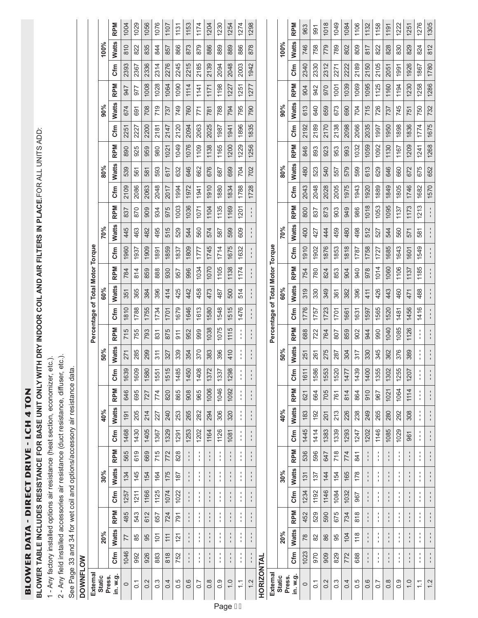**BLOWER DATA - DIRECT DRIVE - LCH 4 TON** BLOWER DATA - DIRECT DRIVE - LCH 4 TON

BLOWER TABLE INCLUDES RESISTANCE FOR BASE UNIT ONLY WITH DRY INDOOR COIL AND AIR FILTERS IN PLACE.FOR ALL UNITS ADD: **BLOWER TABLE INCLUDES RESISTANCE FOR BASE UNIT ONLY WITH DRY INDOOR COIL AND AIR FILTERS IN PLACE.**FOR ALL UNITS ADD:

1 - Any factory installed options air resistance (heat section, economizer, etc.). 1 - Any factory installed options air resistance (heat section, economizer, etc.).

2 - Any field installed accessories air resistance (duct resistance, diffuser, etc.). 2 - Any field installed accessories air resistance (duct resistance, diffuser, etc.).

See Page 33 and 34 for wet coil and options/accessory air resistance data.<br>DOWNFLOW See Page 33 and 34 for wet coil and options/accessory air resistance data.

# **DOWNFLOW**

| External                         | Static<br>Press. | in. w.g.                 | $\circ$         | $\overline{O}$ | 0.2            | $0.\overline{3}$ | 0.4             | 0.5           | 0.6           | 0.7                             | 0.8                           | 0.9                       | $\frac{0}{1}$<br>Page GH          | $\frac{1}{1}$                  | 1.2                               |                   | External              | <b>Static</b><br>Press. | in. w.g.                   | $\circ$     | $\overline{0}$ . | 0.2                    | $0.\overline{3}$ | 0.4         | 0.5                       | 0.6                      | 0.7                                | $0.\overline{8}$               | 0.9                                       | $\overline{0}$ | $\tilde{\cdot}$                 |
|----------------------------------|------------------|--------------------------|-----------------|----------------|----------------|------------------|-----------------|---------------|---------------|---------------------------------|-------------------------------|---------------------------|-----------------------------------|--------------------------------|-----------------------------------|-------------------|-----------------------|-------------------------|----------------------------|-------------|------------------|------------------------|------------------|-------------|---------------------------|--------------------------|------------------------------------|--------------------------------|-------------------------------------------|----------------|---------------------------------|
|                                  |                  | <b>Cfm</b>               | 1046            | 992            | 926            | 883              | 818             | 752           | I.            | $\frac{1}{4}$                   | I.                            | ı<br>$\blacksquare$       | I.                                | $\blacksquare$                 |                                   | <b>HORIZONTAL</b> |                       |                         | <b>Sfm</b>                 | 1023        | 970              | 909                    | 829              | 772         | 688                       |                          | t,                                 | $\mathbf I$                    | $\frac{1}{4}$                             |                | $\frac{1}{1}$                   |
|                                  | 20%              | Watts                    | 77              | 85             | 95             | $\frac{5}{2}$    | $\overline{11}$ | $\frac{5}{2}$ | $\mathbf{I}$  | ł<br>I                          | $\mathbf I$<br>$\blacksquare$ | I.<br>$\mathbf{I}$        | $\mathbf{I}$<br>$\mathbf{I}$      | $\mathsf I$<br>$\mathbf{I}$    | $\mathbf{I}$<br>$\mathbf{I}$      |                   |                       | 20%                     | <b>Watts</b>               | 78          | 82               | 86                     | 95               | 104         | 118                       | $\blacksquare$           | 1<br>$\mathbf{I}$                  | $\mathbf{I}$                   | $\frac{1}{4}$                             |                | $\frac{1}{4}$                   |
|                                  |                  |                          |                 |                |                |                  |                 |               | $\frac{1}{1}$ | $\frac{1}{4}$                   |                               | $\blacksquare$            |                                   | $\mathbf{I}$                   |                                   |                   |                       |                         |                            |             |                  |                        |                  |             |                           | $\frac{1}{1}$            | $\mathbf{I}$                       |                                | $\frac{1}{4}$<br>٠                        |                | $\frac{1}{1}$                   |
|                                  |                  | <b>RPM</b>               | 485             | 543            | 612            | 657              | 724             | 791           |               | $\frac{1}{4}$<br>$\blacksquare$ | $\blacksquare$                | $\blacksquare$<br>1       | $\blacksquare$<br>$\mathsf I$     | $\mathbf{I}$<br>$\blacksquare$ | $\mathsf I$                       |                   |                       |                         | <b>RPM</b>                 | 452         | 529              | 590                    | 675              | 734         | 818                       |                          | $\mathbf I$<br>$\mathbf I$         | $\blacksquare$                 | $\blacksquare$<br>ı                       |                |                                 |
|                                  | 30%              | <b>Watts</b><br>Cfm      | 134<br>1257     | 145<br>1211    | 154<br>1166    | 164<br>1125      | 175<br>1074     | 187<br>1022   | $\mathbf{L}$  | ł<br>٠                          | $\mathbf{I}$<br>٠             | $\blacksquare$<br>I.<br>٠ | $\mathbf{I}$<br>$\mathbf{I}$<br>L | $\mathbf{I}$<br>ı              | $\mathbf{I}$<br>$\mathbf{I}$<br>L |                   |                       | 30%                     | <b>Watts</b><br><b>Cfm</b> | 131<br>1234 | 137<br>1192      | $\frac{14}{4}$<br>1146 | 154<br>1084      | 1032        | 178<br>967                | $\blacksquare$<br>L      | $\mathbf{L}$<br>$\mathbf{I}$<br>J. | $\mathbf{I}$<br>$\blacksquare$ | $\frac{1}{4}$<br>$\,$                     | $\mathbf{I}$   | $\frac{1}{1}$<br>$\frac{1}{1}$  |
|                                  |                  |                          |                 |                |                |                  |                 |               |               |                                 |                               | $\mathbf{I}$              |                                   |                                |                                   |                   |                       |                         |                            |             |                  |                        |                  | 165         |                           | $\frac{1}{1}$            |                                    |                                | $\frac{1}{4}$<br>$\overline{\phantom{a}}$ |                | $\frac{1}{1}$<br>$\blacksquare$ |
|                                  |                  | <b>RPM</b>               | 565             | 619            | 669            | 715              | 772             | 828           |               | $\frac{1}{4}$                   | $\mathbf{I}$                  | $\blacksquare$            | ٠<br>$\mathbf{I}$                 | 1                              | $\mathsf I$                       |                   |                       |                         | <b>RPM</b>                 | 536         | 596              | 647                    | 718              | 774         | 841                       |                          | $\mathbf{I}$                       | $\mathbf I$                    | ×                                         |                | $\mathbf{I}$                    |
|                                  |                  | Сfm                      | 1468            | 1430           | 1405           | 1367             | 1329            | 1291          | 1253          | 1202                            | 1164                          | 1126                      | 1081                              | 1                              | $\mathbf{I}$<br>L                 |                   |                       |                         | <b>Sfm</b>                 | 1445        | 1414             | 1383                   | 1339             | 1293        | 1247                      | 1202                     | 1146                               | 1085                           | 1029                                      | 961            | İ                               |
|                                  | 40%              | <b>Watts</b>             | 191             | 205            | 214            | 227              | 240             | 253           | 265           | 282                             | 294                           | 306                       | 320                               | $\blacksquare$                 | $\mathbf I$                       |                   |                       | 40%                     | <b>Watts</b>               | 183         | 192              | <b>201</b>             | 213              | 226         | 238                       | 249                      | 265                                | 280                            | 292                                       | 308            | $\frac{1}{1}$                   |
|                                  |                  | <b>RPM</b>               | 646             | 695            | 727            | 774              | 151<br>820      | 865           | 908           | 965                             | 1006                          | 1046                      | 1092                              |                                |                                   |                   |                       |                         | <b>RPM</b>                 | 161<br>621  | 664              | 705                    | 761              | 814         | 864                       | 910                      | 967                                | 1021                           | 1064                                      | 1114           |                                 |
|                                  |                  | Cfm                      | $\infty$<br>163 | ၜ<br>160       | $\circ$<br>158 | 155              | LO.             | ا صا<br>148   | 1450          | $\infty$<br>$rac{1}{4}$         | $\sim$<br>137                 | 133                       | $\infty$<br>129                   | 1                              | $\mathsf I$                       |                   |                       |                         | Cfm                        |             | 1586             | ო<br>155               | $\circ$<br>152   | 147         | $\infty$<br>$\frac{3}{4}$ | $\circ$<br>$\frac{1}{4}$ | LO.<br>135                         | $\sim$<br>130                  | 5<br>125                                  | 120            |                                 |
|                                  | 50%              | <b>Watts</b>             | 271             | 285            | 299            | 311              | 327             | 339           | 354           | 370                             | 383                           | 396                       | 410                               | 1                              |                                   |                   |                       | 50%                     | <b>Watts</b>               | 251         | 261              | 275                    | 287              | 304         | 317                       | 330                      | 345                                | 362                            | 376                                       | 389            |                                 |
|                                  |                  | <b>RPM</b>               | 715             | 755            | 793            | 831              | 875             | 911           | 952           | 999                             | 1038                          | 1075                      | 1115                              |                                |                                   |                   | Percentage            |                         | <b>RPM</b>                 | 688         | 722              | 764                    | 807              | 859         | 902                       | 944                      | 990                                | 1040                           | 1085                                      | 1126           |                                 |
|                                  |                  | Cfm                      | 1810            | 1788           | 1755           | 1734             | 1701            | 1679          | 1646          | 1613                            | 1580                          | 1548                      | 1515                              | 1476                           |                                   |                   |                       |                         | Cfm                        | 1776        | 1757             | 1723                   | 1701             | 1661        | 1631                      | 1597                     | 1565                               | 1520                           | 1481                                      | 1456           | 1416                            |
|                                  | 60%              | <b>Watts</b>             | 351             | 365            | 384            | 396              | 414             | 425           | 442           | 458                             | 473                           | 487                       | 500                               | 514                            |                                   |                   |                       | 60%                     | <b>Watts</b>               | 319         | 330              | 349                    | 361              | 382         | 396                       | 411                      | 426                                | 443                            | 460                                       | 471            | 488                             |
| Percentage of Total Motor Torque |                  | <b>RPM</b>               | 784             | 814            | 859            | 888              | 930             | 957           | 996           | 1034                            | 1070                          | 1105                      | 1138                              | 1174                           |                                   |                   | of Total Motor Torque |                         | <b>RPM</b>                 | 754         | 780              | 824                    | 853              | 904         | 940                       | 978                      | 1014                               | 1060                           | 1106                                      | 1137           | 1185                            |
|                                  |                  | Cfm                      | 1960            | 1937           | 1909           | 1891             | 1859            | 1837          | 1809          | 1777                            | 1745                          | 1714                      | 1675                              | 1632                           |                                   |                   |                       |                         | Cfm                        | 1910        | 1902             | 1876                   | 1853             | 1818        | 1787                      | 1758                     | 1727                               | 1685                           | 1643                                      | 1601           | 1549                            |
|                                  | 70%              | <b>Watts</b>             | 445             | 463            | 482            | 495              | 515             | 529           | 544           | 560                             | 574                           | 587                       | 599                               | 609                            |                                   |                   |                       | 70%                     | <b>Watts</b>               | 400         | 427              | 444                    | 459              | 480         | 498                       | 512                      | 527                                | 544                            | 560                                       | 571            | 581                             |
|                                  |                  | <b>RPM</b>               | 837             | 870            | 909            | 934              | 975             | 1003          | 1036          | 1071                            | 1104                          | 1135                      | 1169                              | 1201                           |                                   |                   |                       |                         | <b>RPM</b>                 | 800         | 837              | 873                    | 903              | 949         | 986                       | 1018                     | 1053                               | 1095                           | 1137                                      | 1173           | 1213                            |
|                                  |                  | <b>Watts</b><br>Cfm      | 539<br>2109     | 561<br>2086    | 581<br>2063    | 2048             | 617<br>2017     | 632<br>1994   | 646<br>1972   | 1941                            | 1910                          | 687<br>1880               | 699<br>1834                       | 704<br>1788                    | 1728                              |                   |                       |                         | <b>Watts</b><br>Cfm        | 480<br>2043 | 523<br>2048      | 540<br>2028            | 557<br>2005      | 1975        | 1943                      | 1920                     | 629<br>1889                        | 1849                           | 660<br>1805                               | 672<br>1746    | 675<br>1682                     |
|                                  | 80%              |                          | 890             |                |                | 593              | 1021            |               |               | 662                             | 676                           |                           |                                   |                                | 702                               |                   |                       | 80%                     |                            |             |                  |                        |                  | 579         | 599                       | 613                      |                                    | 646                            |                                           |                | 1241                            |
|                                  |                  | <b>Sfm</b><br><b>RPM</b> | 2251            | 2227<br>925    | 2200<br>959    | 2181<br>980      | 2147            | 2120<br>1049  | 2094<br>1076  | 2063<br>1109                    | 2025<br>1138                  | 987<br>1165               | 1941<br>1200                      | 1896<br>1229                   | 1835<br>1256                      |                   |                       |                         | Cfm<br><b>RPM</b>          | 2192<br>846 | 2189<br>893      | 2170<br>923            | 2138<br>953      | 2098<br>993 | 2066<br>1032              | 2035<br>1059             | 1997<br>1092                       | 1950<br>1130                   | 1898<br>1167                              | 1836<br>1209   | 1774                            |
|                                  | 90%              | <b>Watts</b>             | 674             | 691            | 708            | 719              | 737             | 749           | 760           | 771                             | 781                           | 788                       | 794                               | 795                            | 790                               |                   |                       | 90%                     | <b>Watts</b>               | 613         | 640              | 659                    | 673              | 690         | 704                       | 715                      | 726                                | 737                            | 745                                       | 751            | 750                             |
|                                  |                  | <b>RPM</b>               | 947             | 977            | 1008           | 1028             | 1064            | 1090          | 1114          | 1141                            | 1171                          | 1198                      | 1227                              | 1251                           | 1277                              |                   |                       |                         | <b>RPM</b>                 | 904         | 942              | 970                    | 1001             | 1039        | 1069                      | 1095                     | 1125                               | 1160                           | 1194                                      | 1230           | 1258                            |
|                                  |                  | <b>Sfm</b>               | 2393            | 2367           | 2336           | 2314             | 2276            | 2245          | 2215          | 2185                            | 2139                          | 2094                      | 2048                              | 2003                           | 1942                              |                   |                       |                         | Cfm                        | 2340        | 2330             | 2312                   | 2271             | 2222        | 2189                      | 2150                     | 2105                               | 2051                           | 1991                                      | 1926           | 1867                            |
|                                  | 100%             | <b>Watts</b>             | 810             | 822            | 835            | 844              | 857             | 866           | 873           | 879                             | 886                           | 889                       | 889                               | 886                            | 878                               |                   |                       | 100%                    | <b>Watts</b>               | 746         | 758              | 779                    | 789              | 802         | 809                       | 817                      | 822                                | 828                            | 830                                       | 829            | 824                             |
|                                  |                  | <b>RPM</b>               | 1004            | 1029           | 1056           | 1076             | 1107            | 1131          | 1153          | 1174                            | 1204                          | 1230                      | 1254                              | 1274                           | 1298                              |                   |                       |                         | <b>RPM</b>                 | 963         | 56               | 1018                   | 1049             | 1084        | 1106                      | 1132                     | 1158                               | 1191                           | 1222                                      | 1251           | 1276                            |
|                                  |                  |                          |                 |                |                |                  |                 |               |               |                                 |                               |                           |                                   |                                |                                   |                   |                       |                         |                            |             |                  |                        |                  |             |                           |                          |                                    |                                |                                           |                |                                 |

1.2 - - - - - - - - - - - - - - - - - - - - - - - - - - - - - - - - - - - - - - - - - - - - - - - - - - - - - - 1570 652 1268 1675 732 1286 1780 812 1305

 $\frac{1}{4}$ 

 $\frac{1}{4}$ 

 $\frac{1}{4}$  $\frac{1}{4}$ 

 $\frac{1}{4}$ 

 $\frac{1}{4}$  $\frac{1}{4}$ 

ţ  $\frac{1}{4}$ 

 $\frac{1}{4}$  $\frac{1}{4}$ 

 $\frac{1}{2}$  $\frac{1}{4}$ 

 $\frac{1}{2}$  $\frac{1}{4}$ 

 $\frac{1}{1}$  $\frac{1}{4}$ 

 $\frac{1}{1}$  $\frac{1}{4}$ 

 $\frac{1}{1}$  $\frac{1}{4}$ 

 $\frac{1}{4}$  $\frac{1}{4}$ 

 $\frac{1}{2}$ 

 $\frac{1}{2}$ 

 $\frac{1}{4}$ 

 $\frac{1}{4}$ 

 $\frac{1}{4}$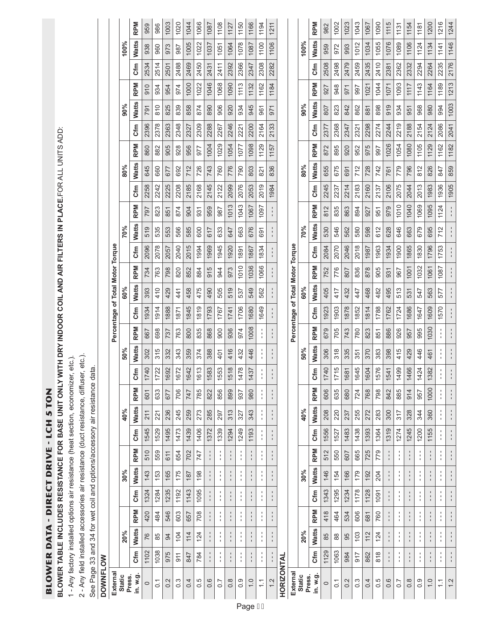**BLOWER DATA - DIRECT DRIVE - LCH S TON** BLOWER DATA - DIRECT DRIVE - LCH 5 TON

BLOWER TABLE INCLUDES RESISTANCE FOR BASE UNIT ONLY WITH DRY INDOOR COIL AND AIR FILTERS IN PLACE.FOR ALL UNITS ADD: **BLOWER TABLE INCLUDES RESISTANCE FOR BASE UNIT ONLY WITH DRY INDOOR COIL AND AIR FILTERS IN PLACE.**FOR ALL UNITS ADD:

1 - Any factory installed options air resistance (heat section, economizer, etc.). 1 - Any factory installed options air resistance (heat section, economizer, etc.).

2 - Any field installed accessories air resistance (duct resistance, diffuser, etc.). 2 - Any field installed accessories air resistance (duct resistance, diffuser, etc.).

See Page 33 and 34 for wet coil and options/accessory air resistance data. See Page 33 and 34 for wet coil and options/accessory air resistance data.

|                 |                                  |                         | <b>RPM</b>   | 959     | 986              | 1003 | 1020             | 1044 | 1066 | 1087        | 1108                           | 1127             | 1150                    | 1166              | 1194                               | 1211 |                   |                                  |               | <b>RPM</b>         | 982     | 1002           | 1023 | 1043             | 1067 | 1090          | 1115        | 1131               | 1154             |               |
|-----------------|----------------------------------|-------------------------|--------------|---------|------------------|------|------------------|------|------|-------------|--------------------------------|------------------|-------------------------|-------------------|------------------------------------|------|-------------------|----------------------------------|---------------|--------------------|---------|----------------|------|------------------|------|---------------|-------------|--------------------|------------------|---------------|
|                 |                                  |                         |              |         |                  |      |                  |      |      |             |                                |                  |                         |                   |                                    |      |                   |                                  |               |                    |         |                |      |                  |      |               |             |                    |                  | 1181          |
|                 |                                  | 100%                    | <b>Watts</b> | 938     | 960              | 973  | 987              | 1005 | 1022 | 1037        | 1051                           | 1064             | 1078                    | 1087              | 1100                               | 1106 |                   |                                  | 100%          | <b>Watts</b>       | 959     | 972            | 993  | 1012             | 1034 | 1055          | 1076        | 1089               | 1106             | 1124          |
|                 |                                  |                         | <b>Sfm</b>   | 2534    | 2514             | 2501 | 2488             | 2469 | 2450 | 2431        | 2411                           | 2392             | 2366                    | 2347              | 2308                               | 2282 |                   |                                  |               | مبر<br>5           | 2508    | 2498           | 2479 | 2459             | 2435 | 2410          | 2381        | 2362               | 2332             | 2294          |
|                 |                                  |                         | <b>RPM</b>   | 910     | 934              | 954  | 974              | 1000 | 1022 | 1046        | 1068                           | 1090             | 1113                    | 1132              | 1162                               | 1184 |                   |                                  |               | <b>RPM</b>         | 927     | 948            | 571  | 997              | 1021 | 1044          | 1071        | 1093               | 1117             | 1143          |
|                 |                                  | 90%                     | <b>Watts</b> | 791     | 810              | 825  | 839              | 858  | 874  | 890         | 906                            | 920              | 934                     | 945               | 961                                | 971  |                   |                                  | 90%           | <b>Watts</b>       | 807     | 823            | 842  | 862              | 881  | 898           | 919         | 934                | 951              | 968           |
|                 |                                  |                         | Cfm          | 2396    | 2378             | 2363 | 2348             | 2327 | 2309 | 2288        | 2267                           | 2246             | 2221                    | 2200              | 2164                               | 2133 |                   |                                  |               | Cfm                | 2377    | 2368           | 2347 | 2321             | 2298 | 2274          | 2244        | 2219               | 2188             | 2154          |
|                 |                                  |                         | <b>RPM</b>   | 860     | 882              | 905  | 928              | 956  | 977  | 1004        | 1029                           | 1054             | 1077                    | 1098              | 1129                               | 1157 |                   |                                  |               | <b>RPM</b>         | 872     | 895            | 920  | 952              | 975  | 997           | 1026        | 1054               | 1080             | 1105          |
|                 |                                  | 80%                     | <b>Watts</b> | 645     | 660              | 677  | 692              | 712  | 726  | 743         | 760                            | 776              | 790                     | 803               | $\overline{821}$                   | 836  |                   |                                  | 80%           | Watts              | 655     | 675            | 691  | 712              | 728  | 742           | 761         | 779                | 796              | 812           |
|                 |                                  |                         | Cfm          | 2258    | 2242             | 2225 | 2208             | 2185 | 2168 | 2145        | 2122                           | 2099             | 2076                    | 2053              | 2019                               | 1984 |                   |                                  |               | <b>Sfm</b>         | 2245    | 2237           | 2214 | 2183             | 2160 | 2137          | 2106        | 2075               | 2044             | 2013          |
|                 |                                  |                         | <b>RPM</b>   | 797     | 823              | 851  | 874              | 904  | 931  | 959         | 987                            | 1013             | 1043                    | 1067              | 1097                               |      |                   |                                  |               | <b>RPM</b>         | 812     | 835            | 863  | 894              | 927  | 951           | 979         | 1010               | 1040             | 1069          |
|                 |                                  | 70%                     | <b>Watts</b> | 519     | 535              | 553  | 566              | 585  | 600  | 617         | 633                            | 647              | 663                     | 676               | 691                                |      |                   |                                  | 70%           | <b>Watts</b>       | 530     | 546            | 562  | 580              | 598  | 612           | 628         | 646                | 663              | 679           |
|                 |                                  |                         | Cfm          | 2096    | 2078             | 2057 | 2040             | 2015 | 1994 | 1969        | 1945                           | 1920             | 1891                    | 1867              | 1834                               |      |                   |                                  |               | Cfm                | 2084    | 2070           | 2046 | 2018             | 1987 | 1963          | 1934        | 1900               | 1865             | 1830          |
|                 |                                  |                         | <b>RPM</b>   | 734     | 763              | 798  | 820              | 852  | 884  | 915         | 944                            | 973              | 1010                    | 1036              | 1066                               |      |                   |                                  |               | <b>RPM</b>         | 752     | 776            | 807  | 836              | 878  | 905           | 931         | 967                | 1001             | 1032          |
|                 |                                  | 60%                     | <b>Watts</b> | 393     | 410              | 429  | 441              | 458  | 475  | 490         | 505                            | 519              | 537                     | 549               | 562                                |      |                   |                                  | 60%           | <b>Watts</b>       | 405     | 417            | 432  | 47               | 468  | 482           | 495         | 513                | 531              | 547           |
|                 |                                  |                         | <b>Sfm</b>   | 1934    | 1914             | 1888 | 1871             | 1845 | 1819 | 1793        | 1767                           | 1741             | 1706                    | 1680              | 1649                               |      |                   |                                  |               | <b>Sfm</b>         | 1923    | 1903           | 1878 | 1852             | 1814 | 1788          | 1762        | 1724               | 1686             | 1647          |
|                 | Percentage of Total Motor Torque |                         | <b>RPM</b>   | 667     | 698              | 737  | 763              | 800  | 835  | 868         | 900                            | 936              | 974                     | 1008              | ٠<br>$\blacksquare$                |      |                   | Percentage of Total Motor Torque |               | <b>RPM</b>         | 679     | 705            | 743  | 780              | 823  | 851           | 886         | 926                | 957              | 995           |
|                 |                                  | 50%                     | <b>Watts</b> | 302     | 315              | 332  | 343              | 359  | 374  | 388         | 401                            | 416              | 432                     | 446               |                                    |      |                   |                                  | 50%           | <b>Watts</b>       | 306     | 318            | 335  | 351              | 370  | 383           | 398         | 415                | 429              | 446           |
|                 |                                  |                         | ξ            | 1740    | 1722             | 1692 | 1672             | 1642 | 1613 | 1583        | 1553                           | 1518             | 1478                    | 1437              | $\blacksquare$                     |      |                   |                                  |               | <b>Sfm</b>         | 1740    | 1715           | 1681 | 1645             | 1604 | 1576          | 1541        | 1499               | 1466             | 1424          |
|                 |                                  |                         | <b>RPM</b>   | 601     | 633              | 677  | 706              | 747  | 785  | 822         | 856                            | 899              | 937                     | 980               | $\mathbf{I}$                       |      |                   |                                  |               | <b>RPM</b>         | 606     | 635            | 680  | 724              | 768  | 798           | 842         | 885                | 914              | 957           |
|                 |                                  | 40%                     | <b>Watts</b> | 211     | 221              | 236  | 245              | 259  | 273  | 285         | 297                            | 313              | 327                     | 343               |                                    |      |                   |                                  | 40%           | <b>Watts</b>       | 208     | 220            | 237  | 255              | 272  | 283           | 300         | 317                | 328              | 344           |
|                 |                                  |                         | Cfm          | 1545    | 1529             | 1495 | 1473             | 1439 | 1406 | 1372        | 1339                           | 1294             | 1249                    | 1193              | $\mathbf{I}$                       |      |                   |                                  |               | Cfm                | 1556    | 1527           | 1483 | 1438             | 1393 | 1364          | 1319        | 1274               | 1245             | 1200          |
|                 |                                  |                         |              |         | 559              |      |                  |      |      |             |                                |                  | J,                      |                   | ٠                                  |      |                   |                                  |               |                    |         | 550            |      | 665              |      |               |             |                    |                  |               |
|                 |                                  |                         | <b>RPM</b>   | 510     |                  | 611  | 654              | 702  | 747  |             | $\blacksquare$<br>$\mathbf{I}$ |                  | $\frac{1}{4}$           |                   | $\blacksquare$<br>$\mathbf{I}$     |      |                   |                                  |               | <b>RPM</b>         | 512     |                | 607  |                  | 725  | 779           |             |                    |                  | ł             |
|                 |                                  | 30%                     | <b>Watts</b> | 143     | 153              | 165  | 175              | 187  | 198  |             | $\mathbf I$                    |                  | Ť.<br>٠                 |                   | $\mathbf I$<br>$\mathbf{I}$<br>٠   |      |                   |                                  | 30%           | <b>Watts</b>       | 146     | 154            | 166  | 179              | 192  | 204           |             | 1<br>$\mathbf{I}$  |                  | $\frac{1}{1}$ |
|                 |                                  |                         | Cfm          | 1324    | 1284             | 1235 | 1192             | 1143 | 1095 | $\mathbf I$ | $\blacksquare$                 |                  | Ť<br>٠                  | 1                 | $\mathbf{I}$<br>$\mathbf{I}$<br>٠  |      |                   |                                  |               | <b>Sfm</b>         | 1343    | 1295           | 1234 | 1178             | 1128 | 1091          | 1           | 1<br>$\mathbf{I}$  |                  | ţ             |
|                 |                                  |                         | <b>RPM</b>   | 420     | 484              | 546  | 603              | 657  | 708  |             | $\blacksquare$<br>$\mathbf{I}$ | ı.               | $\frac{1}{1}$           |                   | $\mathsf I$<br>$\mathbf{I}$        |      |                   |                                  |               | <b>RPM</b>         | 418     | 464            | 534  | 606              | 681  | 760           |             | $\mathbf{I}$       | $\mathbf{I}$     | $\frac{1}{1}$ |
|                 |                                  | 20%                     | <b>Watts</b> | 76      | 85               | 94   | 104              | 114  | 124  |             | $\frac{1}{1}$                  |                  | ı<br>$\frac{1}{4}$      | $\mathbf{I}$      | ٠<br>$\mathbf I$<br>$\blacksquare$ |      |                   |                                  | 20%           | <b>Watts</b>       | 85      | $88$           | 95   | 103              | 112  | 124           |             | I.<br>$\mathbf{I}$ | $\frac{1}{1}$    | ļ             |
|                 |                                  |                         | <b>Sfm</b>   | 1102    | 1038             | 975  | 911              | 847  | 784  |             | ٠<br>$\mathbf{I}$              |                  | ٠<br>$\mathbf{r}$<br>J. | 1                 | ٠<br>$\mathbf{I}$<br>$\mathbf{I}$  |      |                   |                                  |               | <b>Sfm</b>         | 1129    | 1063           | 984  | <b>215</b>       | 862  | $\frac{8}{8}$ | $\mathsf I$ | J.                 | $\mathsf I$      | ţ             |
| <b>DOWNFLOW</b> | Externa                          | Press.<br><b>Static</b> | in. w.g.     | $\circ$ | $\overline{0}$ . | 0.2  | $0.\overline{3}$ | 0.4  | 0.5  | 0.6         | $\overline{0}$ .               | $0.\overline{8}$ | 0.9                     | $\overline{1}$ .0 | $\tilde{=}$                        | 12   | <b>HORIZONTAL</b> | External                         | <b>Static</b> | Press.<br>in. w.g. | $\circ$ | $\overline{0}$ | 0.2  | $0.\overline{3}$ | 0.4  | 0.5           | 0.6         | 0.7                | $0.\overline{8}$ | 0.9           |

1.0 - - - - - - - - 1155 360 1000 11382 461 1000 1009 563 1005 1006 583 1095 1095 1095 1095 1095 1095 1098 109 1.1 - - - - - - - - - - - - - - - - - - - - - - - - - - - - - - - - - - - - 1570 577 1087 1753 712 1124 1936 847 1162 2086 994 1189 2235 1141 1216 1.2 - - - - - - - - - - - - - - - - - - - - - - - - - - - - - - - - - - - - - - - - - - - - - - - - - - - - - - 1905 859 1182 2041 1003 1213 2176 1146 1244

1030 1609 563

461  $\frac{1}{4}$  $\frac{1}{2}$ 

360 1000 1382

1155  $\frac{1}{4}$  $\frac{1}{2}$ 

> $\frac{1}{4}$ ţ  $\frac{1}{2}$

> $\frac{1}{4}$  $\frac{1}{4}$  $\frac{1}{2}$

> $\frac{1}{4}$  $\frac{1}{4}$  $\frac{1}{2}$

> $\frac{1}{4}$  $\frac{1}{4}$  $\frac{1}{2}$

> $\frac{1}{4}$  $\frac{1}{4}$  $\frac{1}{2}$

 $\frac{1}{4}$ 

 $1.0$ 

 $\frac{1}{2}$  $\frac{1}{1}$ 

 $\frac{1}{2}$  $\tilde{\cdot}$ 

1216 1244

1146

1213 2176

 $2041$  $\begin{array}{|c|c|} \hline \text{1162} & \text{2086} \hline \end{array}$ 

 $1182$ 

847

 $\frac{712}{ }$  $\frac{1}{2}$ 

1753  $\frac{1}{2}$ 

 $|1087|$  $\frac{1}{1}$ 

577  $\frac{1}{1}$ 

1570  $\frac{1}{2}$ 

> $\frac{1}{4}$  $\frac{1}{2}$

> $\frac{1}{4}$  $\frac{1}{2}$

 $\frac{1}{4}$ 

 $\frac{1}{4}$  $\frac{1}{2}$ 

 $\frac{1}{2}$ 

 $1189$   $2235$   $1141$ 

 $\begin{array}{|c|c|} \hline 994 \\ \hline \end{array}$  $1003$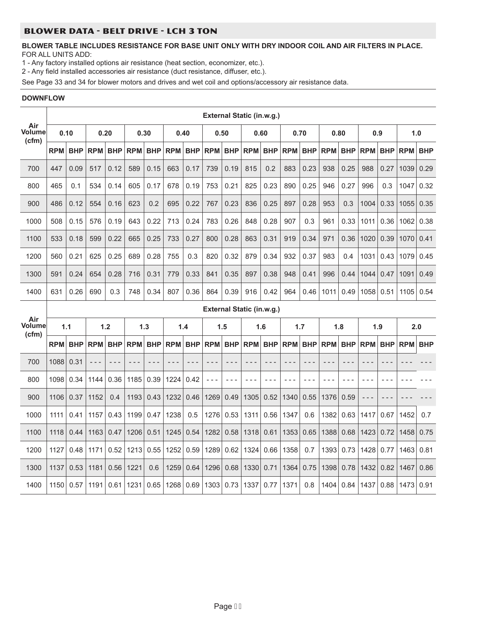#### BLOWER DATA - BELT DRIVE - LCH 3 TON

#### **BLOWER TABLE INCLUDES RESISTANCE FOR BASE UNIT ONLY WITH DRY INDOOR COIL AND AIR FILTERS IN PLACE.** FOR ALL UNITS ADD:

1 - Any factory installed options air resistance (heat section, economizer, etc.).

2 - Any field installed accessories air resistance (duct resistance, diffuser, etc.).

See Page 33 and 34 for blower motors and drives and wet coil and options/accessory air resistance data.

#### **DOWNFLOW** ┱

|                        |            |            |            |            |            |            |            |            |            |            | External Static (in.w.g.) |            |                |            |            |            |            |            |            |            |
|------------------------|------------|------------|------------|------------|------------|------------|------------|------------|------------|------------|---------------------------|------------|----------------|------------|------------|------------|------------|------------|------------|------------|
| Air<br>Volume<br>(cfm) |            | 0.10       |            | 0.20       |            | 0.30       |            | 0.40       |            | 0.50       |                           | 0.60       |                | 0.70       |            | 0.80       |            | 0.9        | 1.0        |            |
|                        | <b>RPM</b> | <b>BHP</b> | <b>RPM</b> | <b>BHP</b> | <b>RPM</b> | <b>BHP</b> | <b>RPM</b> | <b>BHP</b> | RPM        | <b>BHP</b> | <b>RPM</b>                | <b>BHP</b> | <b>RPM</b>     | <b>BHP</b> | <b>RPM</b> | <b>BHP</b> | <b>RPM</b> | <b>BHP</b> | <b>RPM</b> | <b>BHP</b> |
| 700                    | 447        | 0.09       | 517        | 0.12       | 589        | 0.15       | 663        | 0.17       | 739        | 0.19       | 815                       | 0.2        | 883            | 0.23       | 938        | 0.25       | 988        | 0.27       | 1039       | 0.29       |
| 800                    | 465        | 0.1        | 534        | 0.14       | 605        | 0.17       | 678        | 0.19       | 753        | 0.21       | 825                       | 0.23       | 890            | 0.25       | 946        | 0.27       | 996        | 0.3        | 1047       | 0.32       |
| 900                    | 486        | 0.12       | 554        | 0.16       | 623        | 0.2        | 695        | 0.22       | 767        | 0.23       | 836                       | 0.25       | 897            | 0.28       | 953        | 0.3        | 1004       | 0.33       | 1055       | 0.35       |
| 1000                   | 508        | 0.15       | 576        | 0.19       | 643        | 0.22       | 713        | 0.24       | 783        | 0.26       | 848                       | 0.28       | 907            | 0.3        | 961        | 0.33       | 1011       | 0.36       | 1062       | 0.38       |
| 1100                   | 533        | 0.18       | 599        | 0.22       | 665        | 0.25       | 733        | 0.27       | 800        | 0.28       | 863                       | 0.31       | 919            | 0.34       | 971        | 0.36       | 1020       | 0.39       | 1070       | 0.41       |
| 1200                   | 560        | 0.21       | 625        | 0.25       | 689        | 0.28       | 755        | 0.3        | 820        | 0.32       | 879                       | 0.34       | 932            | 0.37       | 983        | 0.4        | 1031       | 0.43       | 1079       | 0.45       |
| 1300                   | 591        | 0.24       | 654        | 0.28       | 716        | 0.31       | 779        | 0.33       | 841        | 0.35       | 897                       | 0.38       | 948            | 0.41       | 996        | 0.44       | 1044       | 0.47       | 1091       | 0.49       |
| 1400                   | 631        | 0.26       | 690        | 0.3        | 748        | 0.34       | 807        | 0.36       | 864        | 0.39       | 916                       | 0.42       | 964            | 0.46       | 1011       | 0.49       | 1058       | 0.51       | 1105       | 0.54       |
|                        |            |            |            |            |            |            |            |            |            |            |                           |            |                |            |            |            |            |            |            |            |
|                        |            |            |            |            |            |            |            |            |            |            | External Static (in.w.g.) |            |                |            |            |            |            |            |            |            |
| Air<br>Volume          |            | 1.1        |            | 1.2        |            | 1.3        |            | 1.4        |            | 1.5        |                           | 1.6        |                | 1.7        |            | 1.8        |            | 1.9        | 2.0        |            |
| (cfm)                  | <b>RPM</b> | <b>BHP</b> | <b>RPM</b> | <b>BHP</b> | <b>RPM</b> | <b>BHP</b> | <b>RPM</b> | <b>BHP</b> | <b>RPM</b> | BHP        | <b>RPM</b>                | <b>BHP</b> | <b>RPM BHP</b> |            | <b>RPM</b> | <b>BHP</b> | <b>RPM</b> | <b>BHP</b> | <b>RPM</b> | <b>BHP</b> |
| 700                    | 1088       | 0.31       | $- - -$    | $- - -$    | $- - -$    | $- - -$    | $- - -$    | $- - -$    | $- - -$    | $- - -$    | $- - -$                   | $- - -$    | $- - -$        | $- - -$    | $- - -$    | $- - -$    | $- - -$    | $- - -$    |            |            |
| 800                    | 1098       | 0.34       | 1144       | 0.36       | 1185       | 0.39       | 1224       | 0.42       | $- - -$    | $- - -$    | $- - -$                   | - - -      | $- - -$        | $- - -$    | $- - -$    | - - -      | $- - -$    | $- - -$    |            |            |
| 900                    | 1106       | 0.37       | 1152       | 0.4        | 1193       | 0.43       | 1232       | 0.46       | 1269       | 0.49       | 1305                      | 0.52       | 1340           | 0.55       | 1376       | 0.59       | - - -      | - - -      |            |            |
| 1000                   | 1111       | 0.41       | 1157       | 0.43       | 1199       | 0.47       | 1238       | 0.5        | 1276       | 0.53       | 1311                      |            | $0.56$   1347  | 0.6        | 1382       | 0.63       | 1417       | 0.67       | 1452       | 0.7        |
| 1100                   | 1118       | 0.44       | 1163       | 0.47       | 1206       | 0.51       | 1245       | 0.54       | 1282       | 0.58       | 1318                      | 0.61       | 1353           | 0.65       | 1388       | 0.68       | 1423       | 0.72       | 1458       | 0.75       |
| 1200                   | 1127       | 0.48       | 1171       | 0.52       | 1213       | 0.55       | 1252       | 0.59       | 1289       | 0.62       | 1324                      |            | $0.66$   1358  | 0.7        | 1393       | 0.73       | 1428       | 0.77       | 1463       | 0.81       |
| 1300                   | 1137       | 0.53       | 1181       | 0.56       | 1221       | 0.6        | 1259       | 0.64       | 1296       | 0.68       | 1330                      | 0.71       | 1364           | 0.75       | 1398       | 0.78       | 1432       | 0.82       | 1467       | 0.86       |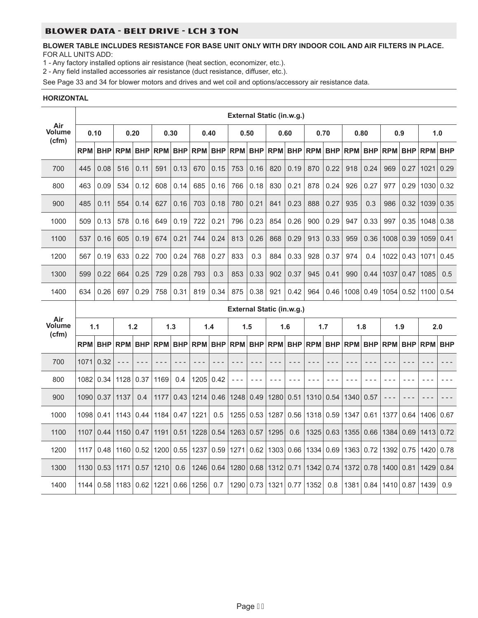#### BLOWER DATA - BELT DRIVE - LCH 3 TON

#### **BLOWER TABLE INCLUDES RESISTANCE FOR BASE UNIT ONLY WITH DRY INDOOR COIL AND AIR FILTERS IN PLACE.** FOR ALL UNITS ADD:

1 - Any factory installed options air resistance (heat section, economizer, etc.).

2 - Any field installed accessories air resistance (duct resistance, diffuser, etc.).

See Page 33 and 34 for blower motors and drives and wet coil and options/accessory air resistance data.

#### **HORIZONTAL**

|                        |      |                |            |            |      |         |                 |            | External Static (in.w.g.) |            |       |       |                                 |       |                |             |            |            |                |            |
|------------------------|------|----------------|------------|------------|------|---------|-----------------|------------|---------------------------|------------|-------|-------|---------------------------------|-------|----------------|-------------|------------|------------|----------------|------------|
| Air<br>Volume<br>(cfm) |      | 0.10           |            | 0.20       | 0.30 |         |                 | 0.40       | 0.50                      |            |       | 0.60  |                                 | 0.70  |                | 0.80        | 0.9        |            |                | 1.0        |
|                        |      | <b>RPM BHP</b> | <b>RPM</b> | <b>BHP</b> |      |         | RPM BHP RPM BHP |            |                           |            |       |       | RPM BHP RPM BHP RPM BHP RPM BHP |       |                |             | RPM BHP    |            | <b>RPM BHP</b> |            |
| 700                    | 445  | 0.08           | 516        | 0.11       | 591  | 0.13    | 670             | 0.15       | 753                       | 0.16       | 820   | 0.19  | 870                             | 0.22  | 918            | 0.24        | 969        | 0.27       | 1021           | 0.29       |
| 800                    | 463  | 0.09           | 534        | 0.12       | 608  | 0.14    | 685             | 0.16       | 766                       | 0.18       | 830   | 0.21  | 878                             | 0.24  | 926            | 0.27        | 977        | 0.29       | 1030           | 0.32       |
| 900                    | 485  | 0.11           | 554        | 0.14       | 627  | 0.16    | 703             | 0.18       | 780                       | 0.21       | 841   | 0.23  | 888                             | 0.27  | 935            | 0.3         | 986        | 0.32       | 1039           | 0.35       |
| 1000                   | 509  | 0.13           | 578        | 0.16       | 649  | 0.19    | 722             | 0.21       | 796                       | 0.23       | 854   | 0.26  | 900                             | 0.29  | 947            | 0.33        | 997        | 0.35       | 1048           | 0.38       |
| 1100                   | 537  | 0.16           | 605        | 0.19       | 674  | 0.21    | 744             | 0.24       | 813                       | 0.26       | 868   | 0.29  | 913                             | 0.33  | 959            | 0.36        | 1008       | 0.39       | 1059           | 0.41       |
| 1200                   | 567  | 0.19           | 633        | 0.22       | 700  | 0.24    | 768             | 0.27       | 833                       | 0.3        | 884   | 0.33  | 928                             | 0.37  | 974            | 0.4         | 1022       | 0.43       | 1071           | 0.45       |
| 1300                   | 599  | 0.22           | 664        | 0.25       | 729  | 0.28    | 793             | 0.3        | 853                       | 0.33       | 902   | 0.37  | 945                             | 0.41  | 990            | 0.44        | 1037       | 0.47       | 1085           | 0.5        |
| 1400                   | 634  | 0.26           | 697        | 0.29       | 758  | 0.31    | 819             | 0.34       | 875                       | 0.38       | 921   | 0.42  | 964                             | 0.46  |                | 1008 0.49   | 1054       | 0.52       | 1100 0.54      |            |
|                        |      |                |            |            |      |         |                 |            | External Static (in.w.g.) |            |       |       |                                 |       |                |             |            |            |                |            |
|                        |      |                |            |            |      |         |                 |            |                           |            |       |       |                                 | 1.7   |                | 1.8         |            |            |                |            |
| Air<br>Volume          |      | 1.1            |            | 1.2        | 1.3  |         |                 | 1.4        | 1.5                       |            | 1.6   |       |                                 |       |                |             |            | 1.9        | 2.0            |            |
| (cfm)                  |      | <b>RPM BHP</b> | <b>RPM</b> | <b>BHP</b> |      | RPM BHP | <b>RPM</b>      | <b>BHP</b> | <b>RPM</b>                | <b>BHP</b> |       |       | <b>RPM BHP RPM</b>              |       | <b>BHP RPM</b> | <b>BHP</b>  | <b>RPM</b> | <b>BHP</b> | <b>RPM</b>     | <b>BHP</b> |
| 700                    | 1071 | 0.32           | $- - -$    |            |      |         |                 |            |                           |            | - - - |       |                                 |       | $- - -$        |             |            | - - -      |                |            |
| 800                    |      | 1082 0.34      | 1128       | 0.37       | 1169 | 0.4     | 1205            | 0.42       | $\sim$ $\sim$             | $- - -$    | - - - | - - - | $- - -$                         | - - - | $- - -$        |             | $- - -$    | $- -$      | - - -          |            |
| 900                    | 1090 | 0.37           | 1137       | 0.4        | 1177 |         | $0.43$   1214   | 0.46       | 1248                      | 0.49       | 1280  | 0.51  | 1310                            | 0.54  | 1340           | 0.57        |            |            |                |            |
| 1000                   | 1098 | 0.41           | 1143       | 0.44       | 1184 |         | $0.47$   1221   | 0.5        |                           | 1255 0.53  | 1287  |       | $0.56$   1318   0.59            |       | 1347           | 0.61        | 1377       | 0.64       | 1406           | 0.67       |
| 1100                   | 1107 | 0.44           | 1150       | 0.47       | 1191 |         | $0.51$   1228   | 0.54       | 1263   0.57               |            | 1295  | 0.6   | 1325   0.63                     |       |                | 1355   0.66 | 1384       | 0.69       | 1413           | 0.72       |
| 1200                   | 1117 | 0.48           | 1160       | 0.52       | 1200 |         | $0.55$   1237   | 0.59       | 1271                      | 0.62       | 1303  |       | $0.66$   1334                   | 0.69  |                | 1363   0.72 | 1392       | 0.75       | 1420           | 0.78       |
| 1300                   | 1130 | 0.53           | 1171       | 0.57       | 1210 | 0.6     | 1246            | 0.64       | 1280                      | 0.68       | 1312  | 0.71  | 1342 0.74                       |       | 1372           | 0.78        | 1400       | 0.81       | 1429           | 0.84       |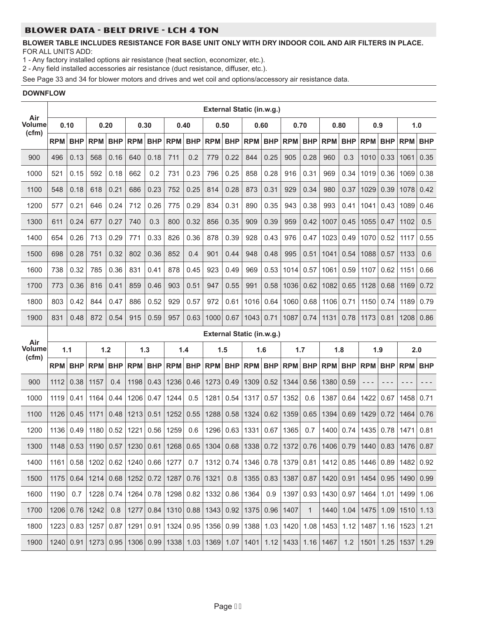# BLOWER DATA - BELT DRIVE - LCH 4 TON

#### **BLOWER TABLE INCLUDES RESISTANCE FOR BASE UNIT ONLY WITH DRY INDOOR COIL AND AIR FILTERS IN PLACE.** FOR ALL UNITS ADD:

1 - Any factory installed options air resistance (heat section, economizer, etc.).

2 - Any field installed accessories air resistance (duct resistance, diffuser, etc.).

See Page 33 and 34 for blower motors and drives and wet coil and options/accessory air resistance data.

#### **DOWNFLOW**

|                        |            |            |            |            |            |            |                                    |            | <b>External Static (in.w.g.)</b> |            |             |            |                                                                                     |              |               |            |                                                                                                               |            |                      |            |
|------------------------|------------|------------|------------|------------|------------|------------|------------------------------------|------------|----------------------------------|------------|-------------|------------|-------------------------------------------------------------------------------------|--------------|---------------|------------|---------------------------------------------------------------------------------------------------------------|------------|----------------------|------------|
| Air<br>Volume          | 0.10       |            | 0.20       |            | 0.30       |            | 0.40                               |            | 0.50                             |            | 0.60        |            | 0.70                                                                                |              | 0.80          |            | 0.9                                                                                                           |            | 1.0                  |            |
| (cfm)                  | <b>RPM</b> | <b>BHP</b> | <b>RPM</b> | <b>BHP</b> | <b>RPM</b> | <b>BHP</b> | <b>RPM</b>                         | <b>BHP</b> | <b>RPM</b>                       | <b>BHP</b> | <b>RPM</b>  | <b>BHP</b> | <b>RPM</b>                                                                          | <b>BHP</b>   | <b>RPM</b>    | <b>BHP</b> | <b>RPM</b>                                                                                                    | <b>BHP</b> | <b>RPM</b>           | <b>BHP</b> |
| 900                    | 496        | 0.13       | 568        | 0.16       | 640        | 0.18       | 711                                | 0.2        | 779                              | 0.22       | 844         | 0.25       | 905                                                                                 | 0.28         | 960           | 0.3        | 1010                                                                                                          | 0.33       | 1061                 | 0.35       |
| 1000                   | 521        | 0.15       | 592        | 0.18       | 662        | 0.2        | 731                                | 0.23       | 796                              | 0.25       | 858         | 0.28       | 916                                                                                 | 0.31         | 969           | 0.34       | 1019                                                                                                          | 0.36       | 1069                 | 0.38       |
| 1100                   | 548        | 0.18       | 618        | 0.21       | 686        | 0.23       | 752                                | 0.25       | 814                              | 0.28       | 873         | 0.31       | 929                                                                                 | 0.34         | 980           | 0.37       | 1029                                                                                                          | 0.39       | 1078                 | 0.42       |
| 1200                   | 577        | 0.21       | 646        | 0.24       | 712        | 0.26       | 775                                | 0.29       | 834                              | 0.31       | 890         | 0.35       | 943                                                                                 | 0.38         | 993           | 0.41       | 1041                                                                                                          | 0.43       | 1089                 | 0.46       |
| 1300                   | 611        | 0.24       | 677        | 0.27       | 740        | 0.3        | 800                                | 0.32       | 856                              | 0.35       | 909         | 0.39       | 959                                                                                 | 0.42         | 1007          | 0.45       | 1055                                                                                                          | 0.47       | 1102                 | 0.5        |
| 1400                   | 654        | 0.26       | 713        | 0.29       | 771        | 0.33       | 826                                | 0.36       | 878                              | 0.39       | 928         | 0.43       | 976                                                                                 | 0.47         | 1023          | 0.49       | 1070                                                                                                          | 0.52       | 1117                 | 0.55       |
| 1500                   | 698        | 0.28       | 751        | 0.32       | 802        | 0.36       | 852                                | 0.4        | 901                              | 0.44       | 948         | 0.48       | 995                                                                                 | 0.51         | 1041          | 0.54       | 1088                                                                                                          | 0.57       | 1133                 | 0.6        |
| 1600                   | 738        | 0.32       | 785        | 0.36       | 831        | 0.41       | 878                                | 0.45       | 923                              | 0.49       | 969         | 0.53       | 1014                                                                                | 0.57         | 1061          | 0.59       | 1107                                                                                                          | 0.62       | 1151                 | 0.66       |
| 1700                   | 773        | 0.36       | 816        | 0.41       | 859        | 0.46       | 903                                | 0.51       | 947                              | 0.55       | 991         | 0.58       | 1036                                                                                | 0.62         | 1082          | 0.65       | 1128                                                                                                          | 0.68       | 1169                 | 0.72       |
| 1800                   | 803        | 0.42       | 844        | 0.47       | 886        | 0.52       | 929                                | 0.57       | 972                              | 0.61       | 1016        | 0.64       | 1060                                                                                | 0.68         | 1106          | 0.71       | 1150                                                                                                          | 0.74       | 1189                 | 0.79       |
| 1900                   | 831        | 0.48       | 872        | 0.54       | 915        | 0.59       | 957                                | 0.63       | 1000                             | 0.67       | 1043        | 0.71       | 1087                                                                                | 0.74         | 1131          | 0.78       | 1173                                                                                                          | 0.81       | 1208                 | 0.86       |
|                        |            |            |            |            |            |            |                                    |            | <b>External Static (in.w.g.)</b> |            |             |            |                                                                                     |              |               |            |                                                                                                               |            |                      |            |
| Air<br>Volume<br>(cfm) | 1.1        |            |            | 1.2        |            | 1.3        |                                    | 1.4        | 1.5                              |            | 1.6         |            | 1.7                                                                                 |              |               | 1.8        | 1.9                                                                                                           |            | 2.0                  |            |
|                        | <b>RPM</b> | <b>BHP</b> | <b>RPM</b> | <b>BHP</b> | <b>RPM</b> | <b>BHP</b> | <b>RPM</b>                         | <b>BHP</b> | <b>RPM</b>                       | <b>BHP</b> | <b>RPM</b>  | <b>BHP</b> | <b>RPM</b>                                                                          | <b>BHP</b>   | <b>RPM</b>    | <b>BHP</b> | <b>RPM</b>                                                                                                    | <b>BHP</b> | <b>RPM</b>           | <b>BHP</b> |
| 900                    | 1112       | 0.38       | 1157       | 0.4        | 1198       | 0.43       | 1236                               | 0.46       | 1273                             | 0.49       | 1309        | 0.52       | 1344                                                                                | 0.56         | 1380          | 0.59       | - - -                                                                                                         | ---        | - - -                | - - -      |
| 1000                   | 1119       | 0.41       | 1164       | 0.44       | 1206       | 0.47       | 1244                               | 0.5        | 1281                             | 0.54       | 1317        | 0.57       | 1352                                                                                | 0.6          | 1387          | 0.64       | 1422                                                                                                          | 0.67       | 1458                 | 0.71       |
| 1100                   | 1126       | 0.45       | 1171       | 0.48       | 1213       | 0.51       | 1252                               | 0.55       | 1288                             | 0.58       | 1324        | 0.62       | 1359                                                                                | 0.65         | 1394          | 0.69       | 1429                                                                                                          | 0.72       | 1464                 | 0.76       |
| 1200                   | 1136       | 0.49       | 1180       | 0.52       | 1221       | 0.56       | 1259                               | 0.6        | 1296                             | 0.63       | 1331        | 0.67       | 1365                                                                                | 0.7          | 1400          | 0.74       | 1435                                                                                                          | 0.78       | 1471                 | 0.81       |
| 1300                   | 1148       | 0.53       | 1190       |            |            |            |                                    |            |                                  |            |             |            | $0.57$   1230   0.61   1268   0.65   1304   0.68   1338   0.72   1372               | 0.76         | 1406          | 0.79       | 1440                                                                                                          | 0.83       | 1476                 | 0.87       |
| 1400                   | 1161       | 0.58       |            |            |            |            | 1202 0.62 1240 0.66 1277           | 0.7        |                                  | 1312 0.74  | 1346 0.78   |            | 1379                                                                                | 0.81         |               |            | 1412 0.85   1446   0.89                                                                                       |            | 1482                 | 0.92       |
| 1500                   | 1175       | 0.64       |            |            |            |            | 1214 0.68 1252 0.72 1287 0.76 1321 |            |                                  | 0.8        | 1355   0.83 |            | 1387                                                                                | 0.87         |               |            | 1420 0.91 1454                                                                                                | 0.95       | 1490 0.99            |            |
| 1600                   | 1190       | 0.7        |            |            |            |            | 1228 0.74 1264 0.78 1298 0.82 1332 |            |                                  | 0.86       | 1364        | 0.9        | 1397                                                                                | 0.93         |               |            | 1430 0.97   1464                                                                                              | 1.01       | 1499 1.06            |            |
| 1700                   | 12061      | 0.76       | 1242       | 0.8        | 1277       |            | $0.84$   1310   0.88   1343        |            |                                  | 0.92       | 1375 0.96   |            | 1407                                                                                | $\mathbf{1}$ |               |            | 1440 1.04 1475 1.09                                                                                           |            | 1510 1.13            |            |
| 1800                   | 12231      |            |            |            |            |            |                                    |            |                                  |            |             |            |                                                                                     |              |               |            | 0.83   1257   0.87   1291   0.91   1324   0.95   1356   0.99   1388   1.03   1420   1.08   1453   1.12   1487 |            | 1.16   1523   1.21   |            |
| 1900                   | 1240       |            |            |            |            |            |                                    |            |                                  |            |             |            | $0.91$   1273   0.95   1306   0.99   1338   1.03   1369   1.07   1401   1.12   1433 |              | $1.16$   1467 | 1.2        | 1501                                                                                                          |            | $1.25$   1537   1.29 |            |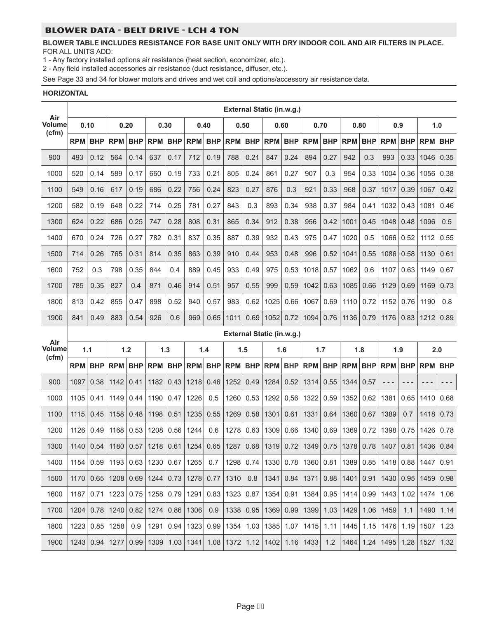# BLOWER DATA - BELT DRIVE - LCH 4 TON

#### **BLOWER TABLE INCLUDES RESISTANCE FOR BASE UNIT ONLY WITH DRY INDOOR COIL AND AIR FILTERS IN PLACE.** FOR ALL UNITS ADD:

1 - Any factory installed options air resistance (heat section, economizer, etc.).

2 - Any field installed accessories air resistance (duct resistance, diffuser, etc.).

See Page 33 and 34 for blower motors and drives and wet coil and options/accessory air resistance data.

#### **HORIZONTAL**

|                      |            |            |                                        |            |            |            |               |                                                   |            |            | External Static (in.w.g.)        |            |                                                       |            |                |            |                     |             |            |            |
|----------------------|------------|------------|----------------------------------------|------------|------------|------------|---------------|---------------------------------------------------|------------|------------|----------------------------------|------------|-------------------------------------------------------|------------|----------------|------------|---------------------|-------------|------------|------------|
| Air<br><b>Volume</b> | 0.10       |            |                                        | 0.20       | 0.30       |            |               | 0.40                                              |            | 0.50       | 0.60                             |            | 0.70                                                  |            | 0.80           |            | 0.9                 |             | 1.0        |            |
| (cfm)                | <b>RPM</b> | <b>BHP</b> | <b>RPM</b>                             | <b>BHP</b> | <b>RPM</b> | <b>BHP</b> | <b>RPM</b>    | <b>BHP</b>                                        | <b>RPM</b> | <b>BHP</b> | <b>RPM</b>                       | <b>BHP</b> | <b>RPM</b>                                            | <b>BHP</b> | <b>RPM</b>     | <b>BHP</b> | <b>RPM</b>          | <b>BHP</b>  | <b>RPM</b> | <b>BHP</b> |
| 900                  | 493        | 0.12       | 564                                    | 0.14       | 637        | 0.17       | 712           | 0.19                                              | 788        | 0.21       | 847                              | 0.24       | 894                                                   | 0.27       | 942            | 0.3        | 993                 | 0.33        | 1046       | 0.35       |
| 1000                 | 520        | 0.14       | 589                                    | 0.17       | 660        | 0.19       | 733           | 0.21                                              | 805        | 0.24       | 861                              | 0.27       | 907                                                   | 0.3        | 954            | 0.33       | 1004                | 0.36        | 1056       | 0.38       |
| 1100                 | 549        | 0.16       | 617                                    | 0.19       | 686        | 0.22       | 756           | 0.24                                              | 823        | 0.27       | 876                              | 0.3        | 921                                                   | 0.33       | 968            | 0.37       | 1017                | 0.39        | 1067       | 0.42       |
| 1200                 | 582        | 0.19       | 648                                    | 0.22       | 714        | 0.25       | 781           | 0.27                                              | 843        | 0.3        | 893                              | 0.34       | 938                                                   | 0.37       | 984            | 0.41       | 1032                | 0.43        | 1081       | 0.46       |
| 1300                 | 624        | 0.22       | 686                                    | 0.25       | 747        | 0.28       | 808           | 0.31                                              | 865        | 0.34       | 912                              | 0.38       | 956                                                   | 0.42       | 1001           | 0.45       | 1048                | 0.48        | 1096       | 0.5        |
| 1400                 | 670        | 0.24       | 726                                    | 0.27       | 782        | 0.31       | 837           | 0.35                                              | 887        | 0.39       | 932                              | 0.43       | 975                                                   | 0.47       | 1020           | 0.5        | 1066                | 0.52        | 1112       | 0.55       |
| 1500                 | 714        | 0.26       | 765                                    | 0.31       | 814        | 0.35       | 863           | 0.39                                              | 910        | 0.44       | 953                              | 0.48       | 996                                                   | 0.52       | 1041           | 0.55       | 1086                | 0.58        | 1130       | 0.61       |
| 1600                 | 752        | 0.3        | 798                                    | 0.35       | 844        | 0.4        | 889           | 0.45                                              | 933        | 0.49       | 975                              | 0.53       | 1018                                                  | 0.57       | 1062           | 0.6        | 1107                | 0.63        | 1149       | 0.67       |
| 1700                 | 785        | 0.35       | 827                                    | 0.4        | 871        | 0.46       | 914           | 0.51                                              | 957        | 0.55       | 999                              | 0.59       | 1042                                                  | 0.63       | 1085           | 0.66       | 1129                | 0.69        | 1169       | 0.73       |
| 1800                 | 813        | 0.42       | 855                                    | 0.47       | 898        | 0.52       | 940           | 0.57                                              | 983        | 0.62       | 1025                             | 0.66       | 1067                                                  | 0.69       | 1110           | 0.72       | 1152                | 0.76        | 1190       | 0.8        |
| 1900                 | 841        | 0.49       | 883                                    | 0.54       | 926        | 0.6        | 969           | 0.65                                              | 1011       | 0.69       | 1052                             | 0.72       | 1094                                                  | 0.76       | 1136           | 0.79       | 1176                | 0.83        | 1212       | 0.89       |
| Air                  |            |            |                                        |            |            |            |               |                                                   |            |            | <b>External Static (in.w.g.)</b> |            |                                                       |            |                |            |                     |             |            |            |
| Volume               |            | 1.1        |                                        | 1.2        |            | 1.3        |               | 1.4                                               |            | 1.5        | 1.6                              |            | 1.7                                                   |            |                | 1.8        |                     | 1.9         | 2.0        |            |
|                      |            |            |                                        |            |            |            |               |                                                   |            |            |                                  |            |                                                       |            |                |            |                     |             |            |            |
| (cfm)                | <b>RPM</b> | <b>BHP</b> | <b>RPM</b>                             | <b>BHP</b> | <b>RPM</b> | <b>BHP</b> | <b>RPM</b>    | <b>BHP</b>                                        | <b>RPM</b> | <b>BHP</b> | <b>RPM</b>                       | BHP        | <b>RPM</b>                                            |            | <b>BHP RPM</b> | <b>BHP</b> | <b>RPM</b>          | <b>BHP</b>  | <b>RPM</b> | <b>BHP</b> |
| 900                  | 1097       | 0.38       | 1142                                   | 0.41       | 1182       | 0.43       | 1218          | 0.46                                              | 1252       | 0.49       | 1284                             | 0.52       | 1314                                                  | 0.55       | 1344           | 0.57       | $- - -$             | $- - -$     | - - -      |            |
| 1000                 | 1105       | 0.41       | 1149                                   | 0.44       | 1190       | 0.47       | 1226          | 0.5                                               | 1260       | 0.53       | 1292                             | 0.56       | 1322                                                  | 0.59       | 1352           | 0.62       | 1381                | 0.65        | 1410       | 0.68       |
| 1100                 | 1115       | 0.45       | 1158                                   | 0.48       | 1198       | 0.51       | 1235          | 0.55                                              | 1269       | 0.58       | 1301                             | 0.61       | 1331                                                  | 0.64       | 1360           | 0.67       | 1389                | 0.7         | 1418       | 0.73       |
| 1200                 | 1126       | 0.49       | 1168                                   | 0.53       | 1208       | 0.56       | 1244          | 0.6                                               | 1278       | 0.63       | 1309                             | 0.66       | 1340                                                  | 0.69       | 1369           | 0.72       | 1398                | 0.75        | 1426       | 0.78       |
| 1300                 | 1140       | 0.54       | 1180                                   | 0.57       | 1218       | 0.61       | 1254          | 0.65                                              | 1287       | 0.68       | 1319                             | 0.72       | 1349                                                  | 0.75       | 1378           | 0.78       | 1407                | 0.81        | 1436       | 0.84       |
| 1400                 |            |            | 1154 0.59 1193 0.63 1230 0.67 1265 0.7 |            |            |            |               |                                                   |            |            |                                  |            | 1298   0.74   1330   0.78   1360   0.81   1389   0.85 |            |                |            |                     | $1418$ 0.88 | 1447       | 0.91       |
| 1500                 | 1170       | 0.65       |                                        |            |            |            |               | 1208 0.69 1244 0.73 1278 0.77                     | 1310       | 0.8        | 1341                             | 0.84       | 1371                                                  | 0.88       | 1401           | 0.91       | 1430                | 0.95        | 1459       | 0.98       |
| 1600                 | 1187       | 0.71       |                                        |            |            |            |               | 1223 0.75 1258 0.79 1291 0.83 1323 0.87 1354 0.91 |            |            |                                  |            | 1384                                                  | 0.95       | 1414           | 0.99       | 1443                | 1.02        | 1474       | 1.06       |
| 1700                 | 1204       |            | $0.78$   1240   0.82   1274            |            |            |            | $0.86$   1306 | 0.9                                               | 1338       | 0.95       | 1369                             | 0.99       | 1399                                                  | 1.03       | 1429           | 1.06       | 1459                | 1.1         | 1490       | 1.14       |
| 1800                 | 1223       |            | $0.85$   1258                          | 0.9        |            |            |               | 1291 0.94 1323 0.99 1354 1.03 1385 1.07 1415 1.11 |            |            |                                  |            |                                                       |            |                |            | 1445 1.15 1476 1.19 |             | 1507       | 1.23       |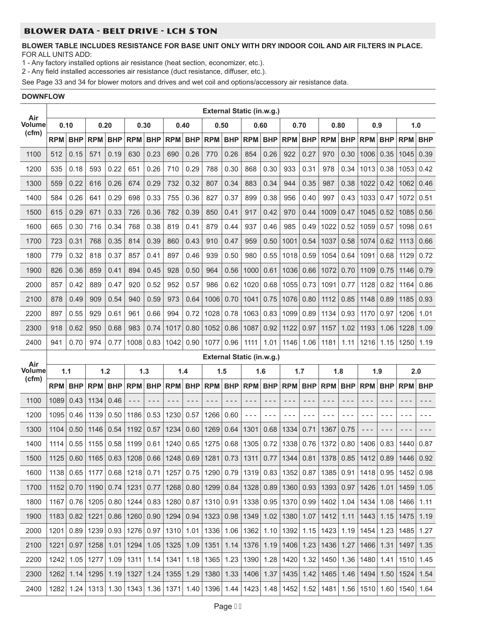#### BLOWER DATA - BELT DRIVE - LCH 5 TON

#### **BLOWER TABLE INCLUDES RESISTANCE FOR BASE UNIT ONLY WITH DRY INDOOR COIL AND AIR FILTERS IN PLACE.** FOR ALL UNITS ADD:

1 - Any factory installed options air resistance (heat section, economizer, etc.).

2 - Any field installed accessories air resistance (duct resistance, diffuser, etc.).

See Page 33 and 34 for blower motors and drives and wet coil and options/accessory air resistance data.

#### **DOWNFLOW**

| Air                  |            |            |                                                         |            |                |            |                |            |               |            | External Static (in.w.g.)                        |             |                |            |             |            |                |            |            |            |
|----------------------|------------|------------|---------------------------------------------------------|------------|----------------|------------|----------------|------------|---------------|------------|--------------------------------------------------|-------------|----------------|------------|-------------|------------|----------------|------------|------------|------------|
| Volume               | 0.10       |            | 0.20                                                    |            | 0.30           |            | 0.40           |            | 0.50          |            | 0.60                                             |             | 0.70           |            | 0.80        |            | 0.9            |            | 1.0        |            |
| (cfm)                | <b>RPM</b> | <b>BHP</b> | <b>RPM</b>                                              | <b>BHP</b> | <b>RPM</b>     | <b>BHP</b> | <b>RPM</b>     | <b>BHP</b> | <b>RPM</b>    | <b>BHP</b> | <b>RPM</b>                                       | <b>BHP</b>  | <b>RPM</b>     | <b>BHP</b> | <b>RPM</b>  | <b>BHP</b> | <b>RPM</b>     | <b>BHP</b> | <b>RPM</b> | <b>BHP</b> |
| 1100                 | 512        | 0.15       | 571                                                     | 0.19       | 630            | 0.23       | 690            | 0.26       | 770           | 0.26       | 854                                              | 0.26        | 922            | 0.27       | 970         | 0.30       | 1006           | 0.35       | 1045       | 0.39       |
| 1200                 | 535        | 0.18       | 593                                                     | 0.22       | 651            | 0.26       | 710            | 0.29       | 788           | 0.30       | 868                                              | 0.30        | 933            | 0.31       | 978         | 0.34       | 1013           | 0.38       | 1053       | 0.42       |
| 1300                 | 559        | 0.22       | 616                                                     | 0.26       | 674            | 0.29       | 732            | 0.32       | 807           | 0.34       | 883                                              | 0.34        | 944            | 0.35       | 987         | 0.38       | 1022           | 0.42       | 1062       | 0.46       |
| 1400                 | 584        | 0.26       | 641                                                     | 0.29       | 698            | 0.33       | 755            | 0.36       | 827           | 0.37       | 899                                              | 0.38        | 956            | 0.40       | 997         | 0.43       | 1033           | 0.47       | 1072       | 0.51       |
| 1500                 | 615        | 0.29       | 671                                                     | 0.33       | 726            | 0.36       | 782            | 0.39       | 850           | 0.41       | 917                                              | 0.42        | 970            | 0.44       | 1009        | 0.47       | 1045           | 0.52       | 1085       | 0.56       |
| 1600                 | 665        | 0.30       | 716                                                     | 0.34       | 768            | 0.38       | 819            | 0.41       | 879           | 0.44       | 937                                              | 0.46        | 985            | 0.49       | 1022        | 0.52       | 1059           | 0.57       | 1098       | 0.61       |
| 1700                 | 723        | 0.31       | 768                                                     | 0.35       | 814            | 0.39       | 860            | 0.43       | 910           | 0.47       | 959                                              | 0.50        | 1001           | 0.54       | 1037        | 0.58       | 1074           | 0.62       | 1113       | 0.66       |
| 1800                 | 779        | 0.32       | 818                                                     | 0.37       | 857            | 0.41       | 897            | 0.46       | 939           | 0.50       | 980                                              | 0.55        | 1018           | 0.59       | 1054        | 0.64       | 1091           | 0.68       | 1129       | 0.72       |
| 1900                 | 826        | 0.36       | 859                                                     | 0.41       | 894            | 0.45       | 928            | 0.50       | 964           | 0.56       | 1000                                             | 0.61        | 1036           | 0.66       | 1072        | 0.70       | 1109           | 0.75       | 1146       | 0.79       |
| 2000                 | 857        | 0.42       | 889                                                     | 0.47       | 920            | 0.52       | 952            | 0.57       | 986           | 0.62       | 1020                                             | 0.68        | 1055           | 0.73       | 1091        | 0.77       | 1128           | 0.82       | 1164       | 0.86       |
| 2100                 | 878        | 0.49       | 909                                                     | 0.54       | 940            | 0.59       | 973            | 0.64       | 1006          | 0.70       | 1041                                             | 0.75        | 1076           | 0.80       | 1112        | 0.85       | 1148           | 0.89       | 1185       | 0.93       |
| 2200                 | 897        | 0.55       | 929                                                     | 0.61       | 961            | 0.66       | 994            | 0.72       | 1028          | 0.78       | 1063                                             | 0.83        | 1099           | 0.89       | 1134        | 0.93       | 1170           | 0.97       | 1206       | 1.01       |
| 2300                 | 918        | 0.62       | 950                                                     | 0.68       | 983            | 0.74       | 1017           | 0.80       | 1052          | 0.86       | 1087                                             | 0.92        | 1122           | 0.97       | 1157        | 1.02       | 1193           | 1.06       | 1228       | 1.09       |
| 2400                 | 941        | 0.70       | 974                                                     | 0.77       | 1008           | 0.83       | 1042           | 0.90       | 1077          | 0.96       | 1111                                             | 1.01        | 1146           | 1.06       | 1181        | 1.11       | 1216           | 1.15       | 1250       | 1.19       |
|                      |            |            |                                                         |            |                |            |                |            |               |            |                                                  |             |                |            |             |            |                |            |            |            |
|                      |            |            |                                                         |            |                |            |                |            |               |            | External Static (in.w.g.)                        |             |                |            |             |            |                |            |            |            |
| Air<br><b>Volume</b> | 1.1        |            |                                                         | $1.2$      |                | 1.3        | 1.4            |            | 1.5           |            | 1.6                                              |             | 1.7            |            | 1.8         |            | 1.9            |            | 2.0        |            |
| (cfm)                | <b>RPM</b> | <b>BHP</b> | <b>RPM</b>                                              |            | <b>BHP RPM</b> |            | <b>BHP RPM</b> | <b>BHP</b> | <b>RPM</b>    | <b>BHP</b> | <b>RPM</b>                                       |             | <b>BHP RPM</b> | <b>BHP</b> | <b>RPM</b>  | <b>BHP</b> | <b>RPM</b>     | <b>BHP</b> | <b>RPM</b> | <b>BHP</b> |
| 1100                 | 1089       | 0.43       | 1134                                                    | 0.46       | $- - -$        | $- - -$    | - - -          | $- - -$    | - - -         | - - -      | - - -                                            | $  -$       | $  -$          | - - -      | - - -       | - - -      | - - -          | - - -      | - - -      |            |
| 1200                 | 1095       | 0.46       | 1139                                                    | 0.50       | 1186           | 0.53       | 1230           | 0.57       | 1266          | 0.60       | - - -                                            | $- - -$     | - - -          | - - -      | $ -$        |            | $ -$           | - - -      |            |            |
| 1300                 | 1104       | 0.50       | 1146                                                    | 0.54       | 1192           | 0.57       | 1234           | 0.60       | 1269          | 0.64       | 1301                                             | 0.68        | 1334           | 0.71       | 1367        | 0.75       | - - -          | - - -      | - - -      | - - -      |
| 1400                 | 1114       | 0.55       | 1155                                                    | 0.58       | 1199           | 0.61       | 1240           | 0.65       | 1275          | 0.68       | 1305                                             | 0.72        | 1338           | 0.76       | 1372        | 0.80       | 1406           | 0.83       | 1440       | 0.87       |
| 1500                 | 1125       |            | $0.60$   1165   0.63   1208   0.66   1248   0.69   1281 |            |                |            |                |            |               |            | $0.73$   1311   0.77   1344   0.81   1378   0.85 |             |                |            |             |            | 1412 0.89      |            | 1446 0.92  |            |
| 1600                 | 1138       | 0.65       | 1177                                                    |            | $0.68$   1218  | 0.71       | 1257           | 0.75       | 1290          | 0.79       |                                                  |             | 1319 0.83 1352 | 0.87       | 1385 0.91   |            | 1418 0.95      |            | 1452       | 0.98       |
| 1700                 | 1152       | 0.70       | 1190                                                    | 0.74       | 1231           | 0.77       | 1268           | 0.80       | 1299          | 0.84       | 1328                                             | 0.89        | 1360           | 0.93       | 1393        | 0.97       | 1426           | 1.01       | 1459       | 1.05       |
| 1800                 | 1167       |            | $0.76$   1205                                           | 0.80       | 1244           | 0.83       | 1280           | 0.87       | 1310          | 0.91       | 1338                                             |             | $0.95$   1370  | 0.99       | $1402$ 1.04 |            | 1434           | 1.08       | 1466       | 1.11       |
| 1900                 | 1183       | 0.82       | 1221                                                    | 0.86       | 1260           | 0.90       | 1294           | 0.94       | 1323          | 0.98       | 1349                                             | 1.02        | 1380           | 1.07       | $1412$ 1.11 |            | 1443           | 1.15       | 1475       | 1.19       |
| 2000                 | 1201       | 0.89       | 1239                                                    | 0.93       | 1276           | 0.97       | $1310$ 1.01    |            | 1336          |            | 1.06   1362   1.10   1392                        |             |                | 1.15       | $1423$ 1.19 |            | 1454           | 1.23       | 1485       | 1.27       |
| 2100                 | 1221       | 0.97       | 1258                                                    | 1.01       | 1294           | 1.05       | 1325           | 1.09       | 1351          | 1.14       |                                                  |             | 1376 1.19 1406 | 1.23       | 1436 1.27   |            | 1466           | 1.31       | 1497       | 1.35       |
| 2200                 | 1242       |            | $1.05$   1277                                           | 1.09       | 1311           |            | $1.14$   1341  |            | $1.18$   1365 | 1.23       |                                                  |             | 1390 1.28 1420 | 1.32       |             |            | 1450 1.36 1480 | 1.41       | 1510 1.45  |            |
| 2300                 | 1262       |            | $1.14$   1295   1.19   1327                             |            |                | 1.24       | $1355$ 1.29    |            | 1380          | 1.33       |                                                  | $1406$ 1.37 | 1435           | 1.42       | $1465$ 1.46 |            | 1494           | 1.50       | 1524       | 1.54       |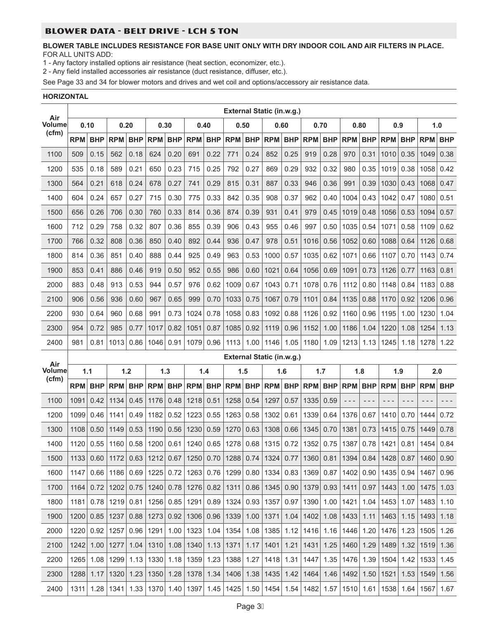#### BLOWER DATA - BELT DRIVE - LCH 5 TON

#### **BLOWER TABLE INCLUDES RESISTANCE FOR BASE UNIT ONLY WITH DRY INDOOR COIL AND AIR FILTERS IN PLACE.** FOR ALL UNITS ADD:

1 - Any factory installed options air resistance (heat section, economizer, etc.).

2 - Any field installed accessories air resistance (duct resistance, diffuser, etc.).

See Page 33 and 34 for blower motors and drives and wet coil and options/accessory air resistance data.

#### **HORIZONTAL**

| Air           |            |            |                                                                                                                                    |             |               |            |                           |                |               | External Static (in.w.g.) |                                                         |             |               |            |               |            |            |            |            |            |
|---------------|------------|------------|------------------------------------------------------------------------------------------------------------------------------------|-------------|---------------|------------|---------------------------|----------------|---------------|---------------------------|---------------------------------------------------------|-------------|---------------|------------|---------------|------------|------------|------------|------------|------------|
| Volume        | 0.10       |            | 0.20                                                                                                                               |             | 0.30          |            | 0.40                      |                | 0.50          |                           | 0.60                                                    |             | 0.70          |            | 0.80          |            | 0.9        |            | 1.0        |            |
| (cfm)         | <b>RPM</b> | <b>BHP</b> | <b>RPM</b>                                                                                                                         | <b>BHP</b>  | <b>RPM</b>    | <b>BHP</b> | <b>RPM</b>                | <b>BHP</b>     | <b>RPM</b>    | <b>BHP</b>                | <b>RPM</b>                                              | <b>BHP</b>  | <b>RPM</b>    | <b>BHP</b> | <b>RPM</b>    | <b>BHP</b> | <b>RPM</b> | <b>BHP</b> | RPM        | <b>BHP</b> |
| 1100          | 509        | 0.15       | 562                                                                                                                                | 0.18        | 624           | 0.20       | 691                       | 0.22           | 771           | 0.24                      | 852                                                     | 0.25        | 919           | 0.28       | 970           | 0.31       | 1010       | 0.35       | 1049       | 0.38       |
| 1200          | 535        | 0.18       | 589                                                                                                                                | 0.21        | 650           | 0.23       | 715                       | 0.25           | 792           | 0.27                      | 869                                                     | 0.29        | 932           | 0.32       | 980           | 0.35       | 1019       | 0.38       | 1058       | 0.42       |
| 1300          | 564        | 0.21       | 618                                                                                                                                | 0.24        | 678           | 0.27       | 741                       | 0.29           | 815           | 0.31                      | 887                                                     | 0.33        | 946           | 0.36       | 991           | 0.39       | 1030       | 0.43       | 1068       | 0.47       |
| 1400          | 604        | 0.24       | 657                                                                                                                                | 0.27        | 715           | 0.30       | 775                       | 0.33           | 842           | 0.35                      | 908                                                     | 0.37        | 962           | 0.40       | 1004          | 0.43       | 1042       | 0.47       | 1080       | 0.51       |
| 1500          | 656        | 0.26       | 706                                                                                                                                | 0.30        | 760           | 0.33       | 814                       | 0.36           | 874           | 0.39                      | 931                                                     | 0.41        | 979           | 0.45       | 1019          | 0.48       | 1056       | 0.53       | 1094       | 0.57       |
| 1600          | 712        | 0.29       | 758                                                                                                                                | 0.32        | 807           | 0.36       | 855                       | 0.39           | 906           | 0.43                      | 955                                                     | 0.46        | 997           | 0.50       | 1035          | 0.54       | 1071       | 0.58       | 1109       | 0.62       |
| 1700          | 766        | 0.32       | 808                                                                                                                                | 0.36        | 850           | 0.40       | 892                       | 0.44           | 936           | 0.47                      | 978                                                     | 0.51        | 1016          | 0.56       | 1052          | 0.60       | 1088       | 0.64       | 1126       | 0.68       |
| 1800          | 814        | 0.36       | 851                                                                                                                                | 0.40        | 888           | 0.44       | 925                       | 0.49           | 963           | 0.53                      | 1000                                                    | 0.57        | 1035          | 0.62       | 1071          | 0.66       | 1107       | 0.70       | 1143       | 0.74       |
| 1900          | 853        | 0.41       | 886                                                                                                                                | 0.46        | 919           | 0.50       | 952                       | 0.55           | 986           | 0.60                      | 1021                                                    | 0.64        | 1056          | 0.69       | 1091          | 0.73       | 1126       | 0.77       | 1163       | 0.81       |
| 2000          | 883        | 0.48       | 913                                                                                                                                | 0.53        | 944           | 0.57       | 976                       | 0.62           | 1009          | 0.67                      | 1043                                                    | 0.71        | 1078          | 0.76       | 1112          | 0.80       | 1148       | 0.84       | 1183       | 0.88       |
| 2100          | 906        | 0.56       | 936                                                                                                                                | 0.60        | 967           | 0.65       | 999                       | 0.70           | 1033          | 0.75                      | 1067                                                    | 0.79        | 1101          | 0.84       | 1135          | 0.88       | 1170       | 0.92       | 1206       | 0.96       |
| 2200          | 930        | 0.64       | 960                                                                                                                                | 0.68        | 991           | 0.73       | 1024                      | 0.78           | 1058          | 0.83                      | 1092                                                    | 0.88        | 1126          | 0.92       | 1160          | 0.96       | 1195       | 1.00       | 1230       | 1.04       |
| 2300          | 954        | 0.72       | 985                                                                                                                                | 0.77        | 1017          | 0.82       | 1051                      | 0.87           | 1085          | 0.92                      | 1119                                                    | 0.96        | 1152          | 1.00       | 1186          | 1.04       | 1220       | 1.08       | 1254       | 1.13       |
| 2400          | 981        | 0.81       | 1013                                                                                                                               | 0.86        | 1046          | 0.91       | 1079                      | 0.96           | 1113          | 1.00                      | 1146                                                    | 1.05        | 1180          | 1.09       | 1213          | 1.13       | 1245       | 1.18       | 1278       | 1.22       |
| Air           |            |            |                                                                                                                                    |             |               |            |                           |                |               |                           | External Static (in.w.g.)                               |             |               |            |               |            |            |            |            |            |
|               |            |            |                                                                                                                                    |             |               |            |                           | 1.4            | 1.5           |                           |                                                         | 1.6         | 1.7           |            | 1.8           |            |            |            |            |            |
| <b>Volume</b> | 1.1        |            | 1.2                                                                                                                                |             | 1.3           |            |                           |                |               |                           |                                                         |             |               |            |               |            |            | 1.9        | 2.0        |            |
| (cfm)         | <b>RPM</b> | <b>BHP</b> | <b>RPM</b>                                                                                                                         | <b>BHP</b>  | <b>RPM</b>    | <b>BHP</b> | <b>RPM</b>                | <b>BHP</b>     | <b>RPM</b>    | <b>BHP RPM</b>            |                                                         | BHP         | <b>RPM</b>    |            | BHP RPM       | <b>BHP</b> | <b>RPM</b> | <b>BHP</b> | <b>RPM</b> | <b>BHP</b> |
| 1100          | 1091       | 0.42       | 1134                                                                                                                               | 0.45        | 1176          | 0.48       | 1218                      | 0.51           | 1258          | 0.54                      | 1297                                                    | 0.57        | 1335          | 0.59       | $- - -$       | $- - -$    | - - -      | - - -      | - - -      | - - -      |
| 1200          | 1099       | 0.46       | 1141                                                                                                                               | 0.49        | 1182          | 0.52       | 1223                      | 0.55           | 1263          | 0.58                      | 1302                                                    | 0.61        | 1339          | 0.64       | 1376          | 0.67       | 1410       | 0.70       | 1444       | 0.72       |
| 1300          | 1108       | 0.50       | 1149                                                                                                                               | 0.53        | 1190          | 0.56       | 1230                      | 0.59           | 1270          | 0.63                      | 1308                                                    | 0.66        | 1345          | 0.70       | 1381          | 0.73       | 1415       | 0.75       | 1449       | 0.78       |
| 1400          | 1120       | 0.55       | 1160                                                                                                                               | 0.58        | 1200          | 0.61       | 1240                      | 0.65           | 1278          | 0.68                      | 1315                                                    | 0.72        | 1352          | 0.75       | 1387          | 0.78       | 1421       | 0.81       | 1454       | 0.84       |
| 1500          | 1133       |            | 0.60   1172   0.63   1212   0.67   1250   0.70   1288   0.74   1324   0.77   1360   0.81   1394   0.84   1428   0.87   1460   0.90 |             |               |            |                           |                |               |                           |                                                         |             |               |            |               |            |            |            |            |            |
| 1600          | 1147       | 0.66       |                                                                                                                                    | $1186$ 0.69 | 1225          |            |                           |                |               |                           | $0.72$   1263   0.76   1299   0.80   1334   0.83   1369 |             |               | 0.87       | 1402          | 0.90       | 1435       | 0.94       | 1467       | 0.96       |
| 1700          | 1164       | 0.72       | 1202                                                                                                                               | 0.75        | 1240          | 0.78       | 1276                      | 0.82           | 1311          |                           | $0.86$   1345   0.90   1379                             |             |               | 0.93       | 1411          | 0.97       | 1443       | 1.00       | 1475       | 1.03       |
| 1800          | 1181       | 0.78       | 1219                                                                                                                               | 0.81        | 1256          | 0.85       | 1291                      |                | $0.89$   1324 |                           | $0.93$   1357                                           |             | $0.97$   1390 | 1.00       | 1421          | 1.04       | 1453       | 1.07       | 1483       | 1.10       |
| 1900          | 1200       | 0.85       | 1237                                                                                                                               |             | $0.88$   1273 | 0.92       |                           | 1306 0.96 1339 |               | 1.00                      | 1371                                                    |             | $1.04$   1402 | 1.08       | 1433          | 1.11       | 1463       | 1.15       | 1493       | 1.18       |
| 2000          | 1220       | 0.92       | 1257                                                                                                                               |             | $0.96$   1291 |            | 1.00   1323   1.04   1354 |                |               |                           | 1.08   1385   1.12   1416                               |             |               | 1.16       | 1446          | 1.20       | 1476       | 1.23       | 1505       | 1.26       |
| 2100          | 1242       | 1.00       | 1277                                                                                                                               | 1.04        | 1310          | 1.08       |                           | 1340 1.13 1371 |               | 1.17                      |                                                         | $1401$ 1.21 | 1431          | 1.25       | 1460          | 1.29       | 1489       | 1.32       | 1519       | 1.36       |
| 2200          | 1265       | 1.08       | 1299                                                                                                                               |             | $1.13$   1330 |            |                           |                |               |                           | 1.18   1359   1.23   1388   1.27   1418   1.31   1447   |             |               | 1.35       | 1476 1.39     |            | 1504       | 1.42       | 1533       | 1.45       |
| 2300          | 1288       | 1.17       | 1320                                                                                                                               | 1.23        | 1350          | 1.28       |                           |                |               |                           | 1378 1.34   1406   1.38   1435   1.42   1464            |             |               |            | $1.46$   1492 | 1.50       | 1521       | 1.53       | 1549       | 1.56       |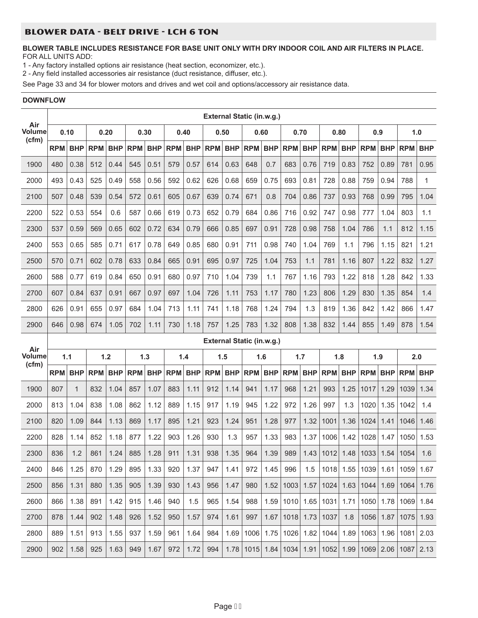# BLOWER DATA - BELT DRIVE - LCH 6 TON

#### **BLOWER TABLE INCLUDES RESISTANCE FOR BASE UNIT ONLY WITH DRY INDOOR COIL AND AIR FILTERS IN PLACE.** FOR ALL UNITS ADD:

1 - Any factory installed options air resistance (heat section, economizer, etc.).

2 - Any field installed accessories air resistance (duct resistance, diffuser, etc.).

See Page 33 and 34 for blower motors and drives and wet coil and options/accessory air resistance data.

#### **DOWNFLOW**

|                      |            |              |            |            |            |            |            |            |            |            | External Static (in.w.g.) |            |             |            |            |            |            |            |            |            |
|----------------------|------------|--------------|------------|------------|------------|------------|------------|------------|------------|------------|---------------------------|------------|-------------|------------|------------|------------|------------|------------|------------|------------|
| Air<br><b>Volume</b> | 0.10       |              | 0.20       |            |            | 0.30       |            | 0.40       | 0.50       |            | 0.60                      |            | 0.70        |            | 0.80       |            |            | 0.9        | 1.0        |            |
| (cfm)                | <b>RPM</b> | <b>BHP</b>   | <b>RPM</b> | <b>BHP</b> | <b>RPM</b> | <b>BHP</b> | <b>RPM</b> | <b>BHP</b> | <b>RPM</b> | <b>BHP</b> | <b>RPM</b>                | <b>BHP</b> | <b>RPM</b>  | <b>BHP</b> | <b>RPM</b> | <b>BHP</b> | <b>RPM</b> | <b>BHP</b> | <b>RPM</b> | <b>BHP</b> |
| 1900                 | 480        | 0.38         | 512        | 0.44       | 545        | 0.51       | 579        | 0.57       | 614        | 0.63       | 648                       | 0.7        | 683         | 0.76       | 719        | 0.83       | 752        | 0.89       | 781        | 0.95       |
| 2000                 | 493        | 0.43         | 525        | 0.49       | 558        | 0.56       | 592        | 0.62       | 626        | 0.68       | 659                       | 0.75       | 693         | 0.81       | 728        | 0.88       | 759        | 0.94       | 788        | 1          |
| 2100                 | 507        | 0.48         | 539        | 0.54       | 572        | 0.61       | 605        | 0.67       | 639        | 0.74       | 671                       | 0.8        | 704         | 0.86       | 737        | 0.93       | 768        | 0.99       | 795        | 1.04       |
| 2200                 | 522        | 0.53         | 554        | 0.6        | 587        | 0.66       | 619        | 0.73       | 652        | 0.79       | 684                       | 0.86       | 716         | 0.92       | 747        | 0.98       | 777        | 1.04       | 803        | 1.1        |
| 2300                 | 537        | 0.59         | 569        | 0.65       | 602        | 0.72       | 634        | 0.79       | 666        | 0.85       | 697                       | 0.91       | 728         | 0.98       | 758        | 1.04       | 786        | 1.1        | 812        | 1.15       |
| 2400                 | 553        | 0.65         | 585        | 0.71       | 617        | 0.78       | 649        | 0.85       | 680        | 0.91       | 711                       | 0.98       | 740         | 1.04       | 769        | 1.1        | 796        | 1.15       | 821        | 1.21       |
| 2500                 | 570        | 0.71         | 602        | 0.78       | 633        | 0.84       | 665        | 0.91       | 695        | 0.97       | 725                       | 1.04       | 753         | 1.1        | 781        | 1.16       | 807        | 1.22       | 832        | 1.27       |
| 2600                 | 588        | 0.77         | 619        | 0.84       | 650        | 0.91       | 680        | 0.97       | 710        | 1.04       | 739                       | 1.1        | 767         | 1.16       | 793        | 1.22       | 818        | 1.28       | 842        | 1.33       |
| 2700                 | 607        | 0.84         | 637        | 0.91       | 667        | 0.97       | 697        | 1.04       | 726        | 1.11       | 753                       | 1.17       | 780         | 1.23       | 806        | 1.29       | 830        | 1.35       | 854        | 1.4        |
| 2800                 | 626        | 0.91         | 655        | 0.97       | 684        | 1.04       | 713        | 1.11       | 741        | 1.18       | 768                       | 1.24       | 794         | 1.3        | 819        | 1.36       | 842        | 1.42       | 866        | 1.47       |
| 2900                 | 646        | 0.98         | 674        | 1.05       | 702        | 1.11       | 730        | 1.18       | 757        | 1.25       | 783                       | 1.32       | 808         | 1.38       | 832        | 1.44       | 855        | 1.49       | 878        | 1.54       |
| Air                  |            |              |            |            |            |            |            |            |            |            | External Static (in.w.g.) |            |             |            |            |            |            |            |            |            |
|                      |            |              |            |            |            |            |            |            |            |            |                           |            |             |            |            |            |            |            |            |            |
| <b>Volume</b>        | 1.1        |              |            | 1.2        |            | 1.3        |            | 1.4        | 1.5        |            | 1.6                       |            |             | 1.7        |            | 1.8        |            | 1.9        | 2.0        |            |
| (cfm)                | <b>RPM</b> | <b>BHP</b>   | <b>RPM</b> | <b>BHP</b> | <b>RPM</b> | <b>BHP</b> | <b>RPM</b> | <b>BHP</b> | <b>RPM</b> | <b>BHP</b> | <b>RPM</b>                | <b>BHP</b> | <b>RPM</b>  | <b>BHP</b> | <b>RPM</b> | <b>BHP</b> | <b>RPM</b> | <b>BHP</b> | <b>RPM</b> | <b>BHP</b> |
| 1900                 | 807        | $\mathbf{1}$ | 832        | 1.04       | 857        | 1.07       | 883        | 1.11       | 912        | 1.14       | 941                       | 1.17       | 968         | 1.21       | 993        | 1.25       | 1017       | 1.29       | 1039       | 1.34       |
| 2000                 | 813        | 1.04         | 838        | 1.08       | 862        | 1.12       | 889        | 1.15       | 917        | 1.19       | 945                       | 1.22       | 972         | 1.26       | 997        | 1.3        | 1020       | 1.35       | 1042       | 1.4        |
| 2100                 | 820        | 1.09         | 844        | 1.13       | 869        | 1.17       | 895        | 1.21       | 923        | 1.24       | 951                       | 1.28       | 977         | 1.32       | 1001       | 1.36       | 1024       | 1.41       | 1046       | 1.46       |
| 2200                 | 828        | 1.14         | 852        | 1.18       | 877        | 1.22       | 903        | 1.26       | 930        | 1.3        | 957                       | 1.33       | 983         | 1.37       | 1006       | 1.42       | 1028       | 1.47       | 1050       | 1.53       |
| 2300                 | 836        | 1.2          | 861        | 1.24       | 885        | 1.28       | 911        | 1.31       | 938        | 1.35       | 964                       | 1.39       | 989         | 1.43       | 1012       | 1.48       | 1033       | 1.54       | 1054       | 1.6        |
| 2400                 | 846        | 1.25         | 870        | 1.29       | 895        | 1.33       | 920        | 1.37       | 947        | 1.41       | 972                       | 1.45       | 996         | 1.5        | 1018 1.55  |            | 1039       | 1.61       | 1059       | 1.67       |
| 2500                 | 856        | 1.31         | 880        | 1.35       | 905        | 1.39       | 930        | 1.43       | 956        | 1.47       | 980                       | 1.52       | 1003        | 1.57       | 1024       | 1.63       | 1044       | 1.69       | 1064       | 1.76       |
| 2600                 | 866        | 1.38         | 891        | 1.42       | 915        | 1.46       | 940        | 1.5        | 965        | 1.54       | 988                       | 1.59       | 1010 1.65   |            | 1031       | 1.71       | 1050       | 1.78       | 1069       | 1.84       |
| 2700                 | 878        | 1.44         | 902        | 1.48       | 926        | 1.52       | 950        | 1.57       | 974        | 1.61       | 997                       | 1.67       | $1018$ 1.73 |            | 1037       | 1.8        | 1056       | 1.87       | 1075       | 1.93       |
| 2800                 | 889        | 1.51         | 913        | 1.55       | 937        | 1.59       | 961        | 1.64       | 984        | 1.69       | 1006                      | 1.75       | 1026 1.82   |            | 1044       | 1.89       | 1063       | 1.96       | 1081       | 2.03       |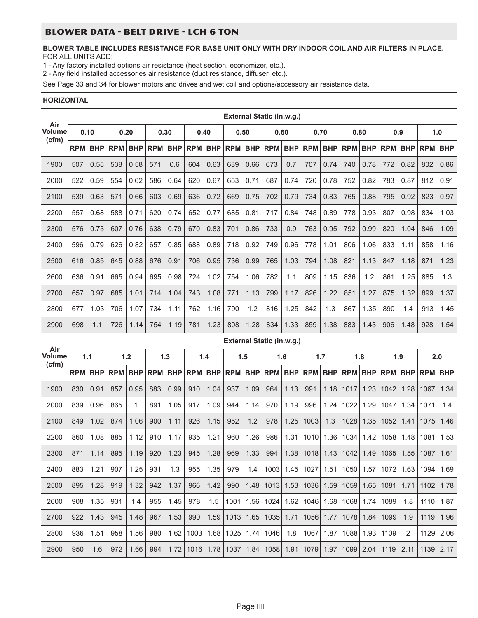#### BLOWER DATA - BELT DRIVE - LCH 6 TON

#### **BLOWER TABLE INCLUDES RESISTANCE FOR BASE UNIT ONLY WITH DRY INDOOR COIL AND AIR FILTERS IN PLACE.** FOR ALL UNITS ADD:

1 - Any factory installed options air resistance (heat section, economizer, etc.).

2 - Any field installed accessories air resistance (duct resistance, diffuser, etc.).

See Page 33 and 34 for blower motors and drives and wet coil and options/accessory air resistance data.

#### **HORIZONTAL**

|                        |            |            |            |            |            |            |            |            | External Static (in.w.g.) |            |                                         |            |                |            |            |            |                |            |            |            |
|------------------------|------------|------------|------------|------------|------------|------------|------------|------------|---------------------------|------------|-----------------------------------------|------------|----------------|------------|------------|------------|----------------|------------|------------|------------|
| Air<br>Volume<br>(cfm) | 0.10       |            |            | 0.20       | 0.30       |            | 0.40       |            | 0.50                      |            |                                         | 0.60       | 0.70           |            | 0.80       |            |                | 0.9        | 1.0        |            |
|                        | <b>RPM</b> | <b>BHP</b> | <b>RPM</b> | <b>BHP</b> | <b>RPM</b> | <b>BHP</b> | <b>RPM</b> | <b>BHP</b> | <b>RPM</b>                | <b>BHP</b> | <b>RPM</b>                              | <b>BHP</b> | <b>RPM</b>     | <b>BHP</b> | <b>RPM</b> | <b>BHP</b> | <b>RPM</b>     | <b>BHP</b> | <b>RPM</b> | <b>BHP</b> |
| 1900                   | 507        | 0.55       | 538        | 0.58       | 571        | 0.6        | 604        | 0.63       | 639                       | 0.66       | 673                                     | 0.7        | 707            | 0.74       | 740        | 0.78       | 772            | 0.82       | 802        | 0.86       |
| 2000                   | 522        | 0.59       | 554        | 0.62       | 586        | 0.64       | 620        | 0.67       | 653                       | 0.71       | 687                                     | 0.74       | 720            | 0.78       | 752        | 0.82       | 783            | 0.87       | 812        | 0.91       |
| 2100                   | 539        | 0.63       | 571        | 0.66       | 603        | 0.69       | 636        | 0.72       | 669                       | 0.75       | 702                                     | 0.79       | 734            | 0.83       | 765        | 0.88       | 795            | 0.92       | 823        | 0.97       |
| 2200                   | 557        | 0.68       | 588        | 0.71       | 620        | 0.74       | 652        | 0.77       | 685                       | 0.81       | 717                                     | 0.84       | 748            | 0.89       | 778        | 0.93       | 807            | 0.98       | 834        | 1.03       |
| 2300                   | 576        | 0.73       | 607        | 0.76       | 638        | 0.79       | 670        | 0.83       | 701                       | 0.86       | 733                                     | 0.9        | 763            | 0.95       | 792        | 0.99       | 820            | 1.04       | 846        | 1.09       |
| 2400                   | 596        | 0.79       | 626        | 0.82       | 657        | 0.85       | 688        | 0.89       | 718                       | 0.92       | 749                                     | 0.96       | 778            | 1.01       | 806        | 1.06       | 833            | 1.11       | 858        | 1.16       |
| 2500                   | 616        | 0.85       | 645        | 0.88       | 676        | 0.91       | 706        | 0.95       | 736                       | 0.99       | 765                                     | 1.03       | 794            | 1.08       | 821        | 1.13       | 847            | 1.18       | 871        | 1.23       |
| 2600                   | 636        | 0.91       | 665        | 0.94       | 695        | 0.98       | 724        | 1.02       | 754                       | 1.06       | 782                                     | 1.1        | 809            | 1.15       | 836        | 1.2        | 861            | 1.25       | 885        | 1.3        |
| 2700                   | 657        | 0.97       | 685        | 1.01       | 714        | 1.04       | 743        | 1.08       | 771                       | 1.13       | 799                                     | 1.17       | 826            | 1.22       | 851        | 1.27       | 875            | 1.32       | 899        | 1.37       |
| 2800                   | 677        | 1.03       | 706        | 1.07       | 734        | 1.11       | 762        | 1.16       | 790                       | 1.2        | 816                                     | 1.25       | 842            | 1.3        | 867        | 1.35       | 890            | 1.4        | 913        | 1.45       |
| 2900                   | 698        | 1.1        | 726        | 1.14       | 754        | 1.19       | 781        | 1.23       | 808                       | 1.28       | 834                                     | 1.33       | 859            | 1.38       | 883        | 1.43       | 906            | 1.48       | 928        | 1.54       |
|                        |            |            |            |            |            |            |            |            | External Static (in.w.g.) |            |                                         |            |                |            |            |            |                |            |            |            |
|                        |            |            |            |            |            |            |            |            |                           |            |                                         |            |                |            |            |            |                |            |            |            |
| Air<br><b>Volume</b>   | 1.1        |            |            | 1.2        |            | 1.3        |            | 1.4        | 1.5                       |            | 1.6                                     |            | 1.7            |            | 1.8        |            |                | 1.9        | 2.0        |            |
| (cfm)                  | <b>RPM</b> | <b>BHP</b> | <b>RPM</b> | <b>BHP</b> | <b>RPM</b> | <b>BHP</b> | <b>RPM</b> | <b>BHP</b> | <b>RPM</b>                | <b>BHP</b> | <b>RPM</b>                              | <b>BHP</b> | <b>RPM</b>     | <b>BHP</b> | <b>RPM</b> | <b>BHP</b> | <b>RPM</b>     | <b>BHP</b> | <b>RPM</b> | <b>BHP</b> |
| 1900                   | 830        | 0.91       | 857        | 0.95       | 883        | 0.99       | 910        | 1.04       | 937                       | 1.09       | 964                                     | 1.13       | 991            | 1.18       | 1017       | 1.23       | 1042           | 1.28       | 1067       | 1.34       |
| 2000                   | 839        | 0.96       | 865        | 1          | 891        | 1.05       | 917        | 1.09       | 944                       | 1.14       | 970                                     | 1.19       | 996            | 1.24       | 1022       | 1.29       | 1047           | 1.34       | 1071       | 1.4        |
| 2100                   | 849        | 1.02       | 874        | 1.06       | 900        | 1.11       | 926        | 1.15       | 952                       | 1.2        | 978                                     | 1.25       | 1003           | 1.3        | 1028       | 1.35       | 1052           | 1.41       | 1075       | 1.46       |
| 2200                   | 860        | 1.08       | 885        | 1.12       | 910        | 1.17       | 935        | 1.21       | 960                       | 1.26       | 986                                     | 1.31       | 1010           | 1.36       | 1034       | 1.42       | 1058           | 1.48       | 1081       | 1.53       |
| 2300                   | 871        | 1.14       | 895        | 1.19       | 920        | 1.23       | 945        | 1.28       | 969                       | 1.33       | 994                                     | 1.38       | 1018           | 1.43       | 1042       | 1.49       | 1065           | 1.55       | 1087       | 1.61       |
| 2400                   | 883        | 1.21       | 907        | 1.25       | 931        | 1.3        | 955        | 1.35       | 979                       | 1.4        |                                         |            | 1003 1.45 1027 | 1.51       |            |            | 1050 1.57 1072 | 1.63       | 1094       | 1.69       |
| 2500                   | 895        | 1.28       | 919        | 1.32       | 942        | 1.37       | 966        | 1.42       | 990                       |            | 1.48   1013   1.53   1036   1.59   1059 |            |                |            |            |            | $1.65$   1081  | 1.71       | 1102       | 1.78       |
| 2600                   | 908        | 1.35       | 931        | 1.4        | 955        | 1.45       | 978        | 1.5        | 1001                      | 1.56       | 1024                                    | 1.62       | 1046           | 1.68       | 1068       | 1.74       | 1089           | 1.8        | 1110       | 1.87       |
| 2700                   | 922        | 1.43       | 945        | 1.48       | 967        | 1.53       | 990        | 1.59       | 1013                      | 1.65       | 1035                                    | 1.71       | 1056           | 1.77       | 1078       | 1.84       | 1099           | 1.9        | 1119       | 1.96       |
| 2800                   | 936        | 1.51       | 958        | 1.56       | 980        | 1.62       | 1003       | 1.68       | 1025                      | 1.74       | 1046                                    | 1.8        | 1067           | 1.87       | 1088       | 1.93       | 1109           | 2          | 1129       | 2.06       |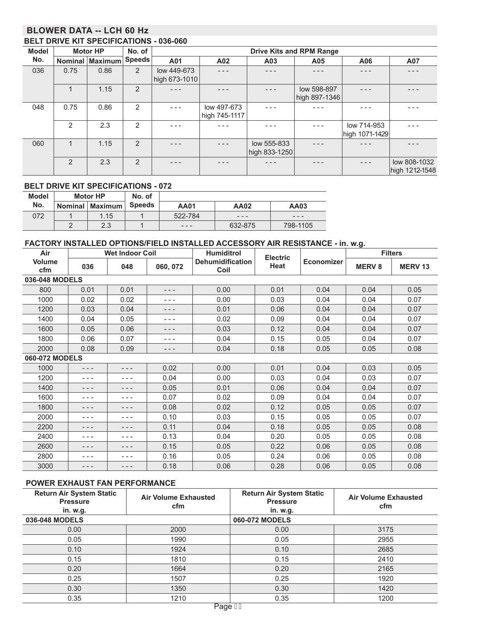## **BLOWER DATA -- LCH 60 Hz BELT DRIVE KIT SPECIFICATIONS - 036-060**

| <b>Model</b> |                | <b>Motor HP</b> | No. of        |                              | <b>Drive Kits and RPM Range</b> |                              |                              |                               |                                |  |  |
|--------------|----------------|-----------------|---------------|------------------------------|---------------------------------|------------------------------|------------------------------|-------------------------------|--------------------------------|--|--|
| No.          | <b>Nominal</b> | Maximum         | <b>Speeds</b> | A01                          | A02                             | A03                          | A05                          | A06                           | A07                            |  |  |
| 036          | 0.75           | 0.86            | 2             | low 449-673<br>high 673-1010 | - - -                           |                              | - - -                        | - - -                         |                                |  |  |
|              | $\mathbf{1}$   | 1.15            | 2             |                              |                                 |                              | low 598-897<br>high 897-1346 |                               |                                |  |  |
| 048          | 0.75           | 0.86            | 2             | $- - -$                      | low 497-673<br>high 745-1117    | - - -                        |                              |                               |                                |  |  |
|              | 2              | 2.3             | 2             | $- - -$                      |                                 |                              | - - -                        | low 714-953<br>high 1071-1429 |                                |  |  |
| 060          | $\overline{A}$ | 1.15            | 2             |                              | - - -                           | low 555-833<br>high 833-1250 |                              |                               |                                |  |  |
|              | $\overline{2}$ | 2.3             | 2             | - - -                        |                                 |                              | - - -                        | $- - -$                       | low 808-1032<br>high 1212-1548 |  |  |

#### **BELT DRIVE KIT SPECIFICATIONS - 072**

| <b>Model</b> | <b>Motor HP</b>   | No. of        |                   |               |          |
|--------------|-------------------|---------------|-------------------|---------------|----------|
| No.          | Nominal   Maximum | <b>Speeds</b> | <b>AA01</b>       | <b>AA02</b>   | AA03     |
| 072          | 1.15              |               | 522-784           | $\frac{1}{2}$ | - - -    |
|              | 2.3               |               | $\qquad \qquad -$ | 632-875       | 798-1105 |

#### **FACTORY INSTALLED OPTIONS/FIELD INSTALLED ACCESSORY AIR RESISTANCE - in. w.g.**

| Air                  |         | <b>Wet Indoor Coil</b> |          | <b>Humiditrol</b>               | <b>Electric</b> |                   |               | <b>Filters</b> |
|----------------------|---------|------------------------|----------|---------------------------------|-----------------|-------------------|---------------|----------------|
| <b>Volume</b><br>cfm | 036     | 048                    | 060, 072 | <b>Dehumidification</b><br>Coil | Heat            | <b>Economizer</b> | <b>MERV 8</b> | <b>MERV13</b>  |
| 036-048 MODELS       |         |                        |          |                                 |                 |                   |               |                |
| 800                  | 0.01    | 0.01                   | - - -    | 0.00                            | 0.01            | 0.04              | 0.04          | 0.05           |
| 1000                 | 0.02    | 0.02                   | - - -    | 0.00                            | 0.03            | 0.04              | 0.04          | 0.07           |
| 1200                 | 0.03    | 0.04                   | - - -    | 0.01                            | 0.06            | 0.04              | 0.04          | 0.07           |
| 1400                 | 0.04    | 0.05                   | - - -    | 0.02                            | 0.09            | 0.04              | 0.04          | 0.07           |
| 1600                 | 0.05    | 0.06                   | - - -    | 0.03                            | 0.12            | 0.04              | 0.04          | 0.07           |
| 1800                 | 0.06    | 0.07                   | - - -    | 0.04                            | 0.15            | 0.05              | 0.04          | 0.07           |
| 2000                 | 0.08    | 0.09                   | - - -    | 0.04                            | 0.18            | 0.05              | 0.05          | 0.08           |
| 060-072 MODELS       |         |                        |          |                                 |                 |                   |               |                |
| 1000                 | - - -   | $  -$                  | 0.02     | 0.00                            | 0.01            | 0.04              | 0.03          | 0.05           |
| 1200                 | - - -   |                        | 0.04     | 0.00                            | 0.03            | 0.04              | 0.03          | 0.07           |
| 1400                 | - - -   | - - -                  | 0.05     | 0.01                            | 0.06            | 0.04              | 0.04          | 0.07           |
| 1600                 | - - -   | - - -                  | 0.07     | 0.02                            | 0.09            | 0.04              | 0.04          | 0.07           |
| 1800                 | - - -   | - - -                  | 0.08     | 0.02                            | 0.12            | 0.05              | 0.05          | 0.07           |
| 2000                 | - - -   | $- - -$                | 0.10     | 0.03                            | 0.15            | 0.05              | 0.05          | 0.07           |
| 2200                 | $- - -$ | $- - -$                | 0.11     | 0.04                            | 0.18            | 0.05              | 0.05          | 0.08           |
| 2400                 | - - -   | - - -                  | 0.13     | 0.04                            | 0.20            | 0.05              | 0.05          | 0.08           |
| 2600                 | - - -   | $- - -$                | 0.15     | 0.05                            | 0.22            | 0.06              | 0.05          | 0.08           |
| 2800                 | - - -   | $- - -$                | 0.16     | 0.05                            | 0.24            | 0.06              | 0.05          | 0.08           |
| 3000                 | $- - -$ | $- - -$                | 0.18     | 0.06                            | 0.28            | 0.06              | 0.05          | 0.08           |

#### **POWER EXHAUST FAN PERFORMANCE**

| <b>Return Air System Static</b><br><b>Pressure</b><br>in. w.g. | <b>Air Volume Exhausted</b><br>cfm | <b>Return Air System Static</b><br><b>Pressure</b><br>in. w.g. | <b>Air Volume Exhausted</b><br>cfm |
|----------------------------------------------------------------|------------------------------------|----------------------------------------------------------------|------------------------------------|
| 036-048 MODELS                                                 |                                    | 060-072 MODELS                                                 |                                    |
| 0.00                                                           | 2000                               | 0.00                                                           | 3175                               |
| 0.05                                                           | 1990                               | 0.05                                                           | 2955                               |
| 0.10                                                           | 1924                               | 0.10                                                           | 2685                               |
| 0.15                                                           | 1810                               | 0.15                                                           | 2410                               |
| 0.20                                                           | 1664                               | 0.20                                                           | 2165                               |
| 0.25                                                           | 1507                               | 0.25                                                           | 1920                               |
| 0.30                                                           | 1350                               | 0.30                                                           | 1420                               |
| 0.35                                                           | 1210<br>Dess H                     | 0.35                                                           | 1200                               |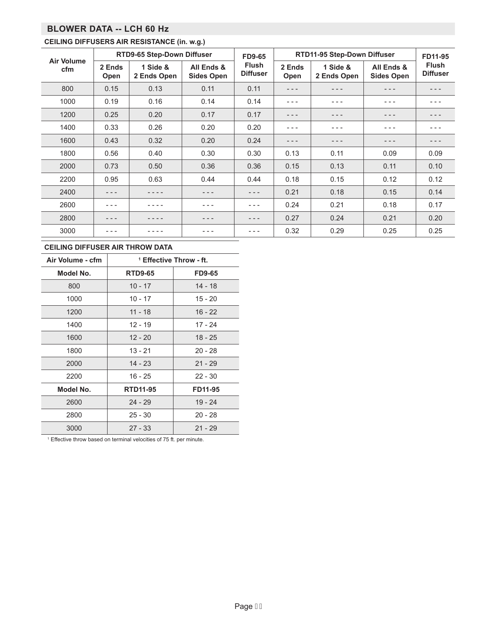# **BLOWER DATA -- LCH 60 Hz**

# **CEILING DIFFUSERS AIR RESISTANCE (in. w.g.)**

| <b>Air Volume</b> |                | RTD9-65 Step-Down Diffuser |                                 | <b>FD9-65</b>                   | RTD11-95 Step-Down Diffuser | FD11-95                 |                                 |                                 |
|-------------------|----------------|----------------------------|---------------------------------|---------------------------------|-----------------------------|-------------------------|---------------------------------|---------------------------------|
| cfm               | 2 Ends<br>Open | 1 Side &<br>2 Ends Open    | All Ends &<br><b>Sides Open</b> | <b>Flush</b><br><b>Diffuser</b> | 2 Ends<br>Open              | 1 Side &<br>2 Ends Open | All Ends &<br><b>Sides Open</b> | <b>Flush</b><br><b>Diffuser</b> |
| 800               | 0.15           | 0.13                       | 0.11                            | 0.11                            | $- - -$                     | - - -                   | - - -                           | - - -                           |
| 1000              | 0.19           | 0.16                       | 0.14                            | 0.14                            | $  -$                       | - - -                   | $  -$                           | - - -                           |
| 1200              | 0.25           | 0.20                       | 0.17                            | 0.17                            | - - -                       | - - -                   | - - -                           | - - -                           |
| 1400              | 0.33           | 0.26                       | 0.20                            | 0.20                            | $  -$                       | - - -                   | - - -                           |                                 |
| 1600              | 0.43           | 0.32                       | 0.20                            | 0.24                            | - - -                       | - - -                   | - - -                           | - - -                           |
| 1800              | 0.56           | 0.40                       | 0.30                            | 0.30                            | 0.13                        | 0.11                    | 0.09                            | 0.09                            |
| 2000              | 0.73           | 0.50                       | 0.36                            | 0.36                            | 0.15                        | 0.13                    | 0.11                            | 0.10                            |
| 2200              | 0.95           | 0.63                       | 0.44                            | 0.44                            | 0.18                        | 0.15                    | 0.12                            | 0.12                            |
| 2400              |                |                            |                                 |                                 | 0.21                        | 0.18                    | 0.15                            | 0.14                            |
| 2600              |                |                            |                                 |                                 | 0.24                        | 0.21                    | 0.18                            | 0.17                            |
| 2800              |                |                            | - - -                           | - - -                           | 0.27                        | 0.24                    | 0.21                            | 0.20                            |
| 3000              |                |                            |                                 |                                 | 0.32                        | 0.29                    | 0.25                            | 0.25                            |

#### **CEILING DIFFUSER AIR THROW DATA**

| Air Volume - cfm |                 | <sup>1</sup> Effective Throw - ft. |  |  |
|------------------|-----------------|------------------------------------|--|--|
| Model No.        | <b>RTD9-65</b>  | <b>FD9-65</b>                      |  |  |
| 800              | $10 - 17$       | 14 - 18                            |  |  |
| 1000             | $10 - 17$       | 15 - 20                            |  |  |
| 1200             | $11 - 18$       | $16 - 22$                          |  |  |
| 1400             | 12 - 19         | 17 - 24                            |  |  |
| 1600             | $12 - 20$       | $18 - 25$                          |  |  |
| 1800             | $13 - 21$       | $20 - 28$                          |  |  |
| 2000             | $14 - 23$       | $21 - 29$                          |  |  |
| 2200             | $16 - 25$       | $22 - 30$                          |  |  |
| Model No.        | <b>RTD11-95</b> | FD11-95                            |  |  |
| 2600             | $24 - 29$       | $19 - 24$                          |  |  |
| 2800             | $25 - 30$       | $20 - 28$                          |  |  |
| 3000             | $27 - 33$       | $21 - 29$                          |  |  |

<sup>1</sup> Effective throw based on terminal velocities of 75 ft. per minute.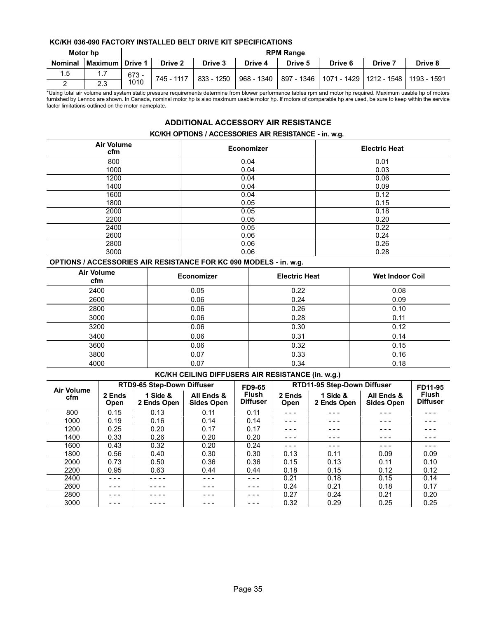#### **KC/KH 036-090 FACTORY INSTALLED BELT DRIVE KIT SPECIFICATIONS**

|                | Motor hp        | <b>RPM Range</b> |            |            |         |         |                                                                   |                |         |  |  |
|----------------|-----------------|------------------|------------|------------|---------|---------|-------------------------------------------------------------------|----------------|---------|--|--|
| <b>Nominal</b> | Maximum Drive 1 |                  | Drive 2    | Drive 3    | Drive 4 | Drive 5 | Drive 6                                                           | <b>Drive 7</b> | Drive 8 |  |  |
| 1.5            | 1.7             | $673 -$          | 745 - 1117 | 833 - 1250 |         |         | 968 - 1340   897 - 1346   1071 - 1429   1212 - 1548   1193 - 1591 |                |         |  |  |
| _              | 2.3             | 1010             |            |            |         |         |                                                                   |                |         |  |  |

\*Using total air volume and system static pressure requirements determine from blower performance tables rpm and motor hp required. Maximum usable hp of motors furnished by Lennox are shown. In Canada, nominal motor hp is also maximum usable motor hp. If motors of comparable hp are used, be sure to keep within the service factor limitations outlined on the motor nameplate.

# **ADDITIONAL ACCESSORY AIR RESISTANCE**

#### **KC/KH OPTIONS / ACCESSORIES AIR RESISTANCE - in. w.g.**

| <b>Air Volume</b><br>cfm | <b>Economizer</b> | <b>Electric Heat</b> |
|--------------------------|-------------------|----------------------|
| 800                      | 0.04              | 0.01                 |
| 1000                     | 0.04              | 0.03                 |
| 1200                     | 0.04              | 0.06                 |
| 1400                     | 0.04              | 0.09                 |
| 1600                     | 0.04              | 0.12                 |
| 1800                     | 0.05              | 0.15                 |
| 2000                     | 0.05              | 0.18                 |
| 2200                     | 0.05              | 0.20                 |
| 2400                     | 0.05              | 0.22                 |
| 2600                     | 0.06              | 0.24                 |
| 2800                     | 0.06              | 0.26                 |
| 3000                     | 0.06              | 0.28                 |

#### **OPTIONS / ACCESSORIES AIR RESISTANCE FOR KC 090 MODELS - in. w.g.**

| <b>Air Volume</b><br>cfm | <b>Economizer</b> | <b>Electric Heat</b> | <b>Wet Indoor Coil</b> |
|--------------------------|-------------------|----------------------|------------------------|
| 2400                     | 0.05              | 0.22                 | 0.08                   |
| 2600                     | 0.06              | 0.24                 | 0.09                   |
| 2800                     | 0.06              | 0.26                 | 0.10                   |
| 3000                     | 0.06              | 0.28                 | 0.11                   |
| 3200                     | 0.06              | 0.30                 | 0.12                   |
| 3400                     | 0.06              | 0.31                 | 0.14                   |
| 3600                     | 0.06              | 0.32                 | 0.15                   |
| 3800                     | 0.07              | 0.33                 | 0.16                   |
| 4000                     | 0.07              | 0.34                 | 0.18                   |

#### **KC/KH CEILING DIFFUSERS AIR RESISTANCE (in. w.g.)**

| <b>Air Volume</b> |                       | <b>RTD9-65 Step-Down Diffuser</b> |                                 | <b>FD9-65</b>                   |                | RTD11-95 Step-Down Diffuser |                                 | FD11-95                         |
|-------------------|-----------------------|-----------------------------------|---------------------------------|---------------------------------|----------------|-----------------------------|---------------------------------|---------------------------------|
| cfm               | 2 Ends<br><b>Open</b> | 1 Side &<br>2 Ends Open           | All Ends &<br><b>Sides Open</b> | <b>Flush</b><br><b>Diffuser</b> | 2 Ends<br>Open | 1 Side &<br>2 Ends Open     | All Ends &<br><b>Sides Open</b> | <b>Flush</b><br><b>Diffuser</b> |
| 800               | 0.15                  | 0.13                              | 0.11                            | 0.11                            |                |                             |                                 |                                 |
| 1000              | 0.19                  | 0.16                              | 0.14                            | 0.14                            | - - -          | - - -                       | - - -                           | - - -                           |
| 1200              | 0.25                  | 0.20                              | 0.17                            | 0.17                            | - - -          | - - -                       | - - -                           | - - -                           |
| 1400              | 0.33                  | 0.26                              | 0.20                            | 0.20                            | - - -          | - - -                       | - - -                           | - - -                           |
| 1600              | 0.43                  | 0.32                              | 0.20                            | 0.24                            |                |                             |                                 |                                 |
| 1800              | 0.56                  | 0.40                              | 0.30                            | 0.30                            | 0.13           | 0.11                        | 0.09                            | 0.09                            |
| 2000              | 0.73                  | 0.50                              | 0.36                            | 0.36                            | 0.15           | 0.13                        | 0.11                            | 0.10                            |
| 2200              | 0.95                  | 0.63                              | 0.44                            | 0.44                            | 0.18           | 0.15                        | 0.12                            | 0.12                            |
| 2400              | - - -                 |                                   | - - -                           |                                 | 0.21           | 0.18                        | 0.15                            | 0.14                            |
| 2600              |                       |                                   | - - -                           |                                 | 0.24           | 0.21                        | 0.18                            | 0.17                            |
| 2800              |                       |                                   |                                 |                                 | 0.27           | 0.24                        | 0.21                            | 0.20                            |
| 3000              |                       |                                   | - - -                           |                                 | 0.32           | 0.29                        | 0.25                            | 0.25                            |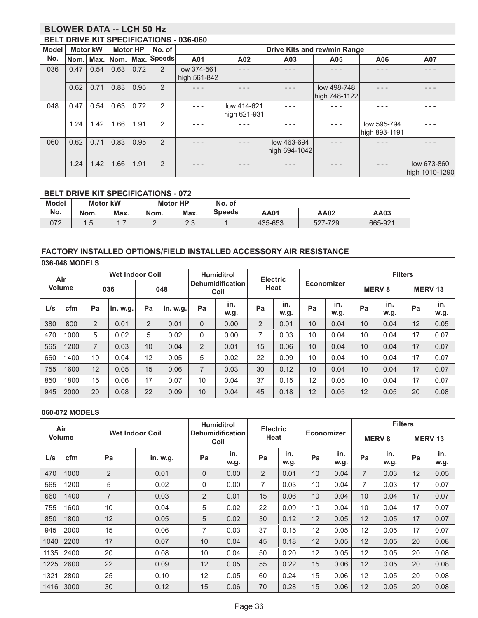# **BLOWER DATA -- LCH 50 Hz**

#### **BELT DRIVE KIT SPECIFICATIONS - 036-060**

| Model | <b>Motor kW</b> |      | <b>Motor HP</b> |      | No. of         |              | Drive Kits and rev/min Range |               |               |               |                |  |  |
|-------|-----------------|------|-----------------|------|----------------|--------------|------------------------------|---------------|---------------|---------------|----------------|--|--|
| No.   | Nom.            |      | Max. Nom.       |      | Max. Speeds    | A01          | A02                          | A03           | A05           | A06           | A07            |  |  |
| 036   | 0.47            | 0.54 | 0.63            | 0.72 | 2              | low 374-561  |                              |               |               |               | - - -          |  |  |
|       |                 |      |                 |      |                | high 561-842 |                              |               |               |               |                |  |  |
|       | 0.62            | 0.71 | 0.83            | 0.95 | 2              |              |                              |               | low 498-748   |               |                |  |  |
|       |                 |      |                 |      |                |              |                              |               | high 748-1122 |               |                |  |  |
| 048   | 0.47            | 0.54 | 0.63            | 0.72 | 2              |              | low 414-621                  |               |               |               |                |  |  |
|       |                 |      |                 |      |                |              | high 621-931                 |               |               |               |                |  |  |
|       | 1.24            | 1.42 | 1.66            | 1.91 | 2              |              |                              |               |               | low 595-794   |                |  |  |
|       |                 |      |                 |      |                |              |                              |               |               | high 893-1191 |                |  |  |
| 060   | 0.62            | 0.71 | 0.83            | 0.95 | 2              |              |                              | low 463-694   |               |               | - - -          |  |  |
|       |                 |      |                 |      |                |              |                              | high 694-1042 |               |               |                |  |  |
|       | 1.24            | 1.42 | 1.66            | 1.91 | $\overline{2}$ |              |                              |               |               |               | low 673-860    |  |  |
|       |                 |      |                 |      |                |              |                              |               |               |               | high 1010-1290 |  |  |

## **BELT DRIVE KIT SPECIFICATIONS - 072**

| <b>Model</b> |       | <b>Motor kW</b> |      | <b>Motor HP</b> | No. of        |             |             |         |
|--------------|-------|-----------------|------|-----------------|---------------|-------------|-------------|---------|
| No.          | Nom.  | Max.            | Nom. | Max.            | <b>Speeds</b> | <b>AA01</b> | <b>AA02</b> | AA03    |
| 072          | ں . ا | -<br>$\cdots$   | ــ   | ററ<br>د.ء       |               | 435-653     | 527-729     | 665-921 |

#### **FACTORY INSTALLED OPTIONS/FIELD INSTALLED ACCESSORY AIR RESISTANCE**

|               | 036-048 MODELS |     |                        |                 |          |                                 |             |                 |             |                   |             |                         |                |               |             |
|---------------|----------------|-----|------------------------|-----------------|----------|---------------------------------|-------------|-----------------|-------------|-------------------|-------------|-------------------------|----------------|---------------|-------------|
|               | Air            |     | <b>Wet Indoor Coil</b> |                 |          | <b>Humiditrol</b>               |             | <b>Electric</b> |             |                   |             |                         | <b>Filters</b> |               |             |
| <b>Volume</b> |                | 036 |                        | 048             |          | <b>Dehumidification</b><br>Coil |             | Heat            |             | <b>Economizer</b> |             | <b>MERV<sub>8</sub></b> |                | <b>MERV13</b> |             |
| L/s           | cfm            | Pa  | .in. w.g.              | Pa              | in. w.g. | Pa                              | in.<br>w.g. | Pa              | in.<br>w.g. | Pa                | in.<br>w.g. | Pa                      | in.<br>w.g.    | Pa            | in.<br>w.g. |
| 380           | 800            | 2   | 0.01                   | $\overline{2}$  | 0.01     | 0                               | 0.00        | $\overline{2}$  | 0.01        | 10                | 0.04        | 10                      | 0.04           | 12            | 0.05        |
| 470           | 000            | 5   | 0.02                   | 5               | 0.02     | 0                               | 0.00        | 7               | 0.03        | 10                | 0.04        | 10                      | 0.04           | 17            | 0.07        |
| 565           | 200            | 7   | 0.03                   | 10              | 0.04     | $\overline{2}$                  | 0.01        | 15              | 0.06        | 10                | 0.04        | 10                      | 0.04           | 17            | 0.07        |
| 660           | 1400           | 10  | 0.04                   | 12              | 0.05     | 5                               | 0.02        | 22              | 0.09        | 10                | 0.04        | 10                      | 0.04           | 17            | 0.07        |
| 755           | 1600           | 12  | 0.05                   | 15 <sup>°</sup> | 0.06     | 7                               | 0.03        | 30              | 0.12        | 10                | 0.04        | 10                      | 0.04           | 17            | 0.07        |
| 850           | 1800           | 15  | 0.06                   | 17              | 0.07     | 10                              | 0.04        | 37              | 0.15        | 12                | 0.05        | 10                      | 0.04           | 17            | 0.07        |
| 945           | 2000           | 20  | 0.08                   | 22              | 0.09     | 10                              | 0.04        | 45              | 0.18        | 12                | 0.05        | 12                      | 0.05           | 20            | 0.08        |

#### **060-072 MODELS**

|      | Air                                     |                |          | <b>Humiditrol</b>               |             | <b>Electric</b> |             |                   |             | <b>Filters</b>          |             |               |             |
|------|-----------------------------------------|----------------|----------|---------------------------------|-------------|-----------------|-------------|-------------------|-------------|-------------------------|-------------|---------------|-------------|
|      | <b>Wet Indoor Coil</b><br><b>Volume</b> |                |          | <b>Dehumidification</b><br>Coil |             | Heat            |             | <b>Economizer</b> |             | <b>MERV<sub>8</sub></b> |             | <b>MERV13</b> |             |
| L/s  | cfm                                     | Pa             | in. w.g. | Pa                              | in.<br>w.g. | Pa              | in.<br>w.g. | Pa                | in.<br>w.g. | Pa                      | in.<br>w.g. | Pa            | in.<br>w.g. |
| 470  | 1000                                    | $\overline{2}$ | 0.01     | $\mathbf{0}$                    | 0.00        | $\overline{2}$  | 0.01        | 10                | 0.04        | 7                       | 0.03        | 12            | 0.05        |
| 565  | 1200                                    | 5              | 0.02     | $\Omega$                        | 0.00        | $\overline{7}$  | 0.03        | 10                | 0.04        | $\overline{7}$          | 0.03        | 17            | 0.07        |
| 660  | 1400                                    | $\overline{7}$ | 0.03     | $\overline{2}$                  | 0.01        | 15              | 0.06        | 10                | 0.04        | 10                      | 0.04        | 17            | 0.07        |
| 755  | 1600                                    | 10             | 0.04     | 5                               | 0.02        | 22              | 0.09        | 10                | 0.04        | 10                      | 0.04        | 17            | 0.07        |
| 850  | 1800                                    | 12             | 0.05     | 5                               | 0.02        | 30              | 0.12        | 12                | 0.05        | 12                      | 0.05        | 17            | 0.07        |
| 945  | 2000                                    | 15             | 0.06     | 7                               | 0.03        | 37              | 0.15        | 12                | 0.05        | 12                      | 0.05        | 17            | 0.07        |
| 1040 | 2200                                    | 17             | 0.07     | 10                              | 0.04        | 45              | 0.18        | 12                | 0.05        | 12                      | 0.05        | 20            | 0.08        |
| 1135 | 2400                                    | 20             | 0.08     | 10                              | 0.04        | 50              | 0.20        | 12                | 0.05        | 12                      | 0.05        | 20            | 0.08        |
| 1225 | 2600                                    | 22             | 0.09     | 12                              | 0.05        | 55              | 0.22        | 15                | 0.06        | 12                      | 0.05        | 20            | 0.08        |
| 1321 | 2800                                    | 25             | 0.10     | 12                              | 0.05        | 60              | 0.24        | 15                | 0.06        | 12                      | 0.05        | 20            | 0.08        |
| 1416 | 3000                                    | 30             | 0.12     | 15                              | 0.06        | 70              | 0.28        | 15                | 0.06        | 12                      | 0.05        | 20            | 0.08        |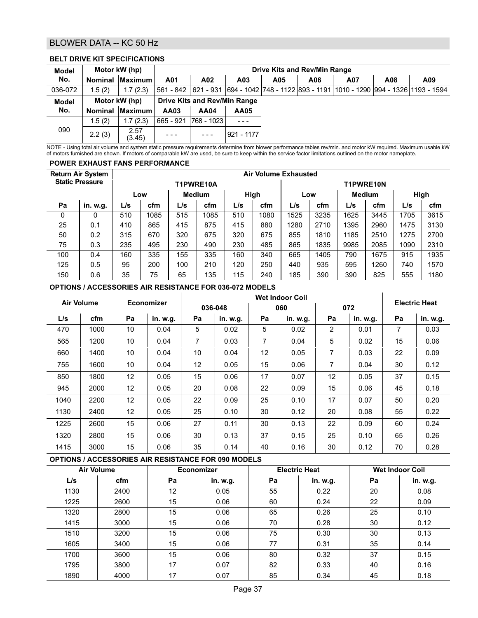# BLOWER DATA -- KC 50 Hz

#### **BELT DRIVE KIT SPECIFICATIONS**

| <b>Model</b>        |               | Motor kW (hp)   |           | Drive Kits and Rev/Min Range        |             |     |     |     |     |                                                                                     |  |  |  |  |
|---------------------|---------------|-----------------|-----------|-------------------------------------|-------------|-----|-----|-----|-----|-------------------------------------------------------------------------------------|--|--|--|--|
| No.                 |               | Nominal Maximum | A01       | A02                                 | A03         | A05 | A06 | A07 | A08 | A09                                                                                 |  |  |  |  |
| 036-072             | 1.5(2)        | 1.7(2.3)        | 561 - 842 |                                     |             |     |     |     |     | 621 - 931  694 - 1042  748 - 1122  893 - 1191  1010 - 1290  994 - 1326  1193 - 1594 |  |  |  |  |
| <b>Model</b><br>No. | Motor kW (hp) |                 |           | <b>Drive Kits and Rev/Min Range</b> |             |     |     |     |     |                                                                                     |  |  |  |  |
|                     |               | Nominal Maximum | AA03      | <b>AA04</b>                         | <b>AA05</b> |     |     |     |     |                                                                                     |  |  |  |  |
|                     | 1.5(2)        | 1.7(2.3)        | 665 - 921 | 1768 - 1023                         |             |     |     |     |     |                                                                                     |  |  |  |  |
| 090                 | 2.2(3)        | 2.57<br>(3.45)  |           | - - -                               | 1921 - 1177 |     |     |     |     |                                                                                     |  |  |  |  |

NOTE - Using total air volume and system static pressure requirements determine from blower performance tables rev/min. and motor kW required. Maximum usable kW of motors furnished are shown. If motors of comparable kW are used, be sure to keep within the service factor limitations outlined on the motor nameplate.

#### **POWER EXHAUST FANS PERFORMANCE**

|     | <b>Return Air System</b> |     |      |               |           |     |      | <b>Air Volume Exhausted</b> |      |               |           |      |      |
|-----|--------------------------|-----|------|---------------|-----------|-----|------|-----------------------------|------|---------------|-----------|------|------|
|     | <b>Static Pressure</b>   |     |      |               | T1PWRE10A |     |      |                             |      |               | T1PWRE10N |      |      |
|     |                          |     | Low  | <b>Medium</b> |           |     | High |                             | Low  | <b>Medium</b> |           | High |      |
| Pa  | in. w.g.                 | L/s | cfm  | L/s           | cfm       | L/s | cfm  | L/s                         | cfm  | L/s           | cfm       | L/s  | cfm  |
| 0   | 0                        | 510 | 1085 | 515           | 1085      | 510 | 1080 | 1525                        | 3235 | 1625          | 3445      | 1705 | 3615 |
| 25  | 0.1                      | 410 | 865  | 415           | 875       | 415 | 880  | 1280                        | 2710 | 1395          | 2960      | 1475 | 3130 |
| 50  | 0.2                      | 315 | 670  | 320           | 675       | 320 | 675  | 855                         | 1810 | 1185          | 2510      | 1275 | 2700 |
| 75  | 0.3                      | 235 | 495  | 230           | 490       | 230 | 485  | 865                         | 1835 | 9985          | 2085      | 1090 | 2310 |
| 100 | 0.4                      | 160 | 335  | 155           | 335       | 160 | 340  | 665                         | 1405 | 790           | 1675      | 915  | 1935 |
| 125 | 0.5                      | 95  | 200  | 100           | 210       | 120 | 250  | 440                         | 935  | 595           | 1260      | 740  | 1570 |
| 150 | 0.6                      | 35  | 75   | 65            | 135       | 115 | 240  | 185                         | 390  | 390           | 825       | 555  | 1180 |

#### **OPTIONS / ACCESSORIES AIR RESISTANCE FOR 036-072 MODELS**

|      | <b>Air Volume</b> | <b>Economizer</b> |          |    |          |    | <b>Electric Heat</b> |    |          |                |          |
|------|-------------------|-------------------|----------|----|----------|----|----------------------|----|----------|----------------|----------|
|      |                   |                   |          |    | 036-048  |    | 060                  |    | 072      |                |          |
| L/s  | cfm               | Pa                | in. w.g. | Pa | in. w.g. | Pa | in. w.g.             | Pa | in. w.g. | Pa             | in. w.g. |
| 470  | 1000              | 10                | 0.04     | 5  | 0.02     | 5  | 0.02                 | 2  | 0.01     | $\overline{7}$ | 0.03     |
| 565  | 1200              | 10                | 0.04     | 7  | 0.03     | 7  | 0.04                 | 5  | 0.02     | 15             | 0.06     |
| 660  | 1400              | 10                | 0.04     | 10 | 0.04     | 12 | 0.05                 | 7  | 0.03     | 22             | 0.09     |
| 755  | 1600              | 10                | 0.04     | 12 | 0.05     | 15 | 0.06                 | 7  | 0.04     | 30             | 0.12     |
| 850  | 1800              | 12                | 0.05     | 15 | 0.06     | 17 | 0.07                 | 12 | 0.05     | 37             | 0.15     |
| 945  | 2000              | 12                | 0.05     | 20 | 0.08     | 22 | 0.09                 | 15 | 0.06     | 45             | 0.18     |
| 1040 | 2200              | 12                | 0.05     | 22 | 0.09     | 25 | 0.10                 | 17 | 0.07     | 50             | 0.20     |
| 1130 | 2400              | 12                | 0.05     | 25 | 0.10     | 30 | 0.12                 | 20 | 0.08     | 55             | 0.22     |
| 1225 | 2600              | 15                | 0.06     | 27 | 0.11     | 30 | 0.13                 | 22 | 0.09     | 60             | 0.24     |
| 1320 | 2800              | 15                | 0.06     | 30 | 0.13     | 37 | 0.15                 | 25 | 0.10     | 65             | 0.26     |
| 1415 | 3000              | 15                | 0.06     | 35 | 0.14     | 40 | 0.16                 | 30 | 0.12     | 70             | 0.28     |

#### **OPTIONS / ACCESSORIES AIR RESISTANCE FOR 090 MODELS**

|      | <b>Air Volume</b> | <b>Economizer</b> |          |    | <b>Electric Heat</b> |    | <b>Wet Indoor Coil</b> |
|------|-------------------|-------------------|----------|----|----------------------|----|------------------------|
| L/s  | cfm               | Pa                | in. w.g. | Pa | in. w.g.             | Pa | in. w.g.               |
| 1130 | 2400              | 12                | 0.05     | 55 | 0.22                 | 20 | 0.08                   |
| 1225 | 2600              | 15                | 0.06     | 60 | 0.24                 | 22 | 0.09                   |
| 1320 | 2800              | 15                | 0.06     | 65 | 0.26                 | 25 | 0.10                   |
| 1415 | 3000              | 15                | 0.06     | 70 | 0.28                 | 30 | 0.12                   |
| 1510 | 3200              | 15                | 0.06     | 75 | 0.30                 | 30 | 0.13                   |
| 1605 | 3400              | 15                | 0.06     | 77 | 0.31                 | 35 | 0.14                   |
| 1700 | 3600              | 15                | 0.06     | 80 | 0.32                 | 37 | 0.15                   |
| 1795 | 3800              | 17                | 0.07     | 82 | 0.33                 | 40 | 0.16                   |
| 1890 | 4000              | 17                | 0.07     | 85 | 0.34                 | 45 | 0.18                   |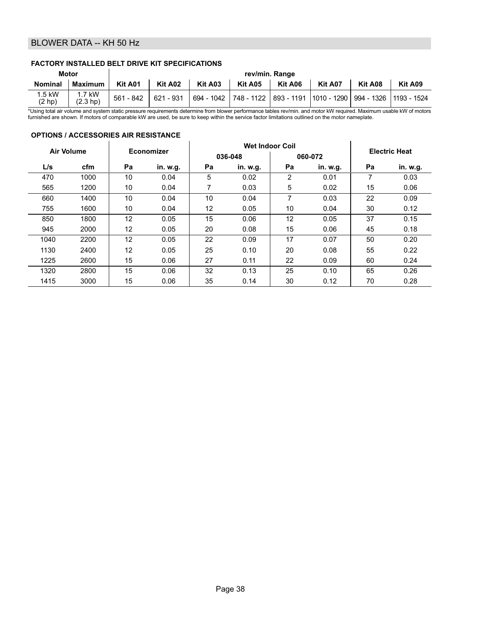# BLOWER DATA -- KH 50 Hz

#### **FACTORY INSTALLED BELT DRIVE KIT SPECIFICATIONS**

| Motor             |                                   | rev/min. Range |           |         |         |         |                                                                             |         |         |  |  |  |
|-------------------|-----------------------------------|----------------|-----------|---------|---------|---------|-----------------------------------------------------------------------------|---------|---------|--|--|--|
| <b>Nominal</b>    | <b>Maximum</b>                    | Kit A01        | Kit A02   | Kit A03 | Kit A05 | Kit A06 | Kit A07                                                                     | Kit A08 | Kit A09 |  |  |  |
| 1.5 kW<br>(2 h p) | $1.7$ kW<br>(2.3 h <sub>D</sub> ) | $561 - 842$    | 621 - 931 |         |         |         | 694 - 1042   748 - 1122   893 - 1191  1010 - 1290   994 - 1326  1193 - 1524 |         |         |  |  |  |

\*Using total air volume and system static pressure requirements determine from blower performance tables rev/min. and motor kW required. Maximum usable kW of motors<br>furnished are shown. If motors of comparable kW are used,

#### **OPTIONS / ACCESSORIES AIR RESISTANCE**

|      | <b>Air Volume</b> |    | Economizer |    |          | <b>Wet Indoor Coil</b> |          | <b>Electric Heat</b> |          |
|------|-------------------|----|------------|----|----------|------------------------|----------|----------------------|----------|
|      |                   |    |            |    | 036-048  |                        | 060-072  |                      |          |
| L/s  | cfm               | Pa | in. w.g.   | Pa | in. w.g. | Pa                     | in. w.g. | Pa                   | in. w.g. |
| 470  | 1000              | 10 | 0.04       | 5  | 0.02     | 2                      | 0.01     | 7                    | 0.03     |
| 565  | 1200              | 10 | 0.04       | 7  | 0.03     | 5                      | 0.02     | 15                   | 0.06     |
| 660  | 1400              | 10 | 0.04       | 10 | 0.04     | 7                      | 0.03     | 22                   | 0.09     |
| 755  | 1600              | 10 | 0.04       | 12 | 0.05     | 10                     | 0.04     | 30                   | 0.12     |
| 850  | 1800              | 12 | 0.05       | 15 | 0.06     | 12                     | 0.05     | 37                   | 0.15     |
| 945  | 2000              | 12 | 0.05       | 20 | 0.08     | 15                     | 0.06     | 45                   | 0.18     |
| 1040 | 2200              | 12 | 0.05       | 22 | 0.09     | 17                     | 0.07     | 50                   | 0.20     |
| 1130 | 2400              | 12 | 0.05       | 25 | 0.10     | 20                     | 0.08     | 55                   | 0.22     |
| 1225 | 2600              | 15 | 0.06       | 27 | 0.11     | 22                     | 0.09     | 60                   | 0.24     |
| 1320 | 2800              | 15 | 0.06       | 32 | 0.13     | 25                     | 0.10     | 65                   | 0.26     |
| 1415 | 3000              | 15 | 0.06       | 35 | 0.14     | 30                     | 0.12     | 70                   | 0.28     |